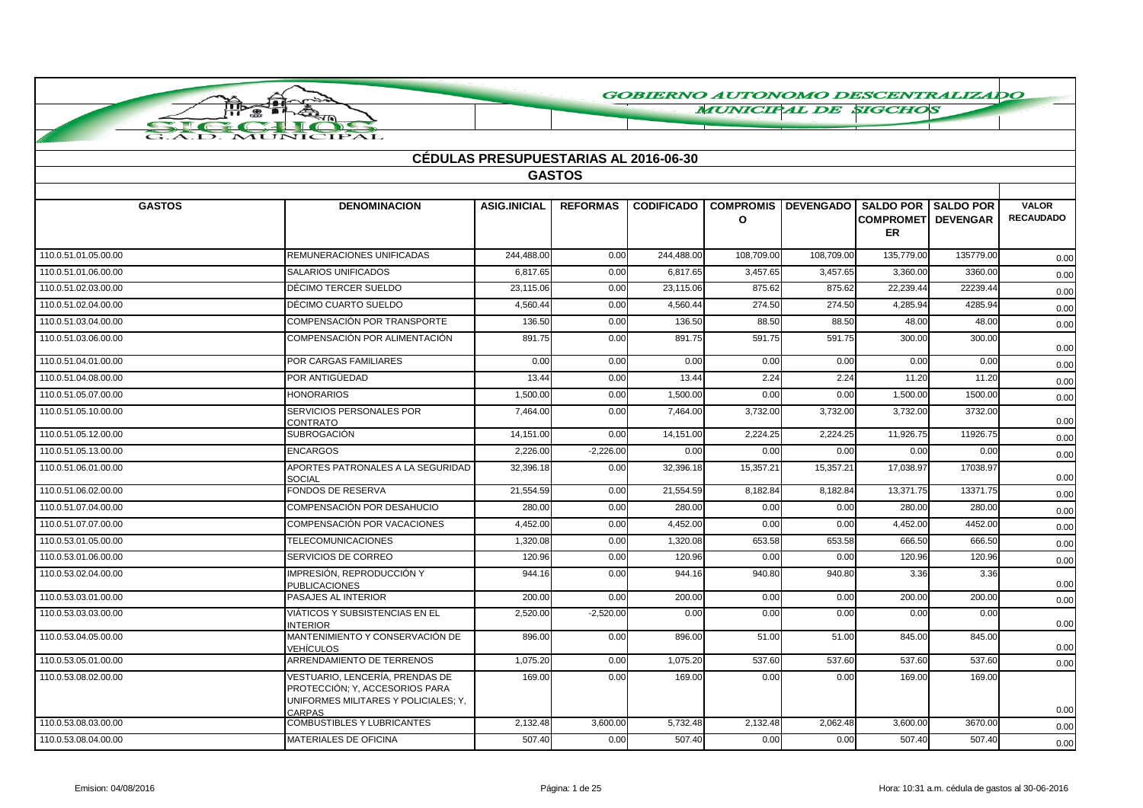**MUNICIPAL DE SIGCHOS** 

|                      |                                                                                                                     | <b>CÉDULAS PRESUPUESTARIAS AL 2016-06-30</b> |                 |                   |                                  |                                   |                                        |           |                                  |  |  |
|----------------------|---------------------------------------------------------------------------------------------------------------------|----------------------------------------------|-----------------|-------------------|----------------------------------|-----------------------------------|----------------------------------------|-----------|----------------------------------|--|--|
|                      | <b>GASTOS</b>                                                                                                       |                                              |                 |                   |                                  |                                   |                                        |           |                                  |  |  |
|                      |                                                                                                                     |                                              |                 |                   |                                  |                                   |                                        |           |                                  |  |  |
| <b>GASTOS</b>        | <b>DENOMINACION</b>                                                                                                 | <b>ASIG.INICIAL</b>                          | <b>REFORMAS</b> | <b>CODIFICADO</b> | <b>COMPROMIS</b><br>$\mathbf{o}$ | DEVENGADO   SALDO POR   SALDO POR | <b>COMPROMET DEVENGAR</b><br><b>ER</b> |           | <b>VALOR</b><br><b>RECAUDADO</b> |  |  |
| 110.0.51.01.05.00.00 | REMUNERACIONES UNIFICADAS                                                                                           | 244.488.00                                   | 0.00            | 244.488.00        | 108.709.00                       | 108,709.00                        | 135.779.00                             | 135779.00 | 0.00                             |  |  |
| 110.0.51.01.06.00.00 | SALARIOS UNIFICADOS                                                                                                 | 6,817.65                                     | 0.00            | 6,817.65          | 3,457.65                         | 3,457.65                          | 3,360.00                               | 3360.00   | 0.00                             |  |  |
| 110.0.51.02.03.00.00 | DÉCIMO TERCER SUELDO                                                                                                | 23,115.06                                    | 0.00            | 23,115.06         | 875.62                           | 875.62                            | 22,239.44                              | 22239.44  | 0.00                             |  |  |
| 110.0.51.02.04.00.00 | DÉCIMO CUARTO SUELDO                                                                                                | 4,560.44                                     | 0.00            | 4,560.44          | 274.50                           | 274.50                            | 4,285.94                               | 4285.94   | 0.00                             |  |  |
| 110.0.51.03.04.00.00 | COMPENSACIÓN POR TRANSPORTE                                                                                         | 136.50                                       | 0.00            | 136.50            | 88.50                            | 88.50                             | 48.00                                  | 48.00     | 0.00                             |  |  |
| 110.0.51.03.06.00.00 | COMPENSACIÓN POR ALIMENTACIÓN                                                                                       | 891.75                                       | 0.00            | 891.75            | 591.75                           | 591.75                            | 300.00                                 | 300.00    | 0.00                             |  |  |
| 110.0.51.04.01.00.00 | POR CARGAS FAMILIARES                                                                                               | 0.00                                         | 0.00            | 0.00              | 0.00                             | 0.00                              | 0.00                                   | 0.00      | 0.00                             |  |  |
| 110.0.51.04.08.00.00 | POR ANTIGÜEDAD                                                                                                      | 13.44                                        | 0.00            | 13.44             | 2.24                             | 2.24                              | 11.20                                  | 11.20     | 0.00                             |  |  |
| 110.0.51.05.07.00.00 | <b>HONORARIOS</b>                                                                                                   | 1,500.00                                     | 0.00            | 1,500.00          | 0.00                             | 0.00                              | 1,500.00                               | 1500.00   | 0.00                             |  |  |
| 110.0.51.05.10.00.00 | SERVICIOS PERSONALES POR<br>CONTRATO                                                                                | 7,464.00                                     | 0.00            | 7,464.00          | 3,732.00                         | 3,732.00                          | 3,732.00                               | 3732.00   | 0.00                             |  |  |
| 110.0.51.05.12.00.00 | <b>SUBROGACIÓN</b>                                                                                                  | 14,151.00                                    | 0.00            | 14,151.00         | 2,224.25                         | 2,224.25                          | 11,926.75                              | 11926.75  | 0.00                             |  |  |
| 110.0.51.05.13.00.00 | <b>ENCARGOS</b>                                                                                                     | 2,226.00                                     | $-2,226.00$     | 0.00              | 0.00                             | 0.00                              | 0.00                                   | 0.00      | 0.00                             |  |  |
| 110.0.51.06.01.00.00 | APORTES PATRONALES A LA SEGURIDAD<br><b>SOCIAL</b>                                                                  | 32,396.18                                    | 0.00            | 32.396.18         | 15,357.21                        | 15,357.21                         | 17.038.97                              | 17038.97  | 0.00                             |  |  |
| 110.0.51.06.02.00.00 | FONDOS DE RESERVA                                                                                                   | 21,554.59                                    | 0.00            | 21,554.59         | 8,182.84                         | 8,182.84                          | 13,371.75                              | 13371.75  | 0.00                             |  |  |
| 110.0.51.07.04.00.00 | COMPENSACIÓN POR DESAHUCIO                                                                                          | 280.00                                       | 0.00            | 280.00            | 0.00                             | 0.00                              | 280.00                                 | 280.00    | 0.00                             |  |  |
| 110.0.51.07.07.00.00 | COMPENSACIÓN POR VACACIONES                                                                                         | 4,452.00                                     | 0.00            | 4,452.00          | 0.00                             | 0.00                              | 4,452.00                               | 4452.00   | 0.00                             |  |  |
| 110.0.53.01.05.00.00 | <b>TELECOMUNICACIONES</b>                                                                                           | 1,320.08                                     | 0.00            | 1,320.08          | 653.58                           | 653.58                            | 666.50                                 | 666.50    | 0.00                             |  |  |
| 110.0.53.01.06.00.00 | SERVICIOS DE CORREO                                                                                                 | 120.96                                       | 0.00            | 120.96            | 0.00                             | 0.00                              | 120.96                                 | 120.96    | 0.00                             |  |  |
| 110.0.53.02.04.00.00 | IMPRESIÓN. REPRODUCCIÓN Y<br><b>PUBLICACIONES</b>                                                                   | 944.16                                       | 0.00            | 944.16            | 940.80                           | 940.80                            | 3.36                                   | 3.36      | 0.00                             |  |  |
| 110.0.53.03.01.00.00 | PASAJES AL INTERIOR                                                                                                 | 200.00                                       | 0.00            | 200.00            | 0.00                             | 0.00                              | 200.00                                 | 200.00    | 0.00                             |  |  |
| 110.0.53.03.03.00.00 | VIÁTICOS Y SUBSISTENCIAS EN EL<br><b>INTERIOR</b>                                                                   | 2,520.00                                     | $-2,520.00$     | 0.00              | 0.00                             | 0.00                              | 0.00                                   | 0.00      | 0.00                             |  |  |
| 110.0.53.04.05.00.00 | MANTENIMIENTO Y CONSERVACIÓN DE<br><b>VEHÍCULOS</b>                                                                 | 896.00                                       | 0.00            | 896.00            | 51.00                            | 51.00                             | 845.00                                 | 845.00    | 0.00                             |  |  |
| 110.0.53.05.01.00.00 | ARRENDAMIENTO DE TERRENOS                                                                                           | 1,075.20                                     | 0.00            | 1,075.20          | 537.60                           | 537.60                            | 537.60                                 | 537.60    | 0.00                             |  |  |
| 110.0.53.08.02.00.00 | VESTUARIO, LENCERÍA, PRENDAS DE<br>PROTECCIÓN; Y, ACCESORIOS PARA<br>UNIFORMES MILITARES Y POLICIALES; Y,<br>CARPAS | 169.00                                       | 0.00            | 169.00            | 0.00                             | 0.00                              | 169.00                                 | 169.00    | 0.00                             |  |  |
| 110.0.53.08.03.00.00 | <b>COMBUSTIBLES Y LUBRICANTES</b>                                                                                   | 2,132.48                                     | 3,600.00        | 5,732.48          | 2,132.48                         | 2,062.48                          | 3,600.00                               | 3670.00   | 0.00                             |  |  |
| 110.0.53.08.04.00.00 | MATERIALES DE OFICINA                                                                                               | 507.40                                       | 0.00            | 507.40            | 0.00                             | 0.00                              | 507.40                                 | 507.40    | 0.00                             |  |  |

ПЪ  $\bullet$ 

 $\tau$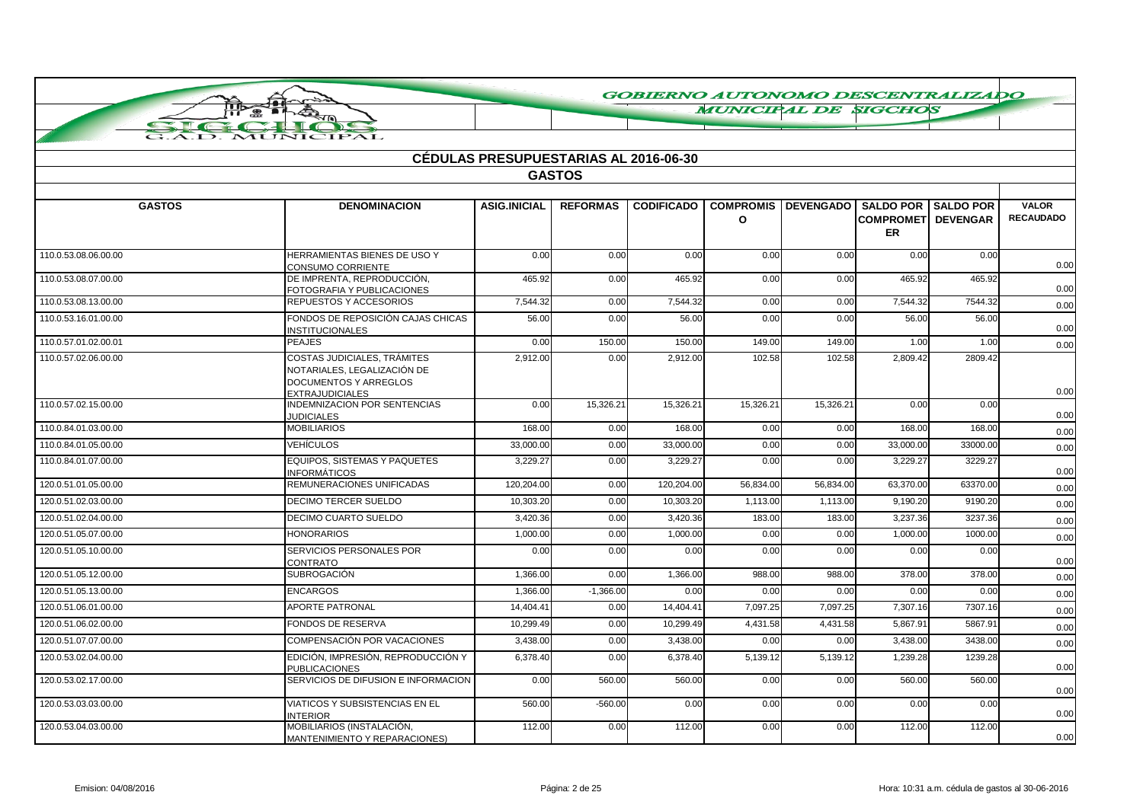**MUNICIPAL DE SIGCHOS** 

| <b>CÉDULAS PRESUPUESTARIAS AL 2016-06-30</b> |                                                                                            |                     |                 |                   |           |                                |                                                   |                                     |                                  |  |
|----------------------------------------------|--------------------------------------------------------------------------------------------|---------------------|-----------------|-------------------|-----------|--------------------------------|---------------------------------------------------|-------------------------------------|----------------------------------|--|
|                                              | <b>GASTOS</b>                                                                              |                     |                 |                   |           |                                |                                                   |                                     |                                  |  |
|                                              |                                                                                            |                     |                 |                   |           |                                |                                                   |                                     |                                  |  |
| <b>GASTOS</b>                                | <b>DENOMINACION</b>                                                                        | <b>ASIG.INICIAL</b> | <b>REFORMAS</b> | <b>CODIFICADO</b> | $\Omega$  | <b>COMPROMIS   DEVENGADO  </b> | <b>SALDO POR</b><br><b>COMPROMET</b><br><b>ER</b> | <b>SALDO POR</b><br><b>DEVENGAR</b> | <b>VALOR</b><br><b>RECAUDADO</b> |  |
| 110.0.53.08.06.00.00                         | HERRAMIENTAS BIENES DE USO Y<br><b>CONSUMO CORRIENTE</b>                                   | 0.00                | 0.00            | 0.00              | 0.00      | 0.00                           | 0.00                                              | 0.00                                | 0.00                             |  |
| 110.0.53.08.07.00.00                         | DE IMPRENTA, REPRODUCCIÓN.<br>FOTOGRAFIA Y PUBLICACIONES                                   | 465.92              | 0.00            | 465.92            | 0.00      | 0.00                           | 465.92                                            | 465.92                              | 0.00                             |  |
| 110.0.53.08.13.00.00                         | REPUESTOS Y ACCESORIOS                                                                     | 7.544.32            | 0.00            | 7.544.32          | 0.00      | 0.00                           | 7.544.32                                          | 7544.32                             | 0.00                             |  |
| 110.0.53.16.01.00.00                         | FONDOS DE REPOSICIÓN CAJAS CHICAS<br><b>INSTITUCIONALES</b>                                | 56.00               | 0.00            | 56.00             | 0.00      | 0.00                           | 56.00                                             | 56.00                               | 0.00                             |  |
| 110.0.57.01.02.00.01                         | <b>PEAJES</b>                                                                              | 0.00                | 150.00          | 150.00            | 149.00    | 149.00                         | 1.00                                              | 1.00                                | 0.00                             |  |
| 110.0.57.02.06.00.00                         | <b>COSTAS JUDICIALES, TRÁMITES</b><br>NOTARIALES, LEGALIZACIÓN DE<br>DOCUMENTOS Y ARREGLOS | 2,912.00            | 0.00            | 2,912.00          | 102.58    | 102.58                         | 2,809.42                                          | 2809.42                             | 0.00                             |  |
| 110.0.57.02.15.00.00                         | <b>EXTRAJUDICIALES</b><br>INDEMNIZACION POR SENTENCIAS<br><b>JUDICIALES</b>                | 0.00                | 15,326.21       | 15,326.21         | 15,326.21 | 15,326.21                      | 0.00                                              | 0.00                                | 0.00                             |  |
| 110.0.84.01.03.00.00                         | <b>MOBILIARIOS</b>                                                                         | 168.00              | 0.00            | 168.00            | 0.00      | 0.00                           | 168.00                                            | 168.00                              | 0.00                             |  |
| 110.0.84.01.05.00.00                         | <b>VEHÍCULOS</b>                                                                           | 33,000.00           | 0.00            | 33,000.00         | 0.00      | 0.00                           | 33,000.00                                         | 33000.00                            | 0.00                             |  |
| 110.0.84.01.07.00.00                         | EQUIPOS. SISTEMAS Y PAQUETES<br><b>INFORMÁTICOS</b>                                        | 3.229.27            | 0.00            | 3.229.27          | 0.00      | 0.00                           | 3,229.27                                          | 3229.27                             | 0.00                             |  |
| 120.0.51.01.05.00.00                         | REMUNERACIONES UNIFICADAS                                                                  | 120,204.00          | 0.00            | 120,204.00        | 56,834.00 | 56,834.00                      | 63,370.00                                         | 63370.00                            | 0.00                             |  |
| 120.0.51.02.03.00.00                         | DECIMO TERCER SUELDO                                                                       | 10,303.20           | 0.00            | 10,303.20         | 1,113.00  | 1,113.00                       | 9,190.20                                          | 9190.20                             | 0.00                             |  |
| 120.0.51.02.04.00.00                         | DECIMO CUARTO SUELDO                                                                       | 3,420.36            | 0.00            | 3,420.36          | 183.00    | 183.00                         | 3,237.36                                          | 3237.36                             | 0.00                             |  |
| 120.0.51.05.07.00.00                         | <b>HONORARIOS</b>                                                                          | 1,000.00            | 0.00            | 1,000.00          | 0.00      | 0.00                           | 1.000.00                                          | 1000.00                             | 0.00                             |  |
| 120.0.51.05.10.00.00                         | SERVICIOS PERSONALES POR<br>CONTRATO                                                       | 0.00                | 0.00            | 0.00              | 0.00      | 0.00                           | 0.00                                              | 0.00                                | 0.00                             |  |
| 120.0.51.05.12.00.00                         | <b>SUBROGACIÓN</b>                                                                         | 1,366.00            | 0.00            | 1,366.00          | 988.00    | 988.00                         | 378.00                                            | 378.00                              | 0.00                             |  |
| 120.0.51.05.13.00.00                         | <b>ENCARGOS</b>                                                                            | 1,366.00            | $-1,366.00$     | 0.00              | 0.00      | 0.00                           | 0.00                                              | 0.00                                | 0.00                             |  |
| 120.0.51.06.01.00.00                         | <b>APORTE PATRONAL</b>                                                                     | 14,404.41           | 0.00            | 14,404.41         | 7,097.25  | 7,097.25                       | 7,307.16                                          | 7307.16                             | 0.00                             |  |
| 120.0.51.06.02.00.00                         | <b>FONDOS DE RESERVA</b>                                                                   | 10,299.49           | 0.00            | 10,299.49         | 4,431.58  | 4,431.58                       | 5.867.9'                                          | 5867.91                             | 0.00                             |  |
| 120.0.51.07.07.00.00                         | COMPENSACIÓN POR VACACIONES                                                                | 3,438.00            | 0.00            | 3,438.00          | 0.00      | 0.00                           | 3,438.00                                          | 3438.00                             | 0.00                             |  |
| 120.0.53.02.04.00.00                         | EDICIÓN, IMPRESIÓN, REPRODUCCIÓN Y<br><b>PUBLICACIONES</b>                                 | 6,378.40            | 0.00            | 6,378.40          | 5,139.12  | 5,139.12                       | 1,239.28                                          | 1239.28                             | 0.00                             |  |
| 120.0.53.02.17.00.00                         | SERVICIOS DE DIFUSION E INFORMACION                                                        | 0.00                | 560.00          | 560.00            | 0.00      | 0.00                           | 560.00                                            | 560.00                              | 0.00                             |  |
| 120.0.53.03.03.00.00                         | VIATICOS Y SUBSISTENCIAS EN EL<br><b>INTERIOR</b>                                          | 560.00              | $-560.00$       | 0.00              | 0.00      | 0.00                           | 0.00                                              | 0.00                                | 0.00                             |  |
| 120.0.53.04.03.00.00                         | MOBILIARIOS (INSTALACIÓN,<br>MANTENIMIENTO Y REPARACIONES)                                 | 112.00              | 0.00            | 112.00            | 0.00      | 0.00                           | 112.00                                            | 112.00                              | 0.00                             |  |

ПЪ

 $\bigoplus$ 

TUTT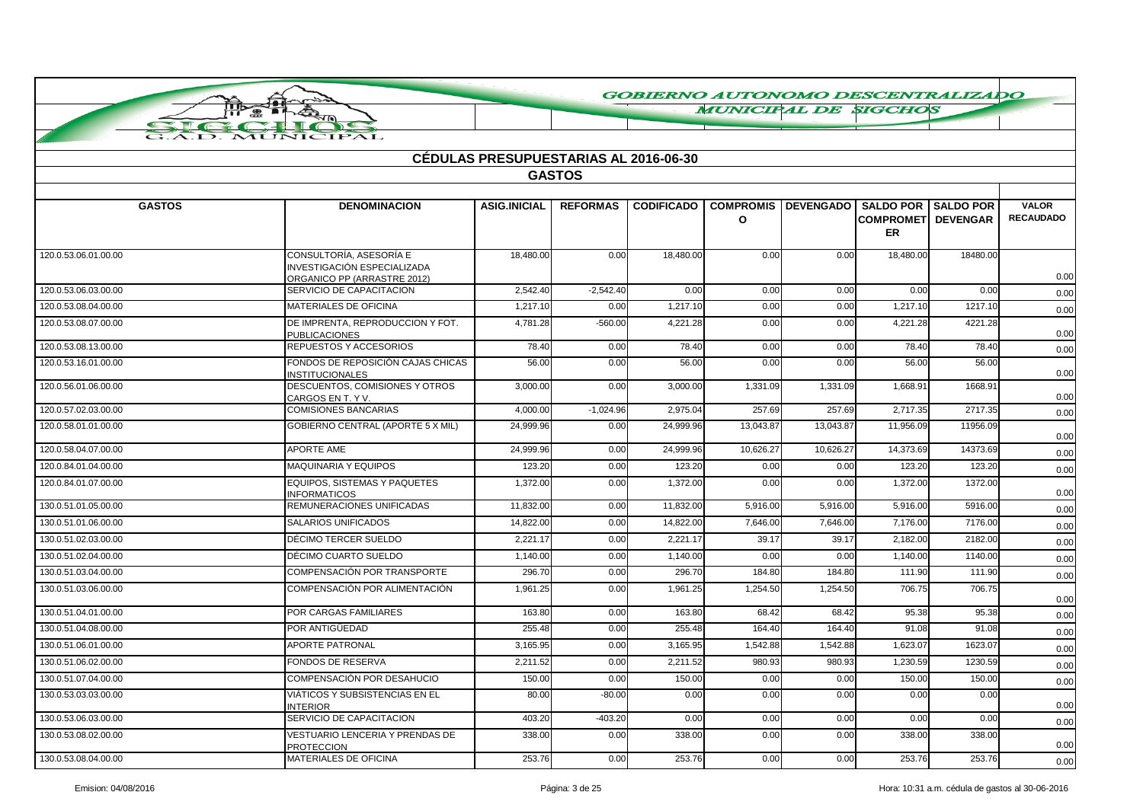**MUNICIPAL DE SIGCHOS** 

| <b>CÉDULAS PRESUPUESTARIAS AL 2016-06-30</b> |                                                                                              |                     |                 |                   |                                  |                  |                               |                                                 |                                  |  |  |
|----------------------------------------------|----------------------------------------------------------------------------------------------|---------------------|-----------------|-------------------|----------------------------------|------------------|-------------------------------|-------------------------------------------------|----------------------------------|--|--|
|                                              |                                                                                              |                     | <b>GASTOS</b>   |                   |                                  |                  |                               |                                                 |                                  |  |  |
|                                              |                                                                                              |                     |                 |                   |                                  |                  |                               |                                                 |                                  |  |  |
| <b>GASTOS</b>                                | <b>DENOMINACION</b>                                                                          | <b>ASIG.INICIAL</b> | <b>REFORMAS</b> | <b>CODIFICADO</b> | <b>COMPROMIS</b><br>$\mathbf{o}$ | <b>DEVENGADO</b> | <b>COMPROMET</b><br><b>ER</b> | <b>SALDO POR I SALDO POR</b><br><b>DEVENGAR</b> | <b>VALOR</b><br><b>RECAUDADO</b> |  |  |
| 120.0.53.06.01.00.00                         | CONSULTORÍA, ASESORÍA E<br><b>INVESTIGACIÓN ESPECIALIZADA</b><br>ORGANICO PP (ARRASTRE 2012) | 18,480.00           | 0.00            | 18,480.00         | 0.00                             | 0.00             | 18,480.00                     | 18480.00                                        | 0.00                             |  |  |
| 120.0.53.06.03.00.00                         | SERVICIO DE CAPACITACION                                                                     | 2.542.40            | $-2,542.40$     | 0.00              | 0.00                             | 0.00             | 0.00                          | 0.00                                            | 0.00                             |  |  |
| 120.0.53.08.04.00.00                         | <b>MATERIALES DE OFICINA</b>                                                                 | 1,217.10            | 0.00            | 1,217.10          | 0.00                             | 0.00             | 1,217.10                      | 1217.10                                         | 0.00                             |  |  |
| 120.0.53.08.07.00.00                         | DE IMPRENTA, REPRODUCCION Y FOT.<br>PUBLICACIONES                                            | 4.781.28            | $-560.00$       | 4.221.28          | 0.00                             | 0.00             | 4,221.28                      | 4221.28                                         | 0.00                             |  |  |
| 120.0.53.08.13.00.00                         | REPUESTOS Y ACCESORIOS                                                                       | 78.40               | 0.00            | 78.40             | 0.00                             | 0.00             | 78.40                         | 78.40                                           | 0.00                             |  |  |
| 120.0.53.16.01.00.00                         | FONDOS DE REPOSICIÓN CAJAS CHICAS<br><b>INSTITUCIONALES</b>                                  | 56.00               | 0.00            | 56.00             | 0.00                             | 0.00             | 56.00                         | 56.00                                           | 0.00                             |  |  |
| 120.0.56.01.06.00.00                         | DESCUENTOS, COMISIONES Y OTROS<br>CARGOS EN T. Y V.                                          | 3.000.00            | 0.00            | 3.000.00          | 1,331.09                         | 1,331.09         | 1.668.91                      | 1668.91                                         | 0.00                             |  |  |
| 120.0.57.02.03.00.00                         | <b>COMISIONES BANCARIAS</b>                                                                  | 4,000.00            | $-1,024.96$     | 2,975.04          | 257.69                           | 257.69           | 2,717.35                      | 2717.35                                         | 0.00                             |  |  |
| 120.0.58.01.01.00.00                         | GOBIERNO CENTRAL (APORTE 5 X MIL)                                                            | 24,999.96           | 0.00            | 24,999.96         | 13,043.87                        | 13,043.87        | 11,956.09                     | 11956.09                                        | 0.00                             |  |  |
| 120.0.58.04.07.00.00                         | <b>APORTE AME</b>                                                                            | 24,999.96           | 0.00            | 24,999.96         | 10,626.27                        | 10,626.27        | 14,373.69                     | 14373.69                                        | 0.00                             |  |  |
| 120.0.84.01.04.00.00                         | <b>MAQUINARIA Y EQUIPOS</b>                                                                  | 123.20              | 0.00            | 123.20            | 0.00                             | 0.00             | 123.20                        | 123.20                                          | 0.00                             |  |  |
| 120.0.84.01.07.00.00                         | <b>EQUIPOS, SISTEMAS Y PAQUETES</b><br><b>INFORMATICOS</b>                                   | 1,372.00            | 0.00            | 1,372.00          | 0.00                             | 0.00             | 1,372.00                      | 1372.00                                         | 0.00                             |  |  |
| 130.0.51.01.05.00.00                         | REMUNERACIONES UNIFICADAS                                                                    | 11.832.00           | 0.00            | 11,832.00         | 5,916.00                         | 5,916.00         | 5,916.00                      | 5916.00                                         | 0.00                             |  |  |
| 130.0.51.01.06.00.00                         | <b>SALARIOS UNIFICADOS</b>                                                                   | 14,822.00           | 0.00            | 14,822.00         | 7,646.00                         | 7,646.00         | 7,176.00                      | 7176.00                                         | 0.00                             |  |  |
| 130.0.51.02.03.00.00                         | DÉCIMO TERCER SUELDO                                                                         | 2,221.17            | 0.00            | 2,221.17          | 39.17                            | 39.17            | 2,182.00                      | 2182.00                                         | 0.00                             |  |  |
| 130.0.51.02.04.00.00                         | DÉCIMO CUARTO SUELDO                                                                         | 1,140.00            | 0.00            | 1,140.00          | 0.00                             | 0.00             | 1,140.00                      | 1140.00                                         | 0.00                             |  |  |
| 130.0.51.03.04.00.00                         | <b>COMPENSACIÓN POR TRANSPORTE</b>                                                           | 296.70              | 0.00            | 296.70            | 184.80                           | 184.80           | 111.90                        | 111.90                                          | 0.00                             |  |  |
| 130.0.51.03.06.00.00                         | COMPENSACIÓN POR ALIMENTACIÓN                                                                | 1,961.25            | 0.00            | 1,961.25          | 1,254.50                         | 1,254.50         | 706.75                        | 706.75                                          | 0.00                             |  |  |
| 130.0.51.04.01.00.00                         | POR CARGAS FAMILIARES                                                                        | 163.80              | 0.00            | 163.80            | 68.42                            | 68.42            | 95.38                         | 95.38                                           | 0.00                             |  |  |
| 130.0.51.04.08.00.00                         | POR ANTIGÜEDAD                                                                               | 255.48              | 0.00            | 255.48            | 164.40                           | 164.40           | 91.08                         | 91.08                                           | 0.00                             |  |  |
| 130.0.51.06.01.00.00                         | <b>APORTE PATRONAL</b>                                                                       | 3,165.95            | 0.00            | 3,165.95          | 1,542.88                         | 1,542.88         | 1,623.07                      | 1623.07                                         | 0.00                             |  |  |
| 130.0.51.06.02.00.00                         | <b>FONDOS DE RESERVA</b>                                                                     | 2,211.52            | 0.00            | 2,211.52          | 980.93                           | 980.93           | 1,230.59                      | 1230.59                                         | 0.00                             |  |  |
| 130.0.51.07.04.00.00                         | COMPENSACIÓN POR DESAHUCIO                                                                   | 150.00              | 0.00            | 150.00            | 0.00                             | 0.00             | 150.00                        | 150.00                                          | 0.00                             |  |  |
| 130.0.53.03.03.00.00                         | VIÁTICOS Y SUBSISTENCIAS EN EL<br><b>INTERIOR</b>                                            | 80.00               | $-80.00$        | 0.00              | 0.00                             | 0.00             | 0.00                          | 0.00                                            | 0.00                             |  |  |
| 130.0.53.06.03.00.00                         | SERVICIO DE CAPACITACION                                                                     | 403.20              | $-403.20$       | 0.00              | 0.00                             | 0.00             | 0.00                          | 0.00                                            | 0.00                             |  |  |
| 130.0.53.08.02.00.00                         | VESTUARIO LENCERIA Y PRENDAS DE<br><b>PROTECCION</b>                                         | 338.00              | 0.00            | 338.00            | 0.00                             | 0.00             | 338.00                        | 338.00                                          | 0.00                             |  |  |
| 130.0.53.08.04.00.00                         | <b>MATERIALES DE OFICINA</b>                                                                 | 253.76              | 0.00            | 253.76            | 0.00                             | 0.00             | 253.76                        | 253.76                                          | 0.00                             |  |  |

ПЪ

 $\bullet$ 

 $\tau$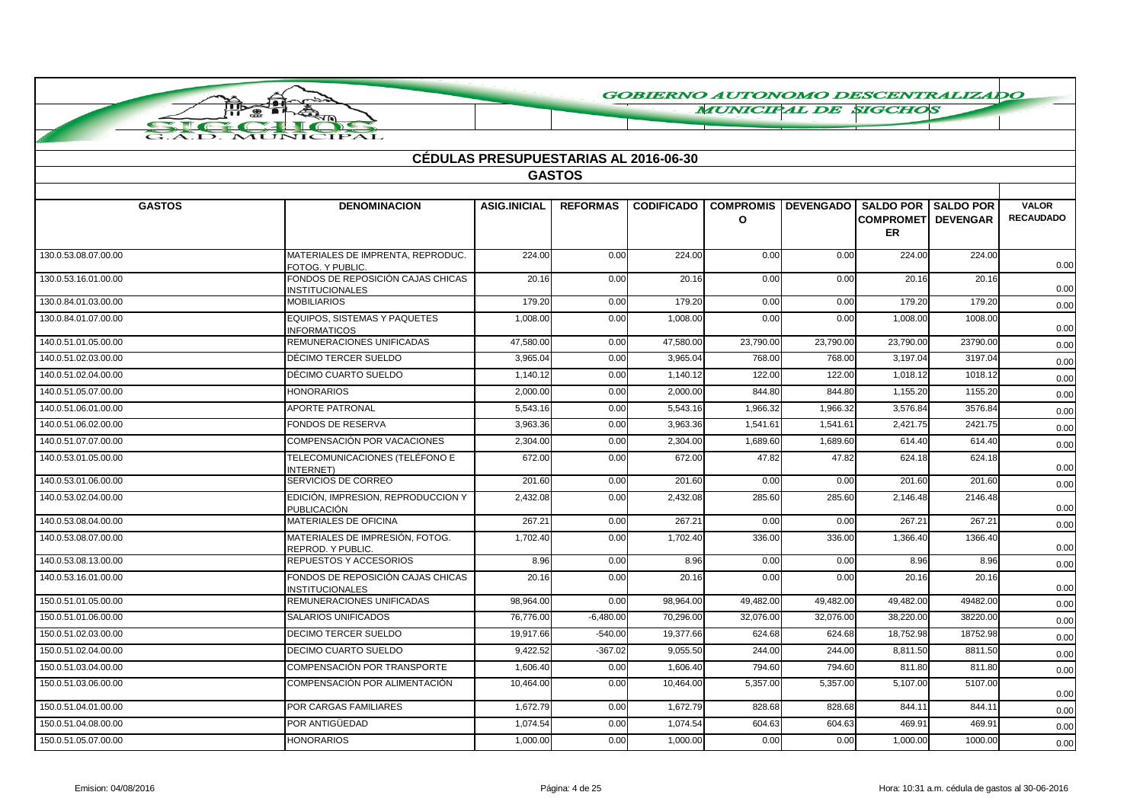**MUNICIPAL DE SIGCHOS** 

|                      |                                                             | <b>CÉDULAS PRESUPUESTARIAS AL 2016-06-30</b> |                 |                   |              |                                                      |                                         |          |                                  |
|----------------------|-------------------------------------------------------------|----------------------------------------------|-----------------|-------------------|--------------|------------------------------------------------------|-----------------------------------------|----------|----------------------------------|
|                      |                                                             |                                              | <b>GASTOS</b>   |                   |              |                                                      |                                         |          |                                  |
| <b>GASTOS</b>        | <b>DENOMINACION</b>                                         | <b>ASIG.INICIAL</b>                          | <b>REFORMAS</b> | <b>CODIFICADO</b> | $\mathbf{o}$ | <b>COMPROMIS   DEVENGADO   SALDO POR   SALDO POR</b> | <b>COMPROMETI DEVENGAR</b><br><b>ER</b> |          | <b>VALOR</b><br><b>RECAUDADO</b> |
| 130.0.53.08.07.00.00 | MATERIALES DE IMPRENTA, REPRODUC.<br>FOTOG. Y PUBLIC.       | 224.00                                       | 0.00            | 224.00            | 0.00         | 0.00                                                 | 224.00                                  | 224.00   | 0.00                             |
| 130.0.53.16.01.00.00 | FONDOS DE REPOSICIÓN CAJAS CHICAS<br><b>INSTITUCIONALES</b> | 20.16                                        | 0.00            | 20.16             | 0.00         | 0.00                                                 | 20.16                                   | 20.16    | 0.00                             |
| 130.0.84.01.03.00.00 | <b>MOBILIARIOS</b>                                          | 179.20                                       | 0.00            | 179.20            | 0.00         | 0.00                                                 | 179.20                                  | 179.20   | 0.00                             |
| 130.0.84.01.07.00.00 | <b>EQUIPOS, SISTEMAS Y PAQUETES</b><br><b>NFORMATICOS</b>   | 1.008.00                                     | 0.00            | 1.008.00          | 0.00         | 0.00                                                 | 1.008.00                                | 1008.00  | 0.00                             |
| 140.0.51.01.05.00.00 | REMUNERACIONES UNIFICADAS                                   | 47,580.00                                    | 0.00            | 47,580.00         | 23,790.00    | 23,790.00                                            | 23,790.00                               | 23790.00 | 0.00                             |
| 140.0.51.02.03.00.00 | DÉCIMO TERCER SUELDO                                        | 3,965.04                                     | 0.00            | 3,965.04          | 768.00       | 768.00                                               | 3,197.04                                | 3197.04  | 0.00                             |
| 140.0.51.02.04.00.00 | DÉCIMO CUARTO SUELDO                                        | 1,140.12                                     | 0.00            | 1,140.12          | 122.00       | 122.00                                               | 1,018.12                                | 1018.12  | 0.00                             |
| 140.0.51.05.07.00.00 | <b>HONORARIOS</b>                                           | 2,000.00                                     | 0.00            | 2,000.00          | 844.80       | 844.80                                               | 1,155.20                                | 1155.20  | 0.00                             |
| 140.0.51.06.01.00.00 | <b>APORTE PATRONAL</b>                                      | 5,543.16                                     | 0.00            | 5.543.16          | 1,966.32     | 1,966.32                                             | 3,576.84                                | 3576.84  | 0.00                             |
| 140.0.51.06.02.00.00 | <b>FONDOS DE RESERVA</b>                                    | 3,963.36                                     | 0.00            | 3,963.36          | 1,541.61     | 1,541.61                                             | 2,421.75                                | 2421.75  | 0.00                             |
| 140.0.51.07.07.00.00 | COMPENSACIÓN POR VACACIONES                                 | 2,304.00                                     | 0.00            | 2,304.00          | 1,689.60     | 1,689.60                                             | 614.40                                  | 614.40   | 0.00                             |
| 140.0.53.01.05.00.00 | TELECOMUNICACIONES (TELÉFONO E<br>INTERNET)                 | 672.00                                       | 0.00            | 672.00            | 47.82        | 47.82                                                | 624.18                                  | 624.18   | 0.00                             |
| 140.0.53.01.06.00.00 | SERVICIOS DE CORREO                                         | 201.60                                       | 0.00            | 201.60            | 0.00         | 0.00                                                 | 201.60                                  | 201.60   | 0.00                             |
| 140.0.53.02.04.00.00 | EDICIÓN, IMPRESION, REPRODUCCION Y<br>PUBLICACIÓN           | 2,432.08                                     | 0.00            | 2,432.08          | 285.60       | 285.60                                               | 2,146.48                                | 2146.48  | 0.00                             |
| 140.0.53.08.04.00.00 | MATERIALES DE OFICINA                                       | 267.21                                       | 0.00            | 267.21            | 0.00         | 0.00                                                 | 267.21                                  | 267.21   | 0.00                             |
| 140.0.53.08.07.00.00 | MATERIALES DE IMPRESIÓN, FOTOG.<br>REPROD. Y PUBLIC.        | 1,702.40                                     | 0.00            | 1,702.40          | 336.00       | 336.00                                               | 1,366.40                                | 1366.40  | 0.00                             |
| 140.0.53.08.13.00.00 | REPUESTOS Y ACCESORIOS                                      | 8.96                                         | 0.00            | 8.96              | 0.00         | 0.00                                                 | 8.96                                    | 8.96     | 0.00                             |
| 140.0.53.16.01.00.00 | FONDOS DE REPOSICIÓN CAJAS CHICAS<br><b>INSTITUCIONALES</b> | 20.16                                        | 0.00            | 20.16             | 0.00         | 0.00                                                 | 20.16                                   | 20.16    | 0.00                             |
| 150.0.51.01.05.00.00 | REMUNERACIONES UNIFICADAS                                   | 98,964.00                                    | 0.00            | 98,964.00         | 49,482.00    | 49,482.00                                            | 49,482.00                               | 49482.00 | 0.00                             |
| 150.0.51.01.06.00.00 | <b>SALARIOS UNIFICADOS</b>                                  | 76,776.00                                    | $-6,480.00$     | 70,296.00         | 32,076.00    | 32,076.00                                            | 38,220.00                               | 38220.00 | 0.00                             |
| 150.0.51.02.03.00.00 | <b>DECIMO TERCER SUELDO</b>                                 | 19,917.66                                    | $-540.00$       | 19,377.66         | 624.68       | 624.68                                               | 18,752.98                               | 18752.98 | 0.00                             |
| 150.0.51.02.04.00.00 | <b>DECIMO CUARTO SUELDO</b>                                 | 9,422.52                                     | $-367.02$       | 9,055.50          | 244.00       | 244.00                                               | 8,811.50                                | 8811.50  | 0.00                             |
| 150.0.51.03.04.00.00 | COMPENSACIÓN POR TRANSPORTE                                 | 1,606.40                                     | 0.00            | 1,606.40          | 794.60       | 794.60                                               | 811.80                                  | 811.80   | 0.00                             |
| 150.0.51.03.06.00.00 | COMPENSACIÓN POR ALIMENTACIÓN                               | 10,464.00                                    | 0.00            | 10,464.00         | 5,357.00     | 5,357.00                                             | 5,107.00                                | 5107.00  | 0.00                             |
| 150.0.51.04.01.00.00 | POR CARGAS FAMILIARES                                       | 1.672.79                                     | 0.00            | 1,672.79          | 828.68       | 828.68                                               | 844.11                                  | 844.11   | 0.00                             |
| 150.0.51.04.08.00.00 | POR ANTIGÜEDAD                                              | 1,074.54                                     | 0.00            | 1,074.54          | 604.63       | 604.63                                               | 469.91                                  | 469.91   | 0.00                             |
| 150.0.51.05.07.00.00 | <b>HONORARIOS</b>                                           | 1,000.00                                     | 0.00            | 1,000.00          | 0.00         | 0.00                                                 | 1,000.00                                | 1000.00  | 0.00                             |

ПЪ  $\bullet$ 

 $\tau$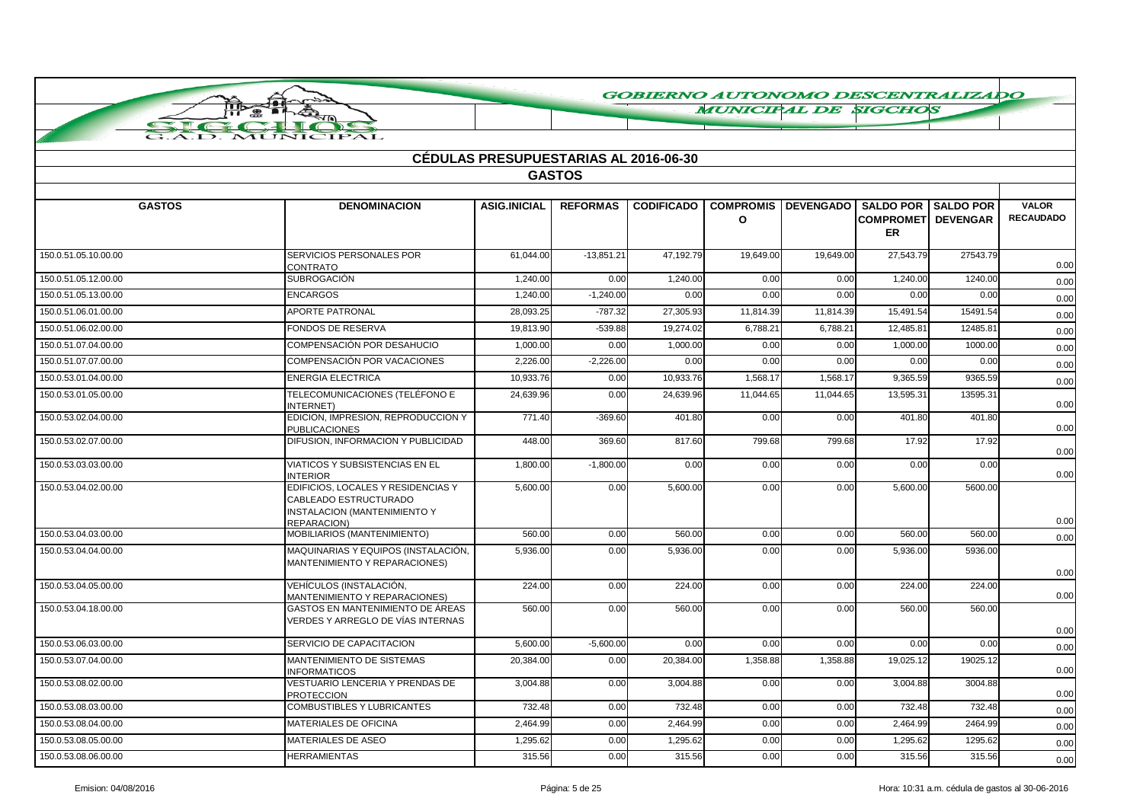**MUNICIPAL DE SIGCHOS** 

|                      |                                                                                                            | <b>CÉDULAS PRESUPUESTARIAS AL 2016-06-30</b> |                 |                   |                                  |                  |                                                         |                 |                                  |
|----------------------|------------------------------------------------------------------------------------------------------------|----------------------------------------------|-----------------|-------------------|----------------------------------|------------------|---------------------------------------------------------|-----------------|----------------------------------|
|                      |                                                                                                            |                                              | <b>GASTOS</b>   |                   |                                  |                  |                                                         |                 |                                  |
| <b>GASTOS</b>        | <b>DENOMINACION</b>                                                                                        | <b>ASIG.INICIAL</b>                          | <b>REFORMAS</b> | <b>CODIFICADO</b> | <b>COMPROMIS</b><br>$\mathbf{o}$ | <b>DEVENGADO</b> | <b>SALDO POR I SALDO POR</b><br><b>COMPROMET</b><br>ER. | <b>DEVENGAR</b> | <b>VALOR</b><br><b>RECAUDADO</b> |
| 150.0.51.05.10.00.00 | SERVICIOS PERSONALES POR<br><b>CONTRATO</b>                                                                | 61.044.00                                    | $-13.851.21$    | 47.192.79         | 19,649.00                        | 19.649.00        | 27.543.79                                               | 27543.79        | 0.00                             |
| 150.0.51.05.12.00.00 | <b>SUBROGACIÓN</b>                                                                                         | 1,240.00                                     | 0.00            | 1,240.00          | 0.00                             | 0.00             | 1,240.00                                                | 1240.00         | 0.00                             |
| 150.0.51.05.13.00.00 | <b>ENCARGOS</b>                                                                                            | 1.240.00                                     | $-1.240.00$     | 0.00              | 0.00                             | 0.00             | 0.00                                                    | 0.00            | 0.00                             |
| 150.0.51.06.01.00.00 | <b>APORTE PATRONAL</b>                                                                                     | 28,093.25                                    | $-787.32$       | 27.305.93         | 11,814.39                        | 11.814.39        | 15,491.54                                               | 15491.54        | 0.00                             |
| 150.0.51.06.02.00.00 | <b>FONDOS DE RESERVA</b>                                                                                   | 19,813.90                                    | $-539.88$       | 19.274.02         | 6.788.21                         | 6,788.21         | 12,485.81                                               | 12485.81        | 0.00                             |
| 150.0.51.07.04.00.00 | COMPENSACIÓN POR DESAHUCIO                                                                                 | 1,000.00                                     | 0.00            | 1,000.00          | 0.00                             | 0.00             | 1,000.00                                                | 1000.00         | 0.00                             |
| 150.0.51.07.07.00.00 | COMPENSACIÓN POR VACACIONES                                                                                | 2,226.00                                     | $-2,226.00$     | 0.00              | 0.00                             | 0.00             | 0.00                                                    | 0.00            | 0.00                             |
| 150.0.53.01.04.00.00 | <b>ENERGIA ELECTRICA</b>                                                                                   | 10,933.76                                    | 0.00            | 10,933.76         | 1,568.17                         | 1,568.17         | 9,365.59                                                | 9365.59         | 0.00                             |
| 150.0.53.01.05.00.00 | TELECOMUNICACIONES (TELÉFONO E<br>INTERNET)                                                                | 24,639.96                                    | 0.00            | 24.639.96         | 11,044.65                        | 11.044.65        | 13,595.31                                               | 13595.31        | 0.00                             |
| 150.0.53.02.04.00.00 | EDICION, IMPRESION, REPRODUCCION Y<br><b>PUBLICACIONES</b>                                                 | 771.40                                       | $-369.60$       | 401.80            | 0.00                             | 0.00             | 401.80                                                  | 401.80          | 0.00                             |
| 150.0.53.02.07.00.00 | DIFUSION, INFORMACION Y PUBLICIDAD                                                                         | 448.00                                       | 369.60          | 817.60            | 799.68                           | 799.68           | 17.92                                                   | 17.92           | 0.00                             |
| 150.0.53.03.03.00.00 | VIATICOS Y SUBSISTENCIAS EN EL<br><b>INTERIOR</b>                                                          | 1,800.00                                     | $-1,800.00$     | 0.00              | 0.00                             | 0.00             | 0.00                                                    | 0.00            | 0.00                             |
| 150.0.53.04.02.00.00 | EDIFICIOS, LOCALES Y RESIDENCIAS Y<br>CABLEADO ESTRUCTURADO<br>INSTALACION (MANTENIMIENTO Y<br>REPARACION) | 5,600.00                                     | 0.00            | 5,600.00          | 0.00                             | 0.00             | 5,600.00                                                | 5600.00         | 0.00                             |
| 150.0.53.04.03.00.00 | MOBILIARIOS (MANTENIMIENTO)                                                                                | 560.00                                       | 0.00            | 560.00            | 0.00                             | 0.00             | 560.00                                                  | 560.00          | 0.00                             |
| 150.0.53.04.04.00.00 | MAQUINARIAS Y EQUIPOS (INSTALACIÓN,<br>MANTENIMIENTO Y REPARACIONES)                                       | 5,936.00                                     | 0.00            | 5,936.00          | 0.00                             | 0.00             | 5,936.00                                                | 5936.00         | 0.00                             |
| 150.0.53.04.05.00.00 | VEHÍCULOS (INSTALACIÓN,<br>MANTENIMIENTO Y REPARACIONES)                                                   | 224.00                                       | 0.00            | 224.00            | 0.00                             | 0.00             | 224.00                                                  | 224.00          | 0.00                             |
| 150.0.53.04.18.00.00 | GASTOS EN MANTENIMIENTO DE ÁREAS<br>VERDES Y ARREGLO DE VÍAS INTERNAS                                      | 560.00                                       | 0.00            | 560.00            | 0.00                             | 0.00             | 560.00                                                  | 560.00          | 0.00                             |
| 150.0.53.06.03.00.00 | SERVICIO DE CAPACITACION                                                                                   | 5,600.00                                     | $-5,600.00$     | 0.00              | 0.00                             | 0.00             | 0.00                                                    | 0.00            | 0.00                             |
| 150.0.53.07.04.00.00 | MANTENIMIENTO DE SISTEMAS<br><b>INFORMATICOS</b>                                                           | 20,384.00                                    | 0.00            | 20,384.00         | 1,358.88                         | 1,358.88         | 19,025.12                                               | 19025.12        | 0.00                             |
| 150.0.53.08.02.00.00 | VESTUARIO LENCERIA Y PRENDAS DE<br><b>PROTECCION</b>                                                       | 3,004.88                                     | 0.00            | 3,004.88          | 0.00                             | 0.00             | 3,004.88                                                | 3004.88         | 0.00                             |
| 150.0.53.08.03.00.00 | <b>COMBUSTIBLES Y LUBRICANTES</b>                                                                          | 732.48                                       | 0.00            | 732.48            | 0.00                             | 0.00             | 732.48                                                  | 732.48          | 0.00                             |
| 150.0.53.08.04.00.00 | <b>MATERIALES DE OFICINA</b>                                                                               | 2,464.99                                     | 0.00            | 2,464.99          | 0.00                             | 0.00             | 2,464.99                                                | 2464.99         | 0.00                             |
| 150.0.53.08.05.00.00 | <b>MATERIALES DE ASEO</b>                                                                                  | 1,295.62                                     | 0.00            | 1,295.62          | 0.00                             | 0.00             | 1,295.62                                                | 1295.62         | 0.00                             |
| 150.0.53.08.06.00.00 | <b>HERRAMIENTAS</b>                                                                                        | 315.56                                       | 0.00            | 315.56            | 0.00                             | 0.00             | 315.56                                                  | 315.56          | 0.00                             |

Пīк

 $\sum_{i=1}^{n}$ 

 $\bullet$ 

 $TPAI$ 

Ŧ.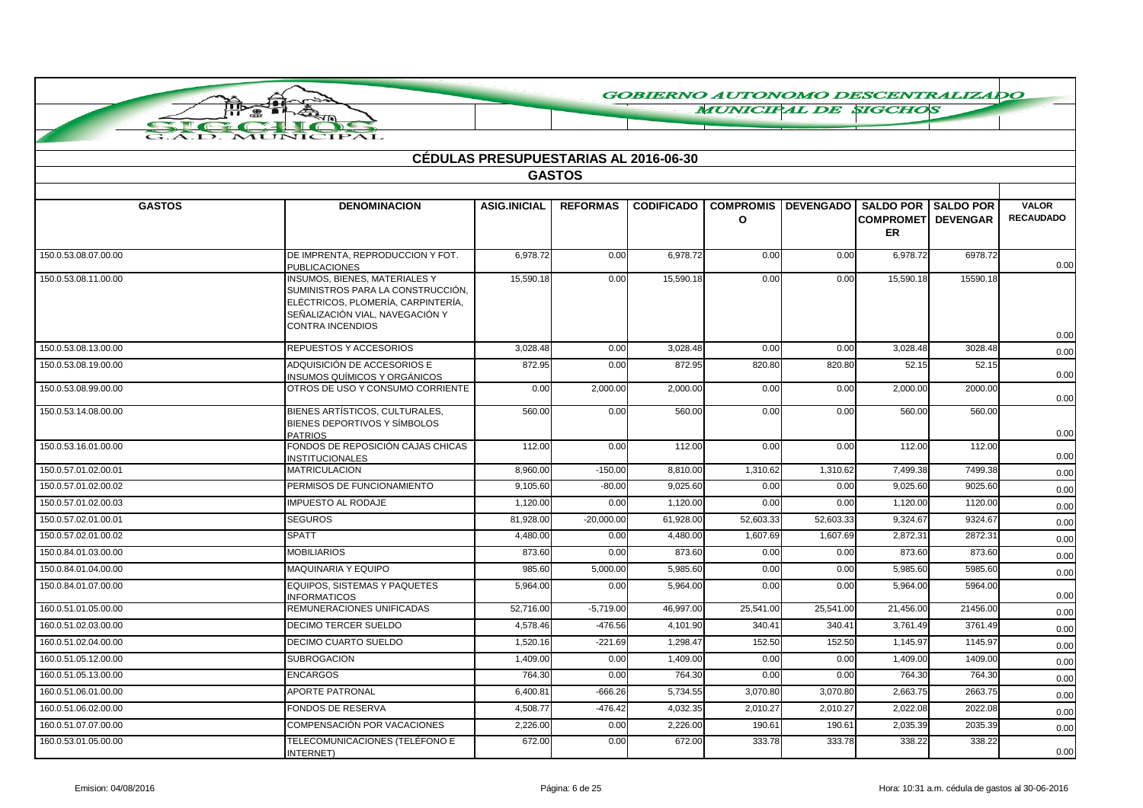**MUNICIPAL DE SIGCHOS** 

|                      |                                                                                                                                                                               | <b>CÉDULAS PRESUPUESTARIAS AL 2016-06-30</b> |                 |                   |                             |                  |                                                             |                  |                                  |
|----------------------|-------------------------------------------------------------------------------------------------------------------------------------------------------------------------------|----------------------------------------------|-----------------|-------------------|-----------------------------|------------------|-------------------------------------------------------------|------------------|----------------------------------|
|                      |                                                                                                                                                                               |                                              | <b>GASTOS</b>   |                   |                             |                  |                                                             |                  |                                  |
|                      |                                                                                                                                                                               |                                              |                 |                   |                             |                  |                                                             |                  |                                  |
| <b>GASTOS</b>        | <b>DENOMINACION</b>                                                                                                                                                           | <b>ASIG.INICIAL</b>                          | <b>REFORMAS</b> | <b>CODIFICADO</b> | <b>COMPROMIS</b><br>$\circ$ | <b>DEVENGADO</b> | <b>SALDO POR</b><br><b>COMPROMETI DEVENGAR</b><br><b>ER</b> | <b>SALDO POR</b> | <b>VALOR</b><br><b>RECAUDADO</b> |
| 150.0.53.08.07.00.00 | DE IMPRENTA, REPRODUCCION Y FOT.<br><b>PUBLICACIONES</b>                                                                                                                      | 6.978.72                                     | 0.00            | 6,978.72          | 0.00                        | 0.00             | 6,978.72                                                    | 6978.72          | 0.00                             |
| 150.0.53.08.11.00.00 | <b>INSUMOS, BIENES, MATERIALES Y</b><br>SUMINISTROS PARA LA CONSTRUCCIÓN,<br>ELÉCTRICOS, PLOMERÍA, CARPINTERÍA,<br>SEÑALIZACIÓN VIAL. NAVEGACIÓN Y<br><b>CONTRA INCENDIOS</b> | 15.590.18                                    | 0.00            | 15,590.18         | 0.00                        | 0.00             | 15.590.18                                                   | 15590.18         |                                  |
| 150.0.53.08.13.00.00 | REPUESTOS Y ACCESORIOS                                                                                                                                                        | 3,028.48                                     | 0.00            | 3,028.48          | 0.00                        | 0.00             | 3,028.48                                                    | 3028.48          | 0.00<br>0.00                     |
| 150.0.53.08.19.00.00 | ADQUISICIÓN DE ACCESORIOS E<br>INSUMOS QUÍMICOS Y ORGÁNICOS                                                                                                                   | 872.95                                       | 0.00            | 872.95            | 820.80                      | 820.80           | 52.15                                                       | 52.15            | 0.00                             |
| 150.0.53.08.99.00.00 | OTROS DE USO Y CONSUMO CORRIENTE                                                                                                                                              | 0.00                                         | 2,000.00        | 2,000.00          | 0.00                        | 0.00             | 2,000.00                                                    | 2000.00          | 0.00                             |
| 150.0.53.14.08.00.00 | BIENES ARTÍSTICOS, CULTURALES,<br>BIENES DEPORTIVOS Y SÍMBOLOS<br><b>PATRIOS</b>                                                                                              | 560.00                                       | 0.00            | 560.00            | 0.00                        | 0.00             | 560.00                                                      | 560.00           | 0.00                             |
| 150.0.53.16.01.00.00 | FONDOS DE REPOSICIÓN CAJAS CHICAS<br><b>INSTITUCIONALES</b>                                                                                                                   | 112.00                                       | 0.00            | 112.00            | 0.00                        | 0.00             | 112.00                                                      | 112.00           | 0.00                             |
| 150.0.57.01.02.00.01 | <b>MATRICULACION</b>                                                                                                                                                          | 8,960.00                                     | $-150.00$       | 8,810.00          | 1,310.62                    | 1,310.62         | 7,499.38                                                    | 7499.38          | 0.00                             |
| 150.0.57.01.02.00.02 | PERMISOS DE FUNCIONAMIENTO                                                                                                                                                    | 9,105.60                                     | $-80.00$        | 9,025.60          | 0.00                        | 0.00             | 9,025.60                                                    | 9025.60          | 0.00                             |
| 150.0.57.01.02.00.03 | <b>IMPUESTO AL RODAJE</b>                                                                                                                                                     | 1,120.00                                     | 0.00            | 1,120.00          | 0.00                        | 0.00             | 1,120.00                                                    | 1120.00          | 0.00                             |
| 150.0.57.02.01.00.01 | <b>SEGUROS</b>                                                                                                                                                                | 81,928.00                                    | $-20,000.00$    | 61,928.00         | 52,603.33                   | 52,603.33        | 9,324.67                                                    | 9324.67          | 0.00                             |
| 150.0.57.02.01.00.02 | <b>SPATT</b>                                                                                                                                                                  | 4.480.00                                     | 0.00            | 4.480.00          | 1,607.69                    | 1,607.69         | 2.872.31                                                    | 2872.31          | 0.00                             |
| 150.0.84.01.03.00.00 | <b>MOBILIARIOS</b>                                                                                                                                                            | 873.60                                       | 0.00            | 873.60            | 0.00                        | 0.00             | 873.60                                                      | 873.60           | 0.00                             |
| 150.0.84.01.04.00.00 | MAQUINARIA Y EQUIPO                                                                                                                                                           | 985.60                                       | 5,000.00        | 5,985.60          | 0.00                        | 0.00             | 5,985.60                                                    | 5985.60          | 0.00                             |
| 150.0.84.01.07.00.00 | EQUIPOS, SISTEMAS Y PAQUETES<br><b>INFORMATICOS</b>                                                                                                                           | 5,964.00                                     | 0.00            | 5,964.00          | 0.00                        | 0.00             | 5,964.00                                                    | 5964.00          | 0.00                             |
| 160.0.51.01.05.00.00 | REMUNERACIONES UNIFICADAS                                                                                                                                                     | 52,716.00                                    | $-5,719.00$     | 46,997.00         | 25,541.00                   | 25,541.00        | 21,456.00                                                   | 21456.00         | 0.00                             |
| 160.0.51.02.03.00.00 | DECIMO TERCER SUELDO                                                                                                                                                          | 4,578.46                                     | $-476.56$       | 4,101.90          | 340.41                      | 340.41           | 3,761.49                                                    | 3761.49          | 0.00                             |
| 160.0.51.02.04.00.00 | <b>DECIMO CUARTO SUELDO</b>                                                                                                                                                   | 1,520.16                                     | $-221.69$       | 1,298.47          | 152.50                      | 152.50           | 1,145.97                                                    | 1145.97          | 0.00                             |
| 160.0.51.05.12.00.00 | <b>SUBROGACION</b>                                                                                                                                                            | 1,409.00                                     | 0.00            | 1,409.00          | 0.00                        | 0.00             | 1,409.00                                                    | 1409.00          | 0.00                             |
| 160.0.51.05.13.00.00 | <b>ENCARGOS</b>                                                                                                                                                               | 764.30                                       | 0.00            | 764.30            | 0.00                        | 0.00             | 764.30                                                      | 764.30           | 0.00                             |
| 160.0.51.06.01.00.00 | <b>APORTE PATRONAL</b>                                                                                                                                                        | 6,400.81                                     | $-666.26$       | 5,734.55          | 3,070.80                    | 3,070.80         | 2,663.75                                                    | 2663.75          | 0.00                             |
| 160.0.51.06.02.00.00 | <b>FONDOS DE RESERVA</b>                                                                                                                                                      | 4,508.77                                     | $-476.42$       | 4,032.35          | 2,010.27                    | 2,010.27         | 2,022.08                                                    | 2022.08          | 0.00                             |
| 160.0.51.07.07.00.00 | COMPENSACIÓN POR VACACIONES                                                                                                                                                   | 2,226.00                                     | 0.00            | 2,226.00          | 190.61                      | 190.61           | 2,035.39                                                    | 2035.39          | 0.00                             |
| 160.0.53.01.05.00.00 | TELECOMUNICACIONES (TELÉFONO E<br>INTERNET)                                                                                                                                   | 672.00                                       | 0.00            | 672.00            | 333.78                      | 333.78           | 338.22                                                      | 338.22           | 0.00                             |

**A** 

-43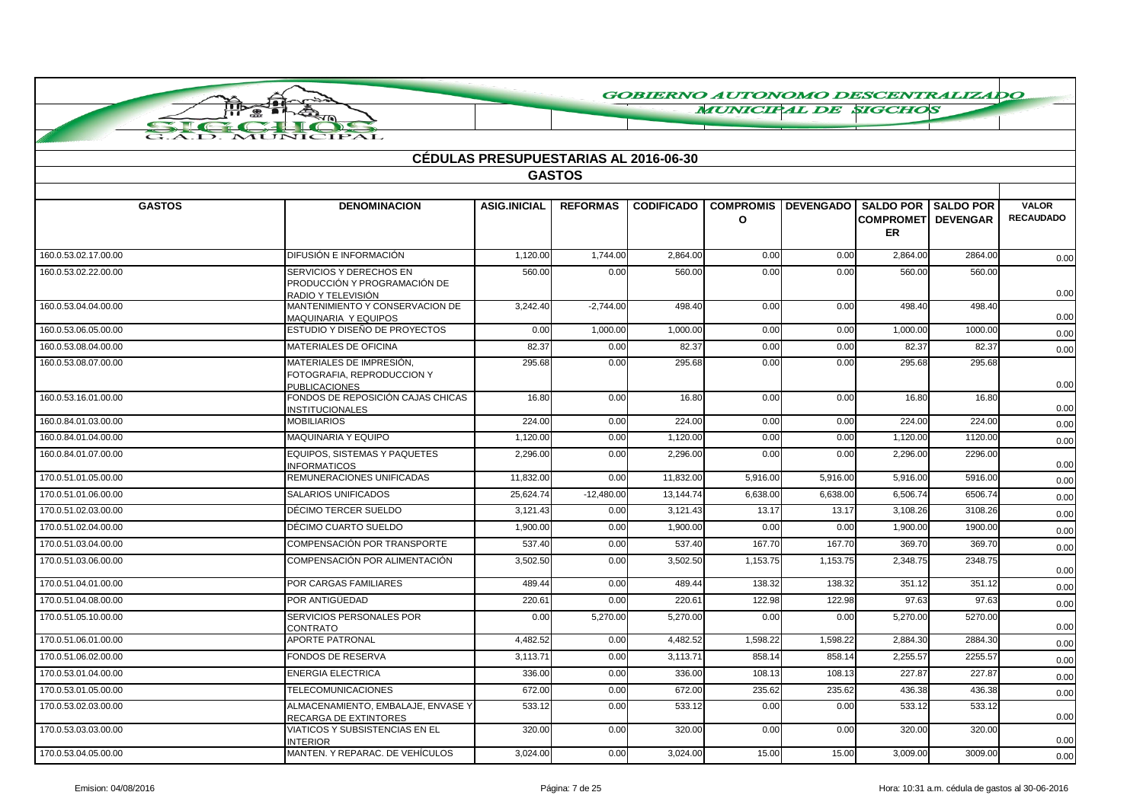**MUNICIPAL DE SIGCHOS** 

|  | <b>MUNICIPAL</b> |  |
|--|------------------|--|
|  |                  |  |

 $\sim$ 

 $\star$ 

| <b>CÉDULAS PRESUPUESTARIAS AL 2016-06-30</b> |                                                                                |                     |                 |                   |                              |                  |                                                   |                                     |                                  |
|----------------------------------------------|--------------------------------------------------------------------------------|---------------------|-----------------|-------------------|------------------------------|------------------|---------------------------------------------------|-------------------------------------|----------------------------------|
| <b>GASTOS</b>                                |                                                                                |                     |                 |                   |                              |                  |                                                   |                                     |                                  |
|                                              |                                                                                |                     |                 |                   |                              |                  |                                                   |                                     |                                  |
| <b>GASTOS</b>                                | <b>DENOMINACION</b>                                                            | <b>ASIG.INICIAL</b> | <b>REFORMAS</b> | <b>CODIFICADO</b> | <b>COMPROMIS</b><br>$\Omega$ | <b>DEVENGADO</b> | <b>SALDO POR</b><br><b>COMPROMET</b><br><b>ER</b> | <b>SALDO POR</b><br><b>DEVENGAR</b> | <b>VALOR</b><br><b>RECAUDADO</b> |
| 160.0.53.02.17.00.00                         | DIFUSIÓN E INFORMACIÓN                                                         | 1,120.00            | 1,744.00        | 2,864.00          | 0.00                         | 0.00             | 2,864.00                                          | 2864.00                             | 0.00                             |
| 160.0.53.02.22.00.00                         | SERVICIOS Y DERECHOS EN<br>PRODUCCIÓN Y PROGRAMACIÓN DE<br>RADIO Y TELEVISIÓN  | 560.00              | 0.00            | 560.00            | 0.00                         | 0.00             | 560.00                                            | 560.00                              | 0.00                             |
| 160.0.53.04.04.00.00                         | MANTENIMIENTO Y CONSERVACION DE<br>MAQUINARIA Y EQUIPOS                        | 3,242.40            | $-2,744.00$     | 498.40            | 0.00                         | 0.00             | 498.40                                            | 498.40                              | 0.00                             |
| 160.0.53.06.05.00.00                         | ESTUDIO Y DISEÑO DE PROYECTOS                                                  | 0.00                | 1,000.00        | 1,000.00          | 0.00                         | 0.00             | 1,000.00                                          | 1000.00                             | 0.00                             |
| 160.0.53.08.04.00.00                         | <b>MATERIALES DE OFICINA</b>                                                   | 82.37               | 0.00            | 82.37             | 0.00                         | 0.00             | 82.37                                             | 82.37                               | 0.00                             |
| 160.0.53.08.07.00.00                         | MATERIALES DE IMPRESIÓN,<br>FOTOGRAFIA, REPRODUCCION Y<br><b>PUBLICACIONES</b> | 295.68              | 0.00            | 295.68            | 0.00                         | 0.00             | 295.68                                            | 295.68                              | 0.00                             |
| 160.0.53.16.01.00.00                         | FONDOS DE REPOSICIÓN CAJAS CHICAS<br><b>INSTITUCIONALES</b>                    | 16.80               | 0.00            | 16.80             | 0.00                         | 0.00             | 16.80                                             | 16.80                               | 0.00                             |
| 160.0.84.01.03.00.00                         | <b>MOBILIARIOS</b>                                                             | 224.00              | 0.00            | 224.00            | 0.00                         | 0.00             | 224.00                                            | 224.00                              | 0.00                             |
| 160.0.84.01.04.00.00                         | MAQUINARIA Y EQUIPO                                                            | 1,120.00            | 0.00            | 1,120.00          | 0.00                         | 0.00             | 1,120.00                                          | 1120.00                             | 0.00                             |
| 160.0.84.01.07.00.00                         | EQUIPOS, SISTEMAS Y PAQUETES<br><b>INFORMATICOS</b>                            | 2,296.00            | 0.00            | 2,296.00          | 0.00                         | 0.00             | 2,296.00                                          | 2296.00                             | 0.00                             |
| 170.0.51.01.05.00.00                         | REMUNERACIONES UNIFICADAS                                                      | 11,832.00           | 0.00            | 11,832.00         | 5,916.00                     | 5,916.00         | 5,916.00                                          | 5916.00                             | 0.00                             |
| 170.0.51.01.06.00.00                         | SALARIOS UNIFICADOS                                                            | 25,624.74           | $-12,480.00$    | 13,144.74         | 6,638.00                     | 6,638.00         | 6,506.74                                          | 6506.74                             | 0.00                             |
| 170.0.51.02.03.00.00                         | DÉCIMO TERCER SUELDO                                                           | 3,121.43            | 0.00            | 3,121.43          | 13.17                        | 13.17            | 3,108.26                                          | 3108.26                             | 0.00                             |
| 170.0.51.02.04.00.00                         | DÉCIMO CUARTO SUELDO                                                           | 1,900.00            | 0.00            | 1,900.00          | 0.00                         | 0.00             | 1,900.00                                          | 1900.00                             | 0.00                             |
| 170.0.51.03.04.00.00                         | COMPENSACIÓN POR TRANSPORTE                                                    | 537.40              | 0.00            | 537.40            | 167.70                       | 167.70           | 369.70                                            | 369.70                              | 0.00                             |
| 170.0.51.03.06.00.00                         | COMPENSACIÓN POR ALIMENTACIÓN                                                  | 3,502.50            | 0.00            | 3,502.50          | 1,153.75                     | 1,153.75         | 2,348.75                                          | 2348.75                             | 0.00                             |
| 170.0.51.04.01.00.00                         | POR CARGAS FAMILIARES                                                          | 489.44              | 0.00            | 489.44            | 138.32                       | 138.32           | 351.12                                            | 351.12                              | 0.00                             |
| 170.0.51.04.08.00.00                         | POR ANTIGÜEDAD                                                                 | 220.61              | 0.00            | 220.61            | 122.98                       | 122.98           | 97.63                                             | 97.63                               | 0.00                             |
| 170.0.51.05.10.00.00                         | SERVICIOS PERSONALES POR<br>CONTRATO                                           | 0.00                | 5,270.00        | 5,270.00          | 0.00                         | 0.00             | 5,270.00                                          | 5270.00                             | 0.00                             |
| 170.0.51.06.01.00.00                         | <b>APORTE PATRONAL</b>                                                         | 4,482.52            | 0.00            | 4,482.52          | 1,598.22                     | 1,598.22         | 2,884.30                                          | 2884.30                             | 0.00                             |
| 170.0.51.06.02.00.00                         | <b>FONDOS DE RESERVA</b>                                                       | 3,113.71            | 0.00            | 3,113.71          | 858.14                       | 858.14           | 2,255.57                                          | 2255.57                             | 0.00                             |
| 170.0.53.01.04.00.00                         | <b>ENERGIA ELECTRICA</b>                                                       | 336.00              | 0.00            | 336.00            | 108.13                       | 108.13           | 227.87                                            | 227.87                              | 0.00                             |
| 170.0.53.01.05.00.00                         | <b>TELECOMUNICACIONES</b>                                                      | 672.00              | 0.00            | 672.00            | 235.62                       | 235.62           | 436.38                                            | 436.38                              | 0.00                             |
| 170.0.53.02.03.00.00                         | ALMACENAMIENTO, EMBALAJE, ENVASE Y<br>RECARGA DE EXTINTORES                    | 533.12              | 0.00            | 533.12            | 0.00                         | 0.00             | 533.12                                            | 533.12                              | 0.00                             |
| 170.0.53.03.03.00.00                         | <b>VIATICOS Y SUBSISTENCIAS EN EL</b><br><b>NTERIOR</b>                        | 320.00              | 0.00            | 320.00            | 0.00                         | 0.00             | 320.00                                            | 320.00                              | 0.00                             |
| 170.0.53.04.05.00.00                         | MANTEN, Y REPARAC, DE VEHÍCULOS                                                | 3.024.00            | 0.00            | 3.024.00          | 15.00                        | 15.00            | 3.009.00                                          | 3009.00                             | 0.00                             |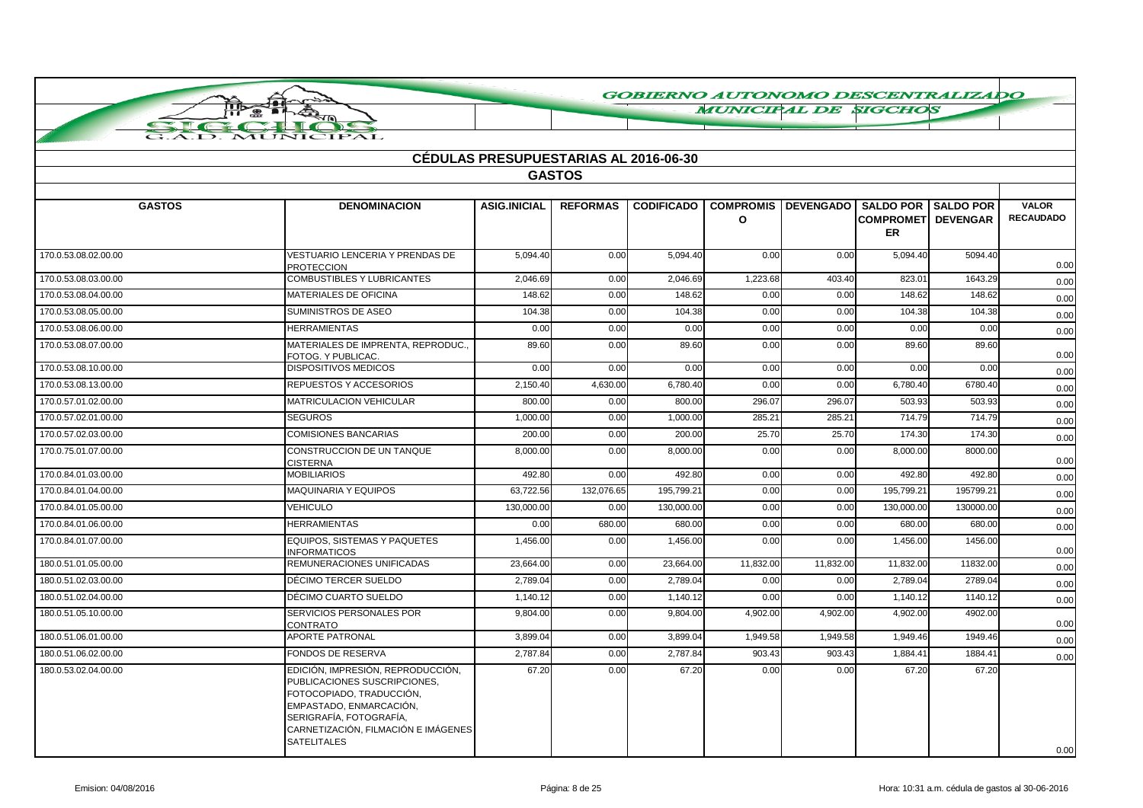**MUNICIPAL DE SIGCHOS** 

|                      |                                                                                                                                                                                                                  | <b>CEDULAS PRESUPUESTARIAS AL 2016-06-30</b> |                 |                   |                                  |                                   |                                        |           |                                  |
|----------------------|------------------------------------------------------------------------------------------------------------------------------------------------------------------------------------------------------------------|----------------------------------------------|-----------------|-------------------|----------------------------------|-----------------------------------|----------------------------------------|-----------|----------------------------------|
|                      |                                                                                                                                                                                                                  |                                              | <b>GASTOS</b>   |                   |                                  |                                   |                                        |           |                                  |
| <b>GASTOS</b>        | <b>DENOMINACION</b>                                                                                                                                                                                              | <b>ASIG.INICIAL</b>                          | <b>REFORMAS</b> | <b>CODIFICADO</b> | <b>COMPROMIS</b><br>$\mathbf{o}$ | DEVENGADO   SALDO POR   SALDO POR | <b>COMPROMET DEVENGAR</b><br><b>ER</b> |           | <b>VALOR</b><br><b>RECAUDADO</b> |
|                      |                                                                                                                                                                                                                  |                                              |                 |                   |                                  |                                   |                                        |           |                                  |
| 170.0.53.08.02.00.00 | <b>VESTUARIO LENCERIA Y PRENDAS DE</b><br><b>PROTECCION</b>                                                                                                                                                      | 5,094.40                                     | 0.00            | 5,094.40          | 0.00                             | 0.00                              | 5,094.40                               | 5094.40   | 0.00                             |
| 170.0.53.08.03.00.00 | <b>COMBUSTIBLES Y LUBRICANTES</b>                                                                                                                                                                                | 2,046.69                                     | 0.00            | 2,046.69          | 1,223.68                         | 403.40                            | 823.01                                 | 1643.29   | 0.00                             |
| 170.0.53.08.04.00.00 | <b>MATERIALES DE OFICINA</b>                                                                                                                                                                                     | 148.62                                       | 0.00            | 148.62            | 0.00                             | 0.00                              | 148.62                                 | 148.62    | 0.00                             |
| 170.0.53.08.05.00.00 | SUMINISTROS DE ASEO                                                                                                                                                                                              | 104.38                                       | 0.00            | 104.38            | 0.00                             | 0.00                              | 104.38                                 | 104.38    | 0.00                             |
| 170.0.53.08.06.00.00 | <b>HERRAMIENTAS</b>                                                                                                                                                                                              | 0.00                                         | 0.00            | 0.00              | 0.00                             | 0.00                              | 0.00                                   | 0.00      | 0.00                             |
| 170.0.53.08.07.00.00 | MATERIALES DE IMPRENTA, REPRODUC.,<br>FOTOG. Y PUBLICAC.                                                                                                                                                         | 89.60                                        | 0.00            | 89.60             | 0.00                             | 0.00                              | 89.60                                  | 89.60     | 0.00                             |
| 170.0.53.08.10.00.00 | <b>DISPOSITIVOS MEDICOS</b>                                                                                                                                                                                      | 0.00                                         | 0.00            | 0.00              | 0.00                             | 0.00                              | 0.00                                   | 0.00      | 0.00                             |
| 170.0.53.08.13.00.00 | REPUESTOS Y ACCESORIOS                                                                                                                                                                                           | 2,150.40                                     | 4,630.00        | 6,780.40          | 0.00                             | 0.00                              | 6,780.40                               | 6780.40   | 0.00                             |
| 170.0.57.01.02.00.00 | <b>MATRICULACION VEHICULAR</b>                                                                                                                                                                                   | 800.00                                       | 0.00            | 800.00            | 296.07                           | 296.07                            | 503.93                                 | 503.93    | 0.00                             |
| 170.0.57.02.01.00.00 | <b>SEGUROS</b>                                                                                                                                                                                                   | 1.000.00                                     | 0.00            | 1.000.00          | 285.21                           | 285.21                            | 714.79                                 | 714.79    | 0.00                             |
| 170.0.57.02.03.00.00 | <b>COMISIONES BANCARIAS</b>                                                                                                                                                                                      | 200.00                                       | 0.00            | 200.00            | 25.70                            | 25.70                             | 174.30                                 | 174.30    | 0.00                             |
| 170.0.75.01.07.00.00 | CONSTRUCCION DE UN TANQUE<br>CISTERNA                                                                                                                                                                            | 8,000.00                                     | 0.00            | 8,000.00          | 0.00                             | 0.00                              | 8,000.00                               | 8000.00   | 0.00                             |
| 170.0.84.01.03.00.00 | <b>MOBILIARIOS</b>                                                                                                                                                                                               | 492.80                                       | 0.00            | 492.80            | 0.00                             | 0.00                              | 492.80                                 | 492.80    | 0.00                             |
| 170.0.84.01.04.00.00 | <b>MAQUINARIA Y EQUIPOS</b>                                                                                                                                                                                      | 63,722.56                                    | 132,076.65      | 195,799.21        | 0.00                             | 0.00                              | 195,799.21                             | 195799.21 | 0.00                             |
| 170.0.84.01.05.00.00 | <b>VEHICULO</b>                                                                                                                                                                                                  | 130,000.00                                   | 0.00            | 130,000.00        | 0.00                             | 0.00                              | 130,000.00                             | 130000.00 | 0.00                             |
| 170.0.84.01.06.00.00 | <b>HERRAMIENTAS</b>                                                                                                                                                                                              | 0.00                                         | 680.00          | 680.00            | 0.00                             | 0.00                              | 680.00                                 | 680.00    | 0.00                             |
| 170.0.84.01.07.00.00 | EQUIPOS. SISTEMAS Y PAQUETES<br><b>INFORMATICOS</b>                                                                                                                                                              | 1.456.00                                     | 0.00            | 1.456.00          | 0.00                             | 0.00                              | 1.456.00                               | 1456.00   | 0.00                             |
| 180.0.51.01.05.00.00 | REMUNERACIONES UNIFICADAS                                                                                                                                                                                        | 23,664.00                                    | 0.00            | 23,664.00         | 11,832.00                        | 11,832.00                         | 11,832.00                              | 11832.00  | 0.00                             |
| 180.0.51.02.03.00.00 | DÉCIMO TERCER SUELDO                                                                                                                                                                                             | 2,789.04                                     | 0.00            | 2,789.04          | 0.00                             | 0.00                              | 2,789.04                               | 2789.04   | 0.00                             |
| 180.0.51.02.04.00.00 | DÉCIMO CUARTO SUELDO                                                                                                                                                                                             | 1,140.12                                     | 0.00            | 1,140.12          | 0.00                             | 0.00                              | 1,140.12                               | 1140.12   | 0.00                             |
| 180.0.51.05.10.00.00 | SERVICIOS PERSONALES POR<br>CONTRATO                                                                                                                                                                             | 9.804.00                                     | 0.00            | 9,804.00          | 4,902.00                         | 4.902.00                          | 4,902.00                               | 4902.00   | 0.00                             |
| 180.0.51.06.01.00.00 | <b>APORTE PATRONAL</b>                                                                                                                                                                                           | 3.899.04                                     | 0.00            | 3.899.04          | 1.949.58                         | 1.949.58                          | 1.949.46                               | 1949.46   | 0.00                             |
| 180.0.51.06.02.00.00 | <b>FONDOS DE RESERVA</b>                                                                                                                                                                                         | 2,787.84                                     | 0.00            | 2,787.84          | 903.43                           | 903.43                            | 1,884.41                               | 1884.41   | 0.00                             |
| 180.0.53.02.04.00.00 | EDICIÓN, IMPRESIÓN, REPRODUCCIÓN,<br>PUBLICACIONES SUSCRIPCIONES,<br>FOTOCOPIADO, TRADUCCIÓN,<br>EMPASTADO, ENMARCACIÓN,<br>SERIGRAFÍA, FOTOGRAFÍA,<br>CARNETIZACIÓN, FILMACIÓN E IMÁGENES<br><b>SATELITALES</b> | 67.20                                        | 0.00            | 67.20             | 0.00                             | 0.00                              | 67.20                                  | 67.20     | 0.00                             |

 $\overline{\mathsf{nb}}$ ❀

**AUNIC**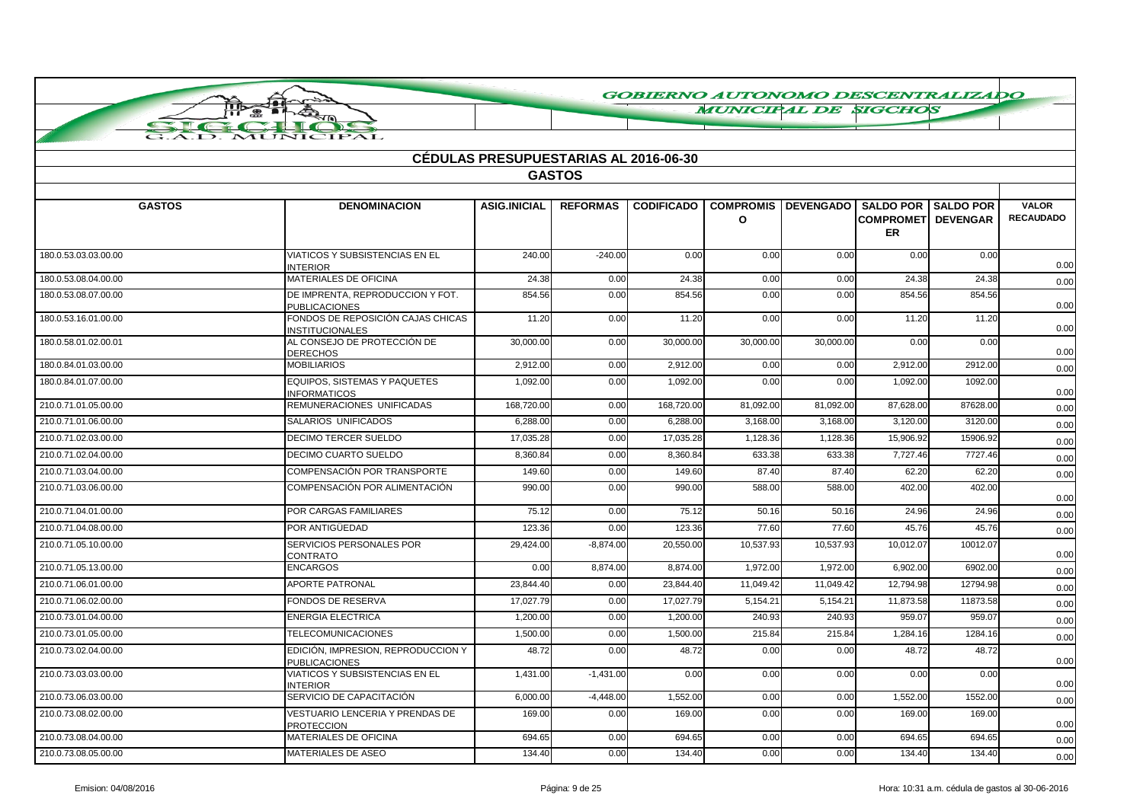**MUNICIPAL DE SIGCHOS** 

| <b>CÉDULAS PRESUPUESTARIAS AL 2016-06-30</b> |                                                             |                     |                 |                   |                                  |                  |                                                                       |          |                                  |  |
|----------------------------------------------|-------------------------------------------------------------|---------------------|-----------------|-------------------|----------------------------------|------------------|-----------------------------------------------------------------------|----------|----------------------------------|--|
|                                              |                                                             |                     | <b>GASTOS</b>   |                   |                                  |                  |                                                                       |          |                                  |  |
| <b>GASTOS</b>                                | <b>DENOMINACION</b>                                         | <b>ASIG.INICIAL</b> | <b>REFORMAS</b> | <b>CODIFICADO</b> | <b>COMPROMIS</b><br>$\mathbf{o}$ | <b>DEVENGADO</b> | <b>SALDO POR SALDO POR</b><br><b>COMPROMETI DEVENGAR</b><br><b>ER</b> |          | <b>VALOR</b><br><b>RECAUDADO</b> |  |
| 180.0.53.03.03.00.00                         | <b>VIATICOS Y SUBSISTENCIAS EN EL</b><br><b>INTERIOR</b>    | 240.00              | $-240.00$       | 0.00              | 0.00                             | 0.00             | 0.00                                                                  | 0.00     | 0.00                             |  |
| 180.0.53.08.04.00.00                         | <b>MATERIALES DE OFICINA</b>                                | 24.38               | 0.00            | 24.38             | 0.00                             | 0.00             | 24.38                                                                 | 24.38    | 0.00                             |  |
| 180.0.53.08.07.00.00                         | DE IMPRENTA, REPRODUCCION Y FOT.<br><b>PUBLICACIONES</b>    | 854.56              | 0.00            | 854.56            | 0.00                             | 0.00             | 854.56                                                                | 854.56   | 0.00                             |  |
| 180.0.53.16.01.00.00                         | FONDOS DE REPOSICIÓN CAJAS CHICAS<br><b>INSTITUCIONALES</b> | 11.20               | 0.00            | 11.20             | 0.00                             | 0.00             | 11.20                                                                 | 11.20    | 0.00                             |  |
| 180.0.58.01.02.00.01                         | AL CONSEJO DE PROTECCIÓN DE<br><b>DERECHOS</b>              | 30,000.00           | 0.00            | 30,000.00         | 30,000.00                        | 30,000.00        | 0.00                                                                  | 0.00     | 0.00                             |  |
| 180.0.84.01.03.00.00                         | <b>MOBILIARIOS</b>                                          | 2.912.00            | 0.00            | 2,912.00          | 0.00                             | 0.00             | 2.912.00                                                              | 2912.00  | 0.00                             |  |
| 180.0.84.01.07.00.00                         | EQUIPOS. SISTEMAS Y PAQUETES<br><b>INFORMATICOS</b>         | 1,092.00            | 0.00            | 1,092.00          | 0.00                             | 0.00             | 1,092.00                                                              | 1092.00  | 0.00                             |  |
| 210.0.71.01.05.00.00                         | REMUNERACIONES UNIFICADAS                                   | 168.720.00          | 0.00            | 168,720.00        | 81.092.00                        | 81.092.00        | 87.628.00                                                             | 87628.00 | 0.00                             |  |
| 210.0.71.01.06.00.00                         | SALARIOS UNIFICADOS                                         | 6,288.00            | 0.00            | 6,288.00          | 3,168.00                         | 3,168.00         | 3,120.00                                                              | 3120.00  | 0.00                             |  |
| 210.0.71.02.03.00.00                         | <b>DECIMO TERCER SUELDO</b>                                 | 17.035.28           | 0.00            | 17.035.28         | 1,128.36                         | 1,128.36         | 15.906.92                                                             | 15906.92 | 0.00                             |  |
| 210.0.71.02.04.00.00                         | <b>DECIMO CUARTO SUELDO</b>                                 | 8,360.84            | 0.00            | 8,360.84          | 633.38                           | 633.38           | 7,727.46                                                              | 7727.46  | 0.00                             |  |
| 210.0.71.03.04.00.00                         | <b>COMPENSACIÓN POR TRANSPORTE</b>                          | 149.60              | 0.00            | 149.60            | 87.40                            | 87.40            | 62.20                                                                 | 62.20    | 0.00                             |  |
| 210.0.71.03.06.00.00                         | COMPENSACIÓN POR ALIMENTACIÓN                               | 990.00              | 0.00            | 990.00            | 588.00                           | 588.00           | 402.00                                                                | 402.00   | 0.00                             |  |
| 210.0.71.04.01.00.00                         | POR CARGAS FAMILIARES                                       | 75.12               | 0.00            | 75.12             | 50.16                            | 50.16            | 24.96                                                                 | 24.96    | 0.00                             |  |
| 210.0.71.04.08.00.00                         | POR ANTIGÜEDAD                                              | 123.36              | 0.00            | 123.36            | 77.60                            | 77.60            | 45.76                                                                 | 45.76    | 0.00                             |  |
| 210.0.71.05.10.00.00                         | SERVICIOS PERSONALES POR<br><b>CONTRATO</b>                 | 29,424.00           | $-8,874.00$     | 20,550.00         | 10,537.93                        | 10,537.93        | 10,012.07                                                             | 10012.07 | 0.00                             |  |
| 210.0.71.05.13.00.00                         | <b>ENCARGOS</b>                                             | 0.00                | 8,874.00        | 8,874.00          | 1,972.00                         | 1,972.00         | 6,902.00                                                              | 6902.00  | 0.00                             |  |
| 210.0.71.06.01.00.00                         | <b>APORTE PATRONAL</b>                                      | 23,844.40           | 0.00            | 23,844.40         | 11,049.42                        | 11,049.42        | 12,794.98                                                             | 12794.98 | 0.00                             |  |
| 210.0.71.06.02.00.00                         | <b>FONDOS DE RESERVA</b>                                    | 17.027.79           | 0.00            | 17.027.79         | 5.154.21                         | 5.154.21         | 11.873.58                                                             | 11873.58 | 0.00                             |  |
| 210.0.73.01.04.00.00                         | <b>ENERGIA ELECTRICA</b>                                    | 1,200.00            | 0.00            | 1,200.00          | 240.93                           | 240.93           | 959.07                                                                | 959.07   | 0.00                             |  |
| 210.0.73.01.05.00.00                         | <b>TELECOMUNICACIONES</b>                                   | 1.500.00            | 0.00            | 1.500.00          | 215.84                           | 215.84           | 1.284.16                                                              | 1284.16  | 0.00                             |  |
| 210.0.73.02.04.00.00                         | EDICIÓN, IMPRESION, REPRODUCCION Y<br><b>PUBLICACIONES</b>  | 48.72               | 0.00            | 48.72             | 0.00                             | 0.00             | 48.72                                                                 | 48.72    | 0.00                             |  |
| 210.0.73.03.03.00.00                         | VIATICOS Y SUBSISTENCIAS EN EL<br><b>INTERIOR</b>           | 1.431.00            | $-1,431.00$     | 0.00              | 0.00                             | 0.00             | 0.00                                                                  | 0.00     | 0.00                             |  |
| 210.0.73.06.03.00.00                         | SERVICIO DE CAPACITACIÓN                                    | 6,000.00            | $-4,448.00$     | 1,552.00          | 0.00                             | 0.00             | 1,552.00                                                              | 1552.00  | 0.00                             |  |
| 210.0.73.08.02.00.00                         | <b>VESTUARIO LENCERIA Y PRENDAS DE</b><br><b>PROTECCION</b> | 169.00              | 0.00            | 169.00            | 0.00                             | 0.00             | 169.00                                                                | 169.00   | 0.00                             |  |
| 210.0.73.08.04.00.00                         | <b>MATERIALES DE OFICINA</b>                                | 694.65              | 0.00            | 694.65            | 0.00                             | 0.00             | 694.65                                                                | 694.65   | 0.00                             |  |
| 210.0.73.08.05.00.00                         | MATERIALES DE ASEO                                          | 134.40              | 0.00            | 134.40            | 0.00                             | 0.00             | 134.40                                                                | 134.40   | 0.00                             |  |

ПЪ

 $\bullet$ 

TUT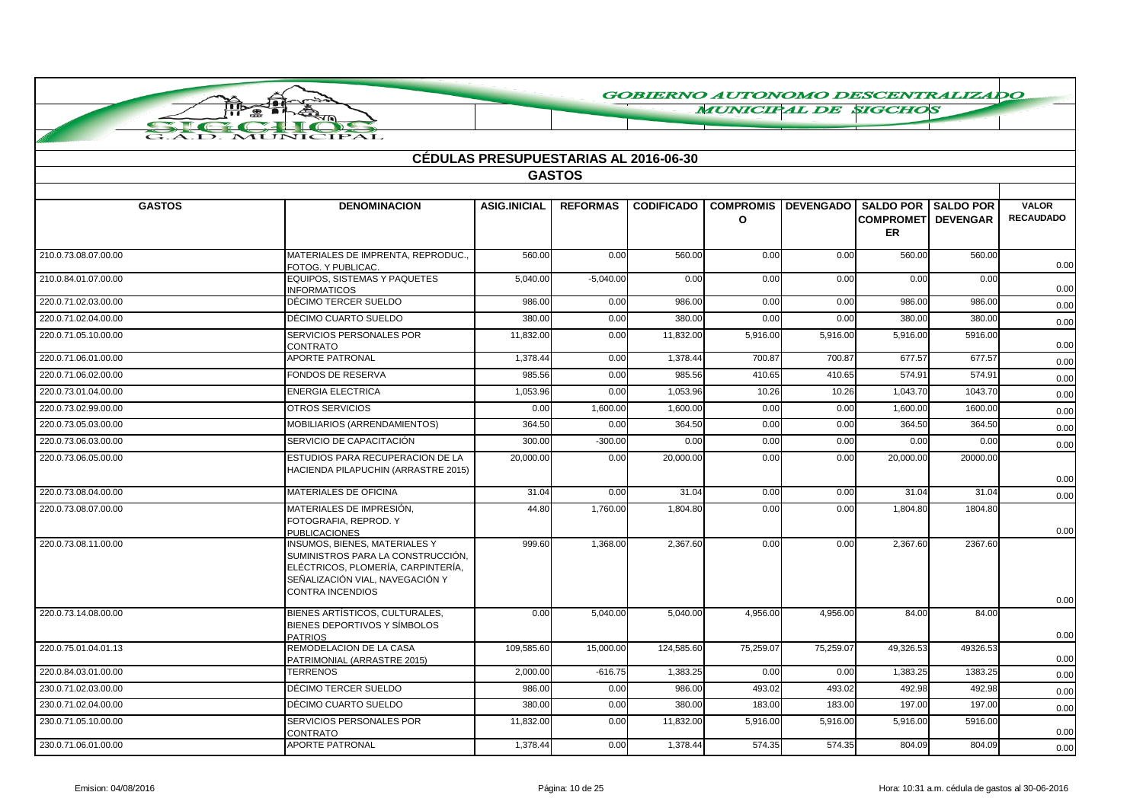**MUNICIPAL DE SIGCHOS** 

|                      |                                                                                                                                                                        | <b>CEDULAS PRESUPUESTARIAS AL 2016-06-30</b> |                 |                   |                              |                  |                                                                      |          |                                  |
|----------------------|------------------------------------------------------------------------------------------------------------------------------------------------------------------------|----------------------------------------------|-----------------|-------------------|------------------------------|------------------|----------------------------------------------------------------------|----------|----------------------------------|
|                      |                                                                                                                                                                        |                                              | <b>GASTOS</b>   |                   |                              |                  |                                                                      |          |                                  |
| <b>GASTOS</b>        | <b>DENOMINACION</b>                                                                                                                                                    | <b>ASIG.INICIAL</b>                          | <b>REFORMAS</b> | <b>CODIFICADO</b> | <b>COMPROMIS</b><br>$\Omega$ | <b>DEVENGADO</b> | <b>SALDO POR SALDO POR</b><br><b>COMPROMET DEVENGAR</b><br><b>ER</b> |          | <b>VALOR</b><br><b>RECAUDADO</b> |
| 210.0.73.08.07.00.00 | MATERIALES DE IMPRENTA, REPRODUC<br>FOTOG. Y PUBLICAC.                                                                                                                 | 560.00                                       | 0.00            | 560.00            | 0.00                         | 0.00             | 560.00                                                               | 560.00   | 0.00                             |
| 210.0.84.01.07.00.00 | EQUIPOS, SISTEMAS Y PAQUETES<br><b>INFORMATICOS</b>                                                                                                                    | 5,040.00                                     | $-5,040.00$     | 0.00              | 0.00                         | 0.00             | 0.00                                                                 | 0.00     | 0.00                             |
| 220.0.71.02.03.00.00 | DÉCIMO TERCER SUELDO                                                                                                                                                   | 986.00                                       | 0.00            | 986.00            | 0.00                         | 0.00             | 986.00                                                               | 986.00   | 0.00                             |
| 220.0.71.02.04.00.00 | DÉCIMO CUARTO SUELDO                                                                                                                                                   | 380.00                                       | 0.00            | 380.00            | 0.00                         | 0.00             | 380.00                                                               | 380.00   | 0.00                             |
| 220.0.71.05.10.00.00 | SERVICIOS PERSONALES POR<br>CONTRATO                                                                                                                                   | 11.832.00                                    | 0.00            | 11,832.00         | 5,916.00                     | 5.916.00         | 5,916.00                                                             | 5916.00  | 0.00                             |
| 220.0.71.06.01.00.00 | <b>APORTE PATRONAL</b>                                                                                                                                                 | 1,378.44                                     | 0.00            | 1,378.44          | 700.87                       | 700.87           | 677.57                                                               | 677.57   | 0.00                             |
| 220.0.71.06.02.00.00 | FONDOS DE RESERVA                                                                                                                                                      | 985.56                                       | 0.00            | 985.56            | 410.65                       | 410.65           | 574.91                                                               | 574.91   | 0.00                             |
| 220.0.73.01.04.00.00 | <b>ENERGIA ELECTRICA</b>                                                                                                                                               | 1,053.96                                     | 0.00            | 1,053.96          | 10.26                        | 10.26            | 1,043.70                                                             | 1043.70  | 0.00                             |
| 220.0.73.02.99.00.00 | <b>OTROS SERVICIOS</b>                                                                                                                                                 | 0.00                                         | 1,600.00        | 1,600.00          | 0.00                         | 0.00             | 1,600.00                                                             | 1600.00  | 0.00                             |
| 220.0.73.05.03.00.00 | MOBILIARIOS (ARRENDAMIENTOS)                                                                                                                                           | 364.50                                       | 0.00            | 364.50            | 0.00                         | 0.00             | 364.50                                                               | 364.50   | 0.00                             |
| 220.0.73.06.03.00.00 | SERVICIO DE CAPACITACIÓN                                                                                                                                               | 300.00                                       | $-300.00$       | 0.00              | 0.00                         | 0.00             | 0.00                                                                 | 0.00     | 0.00                             |
| 220.0.73.06.05.00.00 | ESTUDIOS PARA RECUPERACION DE LA<br>HACIENDA PILAPUCHIN (ARRASTRE 2015)                                                                                                | 20.000.00                                    | 0.00            | 20.000.00         | 0.00                         | 0.00             | 20,000,00                                                            | 20000.00 | 0.00                             |
| 220.0.73.08.04.00.00 | MATERIALES DE OFICINA                                                                                                                                                  | 31.04                                        | 0.00            | 31.04             | 0.00                         | 0.00             | 31.04                                                                | 31.04    | 0.00                             |
| 220.0.73.08.07.00.00 | MATERIALES DE IMPRESIÓN,<br>FOTOGRAFIA, REPROD. Y<br><b>PUBLICACIONES</b>                                                                                              | 44.80                                        | 1,760.00        | 1,804.80          | 0.00                         | 0.00             | 1,804.80                                                             | 1804.80  | 0.00                             |
| 220.0.73.08.11.00.00 | INSUMOS, BIENES, MATERIALES Y<br>SUMINISTROS PARA LA CONSTRUCCIÓN,<br>ELÉCTRICOS, PLOMERÍA, CARPINTERÍA,<br>SEÑALIZACIÓN VIAL, NAVEGACIÓN Y<br><b>CONTRA INCENDIOS</b> | 999.60                                       | 1,368.00        | 2,367.60          | 0.00                         | 0.00             | 2,367.60                                                             | 2367.60  | 0.00                             |
| 220.0.73.14.08.00.00 | BIENES ARTÍSTICOS, CULTURALES.<br>BIENES DEPORTIVOS Y SÍMBOLOS<br><b>PATRIOS</b>                                                                                       | 0.00                                         | 5,040.00        | 5.040.00          | 4.956.00                     | 4.956.00         | 84.00                                                                | 84.00    | 0.00                             |
| 220.0.75.01.04.01.13 | REMODELACION DE LA CASA<br>PATRIMONIAL (ARRASTRE 2015)                                                                                                                 | 109,585.60                                   | 15,000.00       | 124,585.60        | 75,259.07                    | 75,259.07        | 49,326.53                                                            | 49326.53 | 0.00                             |
| 220.0.84.03.01.00.00 | <b>TERRENOS</b>                                                                                                                                                        | 2,000.00                                     | $-616.75$       | 1,383.25          | 0.00                         | 0.00             | 1,383.25                                                             | 1383.25  | 0.00                             |
| 230.0.71.02.03.00.00 | DÉCIMO TERCER SUELDO                                                                                                                                                   | 986.00                                       | 0.00            | 986.00            | 493.02                       | 493.02           | 492.98                                                               | 492.98   | 0.00                             |
| 230.0.71.02.04.00.00 | DÉCIMO CUARTO SUELDO                                                                                                                                                   | 380.00                                       | 0.00            | 380.00            | 183.00                       | 183.00           | 197.00                                                               | 197.00   | 0.00                             |
| 230.0.71.05.10.00.00 | SERVICIOS PERSONALES POR<br><b>CONTRATO</b>                                                                                                                            | 11,832.00                                    | 0.00            | 11,832.00         | 5,916.00                     | 5,916.00         | 5,916.00                                                             | 5916.00  | 0.00                             |
| 230.0.71.06.01.00.00 | <b>APORTE PATRONAL</b>                                                                                                                                                 | 1,378.44                                     | 0.00            | 1,378.44          | 574.35                       | 574.35           | 804.09                                                               | 804.09   | 0.00                             |

ПЪ  $\bullet$ 

**AUNIC**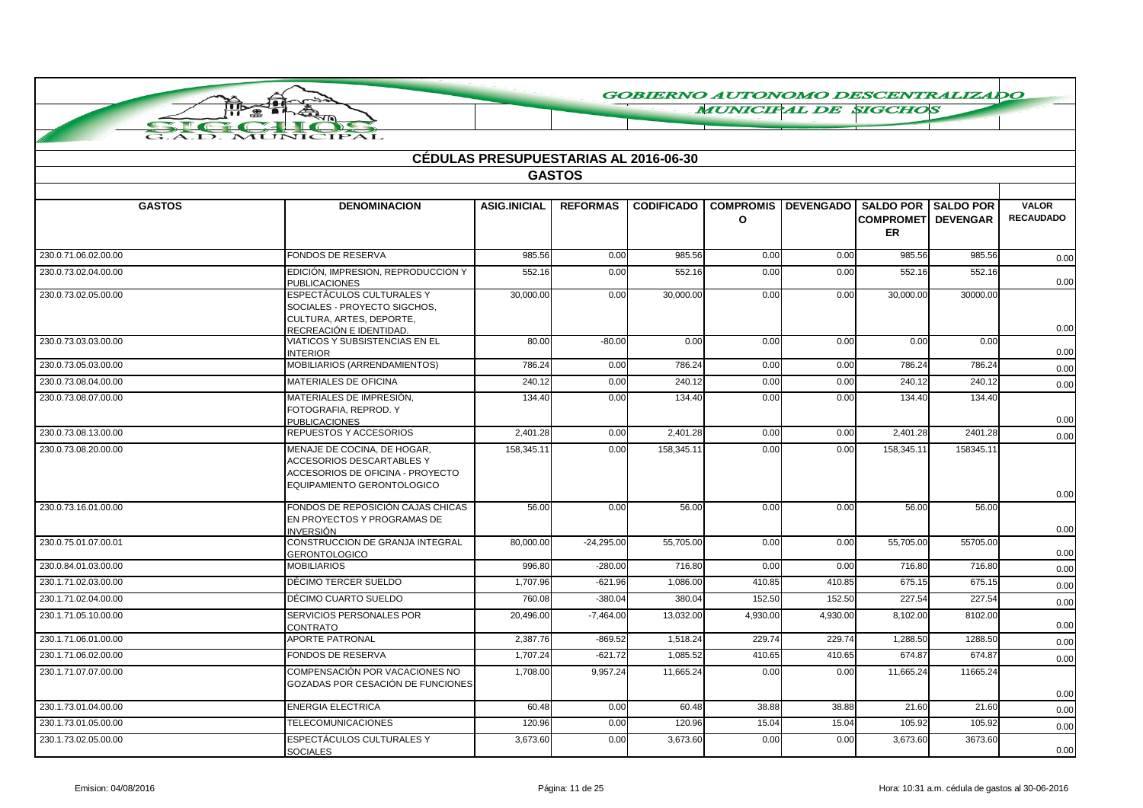**MUNICIPAL DE SIGCHOS** 

|  |  | MUNICIPAL |  |
|--|--|-----------|--|

|                      |                                                                                                                            | <b>CEDULAS PRESUPUESTARIAS AL 2016-06-30</b> | <b>GASTOS</b>   |                   |                                  |                  |                        |                                               |                                  |
|----------------------|----------------------------------------------------------------------------------------------------------------------------|----------------------------------------------|-----------------|-------------------|----------------------------------|------------------|------------------------|-----------------------------------------------|----------------------------------|
|                      |                                                                                                                            |                                              |                 |                   |                                  |                  |                        |                                               |                                  |
| <b>GASTOS</b>        | <b>DENOMINACION</b>                                                                                                        | <b>ASIG.INICIAL</b>                          | <b>REFORMAS</b> | <b>CODIFICADO</b> | <b>COMPROMIS</b><br>$\mathbf{o}$ | <b>DEVENGADO</b> | <b>COMPROMET</b><br>ER | <b>SALDO POR SALDO POR</b><br><b>DEVENGAR</b> | <b>VALOR</b><br><b>RECAUDADO</b> |
| 230.0.71.06.02.00.00 | FONDOS DE RESERVA                                                                                                          | 985.56                                       | 0.00            | 985.56            | 0.00                             | 0.00             | 985.56                 | 985.56                                        | 0.00                             |
| 230.0.73.02.04.00.00 | EDICIÓN, IMPRESION, REPRODUCCION Y<br><b>PUBLICACIONES</b>                                                                 | 552.16                                       | 0.00            | 552.16            | 0.00                             | 0.00             | 552.16                 | 552.16                                        | 0.00                             |
| 230.0.73.02.05.00.00 | ESPECTÁCULOS CULTURALES Y<br>SOCIALES - PROYECTO SIGCHOS,<br>CULTURA, ARTES, DEPORTE,<br>RECREACIÓN E IDENTIDAD.           | 30,000.00                                    | 0.00            | 30,000.00         | 0.00                             | 0.00             | 30,000.00              | 30000.00                                      | 0.00                             |
| 230.0.73.03.03.00.00 | VIATICOS Y SUBSISTENCIAS EN EL<br><b>INTERIOR</b>                                                                          | 80.00                                        | $-80.00$        | 0.00              | 0.00                             | 0.00             | 0.00                   | 0.00                                          | 0.00                             |
| 230.0.73.05.03.00.00 | MOBILIARIOS (ARRENDAMIENTOS)                                                                                               | 786.24                                       | 0.00            | 786.24            | 0.00                             | 0.00             | 786.24                 | 786.24                                        | 0.00                             |
| 230.0.73.08.04.00.00 | MATERIALES DE OFICINA                                                                                                      | 240.12                                       | 0.00            | 240.12            | 0.00                             | 0.00             | 240.12                 | 240.12                                        | 0.00                             |
| 230.0.73.08.07.00.00 | MATERIALES DE IMPRESIÓN.<br>FOTOGRAFIA, REPROD. Y<br><b>PUBLICACIONES</b>                                                  | 134.40                                       | 0.00            | 134.40            | 0.00                             | 0.00             | 134.40                 | 134.40                                        | 0.00                             |
| 230.0.73.08.13.00.00 | REPUESTOS Y ACCESORIOS                                                                                                     | 2,401.28                                     | 0.00            | 2.401.28          | 0.00                             | 0.00             | 2,401.28               | 2401.28                                       | 0.00                             |
| 230.0.73.08.20.00.00 | MENAJE DE COCINA, DE HOGAR,<br>ACCESORIOS DESCARTABLES Y<br>ACCESORIOS DE OFICINA - PROYECTO<br>EQUIPAMIENTO GERONTOLOGICO | 158,345.11                                   | 0.00            | 158,345.11        | 0.00                             | 0.00             | 158,345.1              | 158345.11                                     | 0.00                             |
| 230.0.73.16.01.00.00 | FONDOS DE REPOSICIÓN CAJAS CHICAS<br>EN PROYECTOS Y PROGRAMAS DE<br>INVERSIÓN                                              | 56.00                                        | 0.00            | 56.00             | 0.00                             | 0.00             | 56.00                  | 56.00                                         | 0.00                             |
| 230.0.75.01.07.00.01 | CONSTRUCCION DE GRANJA INTEGRAL<br><b>GERONTOLOGICO</b>                                                                    | 80,000.00                                    | $-24,295.00$    | 55,705.00         | 0.00                             | 0.00             | 55,705.00              | 55705.00                                      | 0.00                             |
| 230.0.84.01.03.00.00 | <b>MOBILIARIOS</b>                                                                                                         | 996.80                                       | $-280.00$       | 716.80            | 0.00                             | 0.00             | 716.80                 | 716.80                                        | 0.00                             |
| 230.1.71.02.03.00.00 | DÉCIMO TERCER SUELDO                                                                                                       | 1,707.96                                     | $-621.96$       | 1,086.00          | 410.85                           | 410.85           | 675.15                 | 675.15                                        | 0.00                             |
| 230.1.71.02.04.00.00 | DÉCIMO CUARTO SUELDO                                                                                                       | 760.08                                       | $-380.04$       | 380.04            | 152.50                           | 152.50           | 227.54                 | 227.54                                        | 0.00                             |
| 230.1.71.05.10.00.00 | SERVICIOS PERSONALES POR<br>CONTRATO                                                                                       | 20,496.00                                    | $-7,464.00$     | 13,032.00         | 4,930.00                         | 4,930.00         | 8,102.00               | 8102.00                                       | 0.00                             |
| 230.1.71.06.01.00.00 | APORTE PATRONAL                                                                                                            | 2,387.76                                     | $-869.52$       | 1,518.24          | 229.74                           | 229.74           | 1.288.50               | 1288.50                                       | 0.00                             |
| 230.1.71.06.02.00.00 | <b>FONDOS DE RESERVA</b>                                                                                                   | 1,707.24                                     | $-621.72$       | 1,085.52          | 410.65                           | 410.65           | 674.87                 | 674.87                                        | 0.00                             |
| 230.1.71.07.07.00.00 | COMPENSACIÓN POR VACACIONES NO<br>GOZADAS POR CESACIÓN DE FUNCIONES                                                        | 1,708.00                                     | 9,957.24        | 11,665.24         | 0.00                             | 0.00             | 11,665.24              | 11665.24                                      | 0.00                             |
| 230.1.73.01.04.00.00 | <b>ENERGIA ELECTRICA</b>                                                                                                   | 60.48                                        | 0.00            | 60.48             | 38.88                            | 38.88            | 21.60                  | 21.60                                         | 0.00                             |
| 230.1.73.01.05.00.00 | <b>TELECOMUNICACIONES</b>                                                                                                  | 120.96                                       | 0.00            | 120.96            | 15.04                            | 15.04            | 105.92                 | 105.92                                        | 0.00                             |
| 230.1.73.02.05.00.00 | ESPECTÁCULOS CULTURALES Y<br><b>SOCIALES</b>                                                                               | 3,673.60                                     | 0.00            | 3,673.60          | 0.00                             | 0.00             | 3,673.60               | 3673.60                                       | 0.00                             |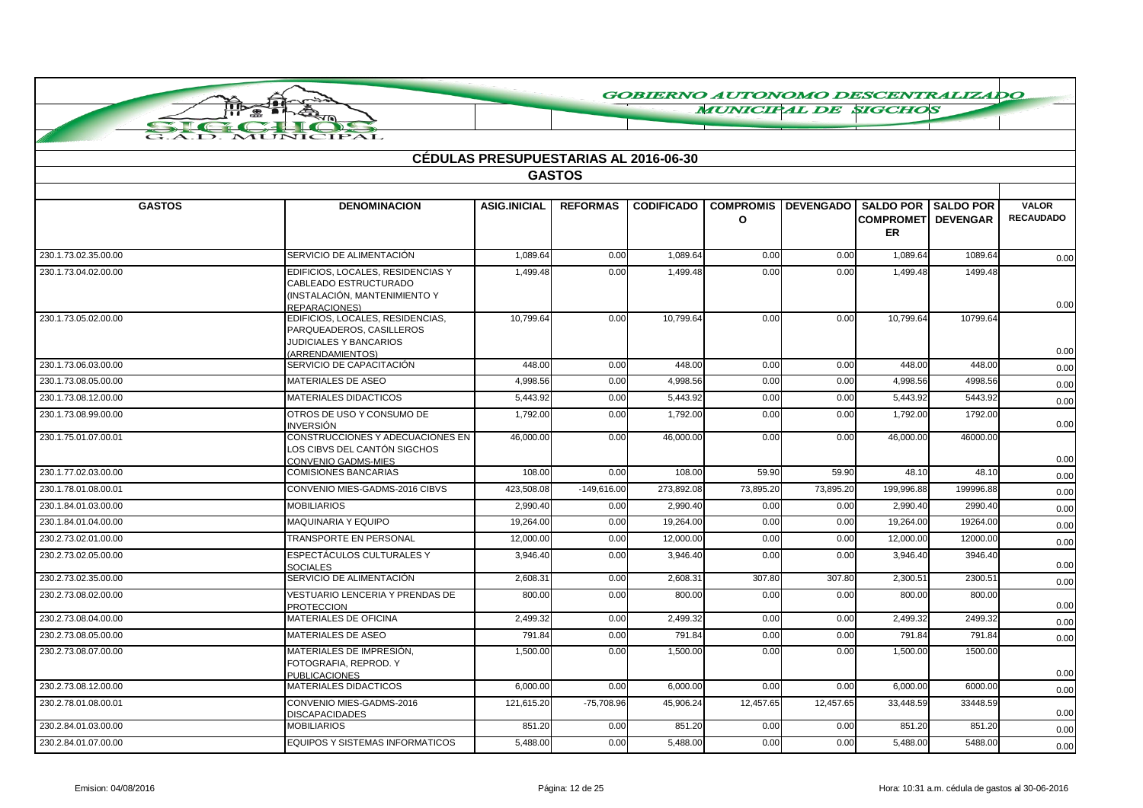**MUNICIPAL DE SIGCHOS** 

| G.A.D. MUNICIPAL |                     |                                              |                 |                   |
|------------------|---------------------|----------------------------------------------|-----------------|-------------------|
|                  |                     | <b>CÉDULAS PRESUPUESTARIAS AL 2016-06-30</b> |                 |                   |
|                  |                     |                                              | <b>GASTOS</b>   |                   |
|                  |                     |                                              |                 |                   |
| <b>GASTOS</b>    | <b>DENOMINACION</b> | <b>ASIG.INICIAL</b>                          | <b>REFORMAS</b> | <b>CODIFICADO</b> |
|                  |                     |                                              |                 |                   |

**THE E** 

| <b>GASTOS</b>        | <b>DENOMINACION</b>                                                                                                 | <b>ASIG.INICIAL</b> | <b>REFORMAS</b> |            | CODIFICADO   COMPROMIS   DEVENGADO   SALDO POR   SALDO POR<br>O |           | <b>COMPROMET DEVENGAR</b> |           | <b>VALOR</b><br><b>RECAUDADO</b> |
|----------------------|---------------------------------------------------------------------------------------------------------------------|---------------------|-----------------|------------|-----------------------------------------------------------------|-----------|---------------------------|-----------|----------------------------------|
|                      |                                                                                                                     |                     |                 |            |                                                                 |           | ER                        |           |                                  |
| 230.1.73.02.35.00.00 | SERVICIO DE ALIMENTACIÓN                                                                                            | 1,089.64            | 0.00            | 1,089.64   | 0.00                                                            | 0.00      | 1,089.64                  | 1089.64   | 0.00                             |
| 230.1.73.04.02.00.00 | EDIFICIOS, LOCALES, RESIDENCIAS Y<br>CABLEADO ESTRUCTURADO<br>(INSTALACIÓN, MANTENIMIENTO Y<br><b>REPARACIONES)</b> | 1,499.48            | 0.00            | 1,499.48   | 0.00                                                            | 0.00      | $1,499.\overline{48}$     | 1499.48   | 0.00                             |
| 230.1.73.05.02.00.00 | EDIFICIOS, LOCALES, RESIDENCIAS,<br>PARQUEADEROS, CASILLEROS<br><b>JUDICIALES Y BANCARIOS</b><br>(ARRENDAMIENTOS)   | 10,799.64           | 0.00            | 10,799.64  | 0.00                                                            | 0.00      | 10,799.64                 | 10799.64  | 0.00                             |
| 230.1.73.06.03.00.00 | SERVICIO DE CAPACITACIÓN                                                                                            | 448.00              | 0.00            | 448.00     | 0.00                                                            | 0.00      | 448.00                    | 448.00    | 0.00                             |
| 230.1.73.08.05.00.00 | <b>MATERIALES DE ASEO</b>                                                                                           | 4.998.56            | 0.00            | 4.998.56   | 0.00                                                            | 0.00      | 4.998.56                  | 4998.56   | 0.00                             |
| 230.1.73.08.12.00.00 | <b>MATERIALES DIDACTICOS</b>                                                                                        | 5,443.92            | 0.00            | 5,443.92   | 0.00                                                            | 0.00      | 5,443.92                  | 5443.92   | 0.00                             |
| 230.1.73.08.99.00.00 | OTROS DE USO Y CONSUMO DE<br>INVERSIÓN                                                                              | 1,792.00            | 0.00            | 1,792.00   | 0.00                                                            | 0.00      | 1,792.00                  | 1792.00   | 0.00                             |
| 230.1.75.01.07.00.01 | CONSTRUCCIONES Y ADECUACIONES EN<br>LOS CIBVS DEL CANTÓN SIGCHOS<br>CONVENIO GADMS-MIES                             | 46,000.00           | 0.00            | 46,000.00  | 0.00                                                            | 0.00      | 46,000.00                 | 46000.00  | 0.00                             |
| 230.1.77.02.03.00.00 | <b>COMISIONES BANCARIAS</b>                                                                                         | 108.00              | 0.00            | 108.00     | 59.90                                                           | 59.90     | 48.10                     | 48.10     | 0.00                             |
| 230.1.78.01.08.00.01 | CONVENIO MIES-GADMS-2016 CIBVS                                                                                      | 423.508.08          | $-149,616.00$   | 273,892.08 | 73,895.20                                                       | 73,895.20 | 199,996.88                | 199996.88 | 0.00                             |
| 230.1.84.01.03.00.00 | <b>MOBILIARIOS</b>                                                                                                  | 2.990.40            | 0.00            | 2.990.40   | 0.00                                                            | 0.00      | 2.990.40                  | 2990.40   | 0.00                             |
| 230.1.84.01.04.00.00 | MAQUINARIA Y EQUIPO                                                                                                 | 19,264.00           | 0.00            | 19,264.00  | 0.00                                                            | 0.00      | 19,264.00                 | 19264.00  | 0.00                             |
| 230.2.73.02.01.00.00 | <b>TRANSPORTE EN PERSONAL</b>                                                                                       | 12,000.00           | 0.00            | 12,000.00  | 0.00                                                            | 0.00      | 12,000.00                 | 12000.00  | 0.00                             |
| 230.2.73.02.05.00.00 | <b>ESPECTÁCULOS CULTURALES Y</b><br><b>SOCIALES</b>                                                                 | 3.946.40            | 0.00            | 3.946.40   | 0.00                                                            | 0.00      | 3.946.40                  | 3946.40   | 0.00                             |
| 230.2.73.02.35.00.00 | SERVICIO DE ALIMENTACIÓN                                                                                            | 2,608.31            | 0.00            | 2,608.31   | 307.80                                                          | 307.80    | 2,300.51                  | 2300.51   | 0.00                             |
| 230.2.73.08.02.00.00 | <b>VESTUARIO LENCERIA Y PRENDAS DE</b><br><b>PROTECCION</b>                                                         | 800.00              | 0.00            | 800.00     | 0.00                                                            | 0.00      | 800.00                    | 800.00    | 0.00                             |
| 230.2.73.08.04.00.00 | MATERIALES DE OFICINA                                                                                               | 2,499.32            | 0.00            | 2,499.32   | 0.00                                                            | 0.00      | 2,499.32                  | 2499.32   | 0.00                             |
| 230.2.73.08.05.00.00 | <b>MATERIALES DE ASEO</b>                                                                                           | 791.84              | 0.00            | 791.84     | 0.00                                                            | 0.00      | 791.84                    | 791.84    | 0.00                             |
| 230.2.73.08.07.00.00 | MATERIALES DE IMPRESIÓN.<br>FOTOGRAFIA, REPROD. Y<br><b>PUBLICACIONES</b>                                           | 1,500.00            | 0.00            | 1,500.00   | 0.00                                                            | 0.00      | 1,500.00                  | 1500.00   | 0.00                             |
| 230.2.73.08.12.00.00 | <b>MATERIALES DIDACTICOS</b>                                                                                        | 6,000.00            | 0.00            | 6,000.00   | 0.00                                                            | 0.00      | 6,000.00                  | 6000.00   | 0.00                             |
| 230.2.78.01.08.00.01 | CONVENIO MIES-GADMS-2016<br>DISCAPACIDADES                                                                          | 121,615.20          | $-75,708.96$    | 45,906.24  | 12,457.65                                                       | 12,457.65 | 33,448.59                 | 33448.59  | 0.00                             |
| 230.2.84.01.03.00.00 | <b>MOBILIARIOS</b>                                                                                                  | 851.20              | 0.00            | 851.20     | 0.00                                                            | 0.00      | 851.20                    | 851.20    | 0.00                             |
| 230.2.84.01.07.00.00 | EQUIPOS Y SISTEMAS INFORMATICOS                                                                                     | 5,488.00            | 0.00            | 5,488.00   | 0.00                                                            | 0.00      | 5,488.00                  | 5488.00   | 0.00                             |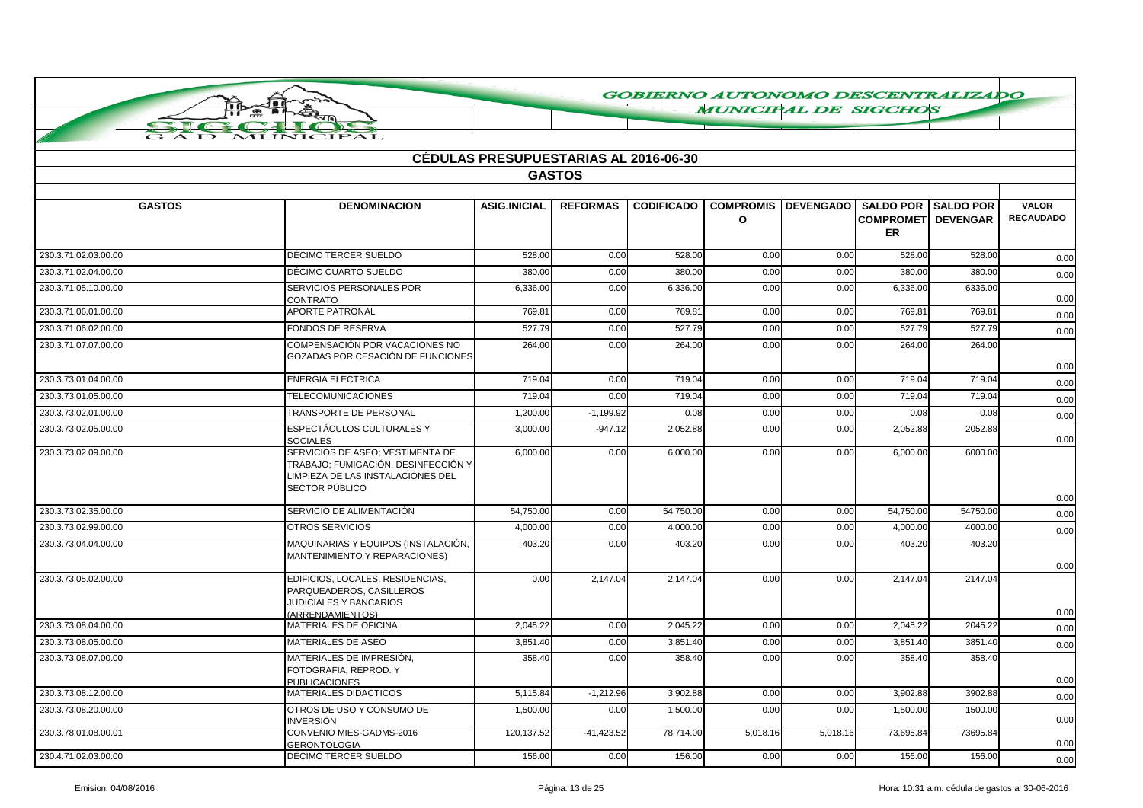**MUNICIPAL DE SIGCHOS** 

|  |  | MUNICIPAL |  |
|--|--|-----------|--|

| <b>CÉDULAS PRESUPUESTARIAS AL 2016-06-30</b> |                                                                                                                                |                     |                 |                   |                                  |          |                                                                           |                 |                                  |  |
|----------------------------------------------|--------------------------------------------------------------------------------------------------------------------------------|---------------------|-----------------|-------------------|----------------------------------|----------|---------------------------------------------------------------------------|-----------------|----------------------------------|--|
|                                              |                                                                                                                                |                     | <b>GASTOS</b>   |                   |                                  |          |                                                                           |                 |                                  |  |
|                                              |                                                                                                                                |                     |                 |                   |                                  |          |                                                                           |                 |                                  |  |
| <b>GASTOS</b>                                | <b>DENOMINACION</b>                                                                                                            | <b>ASIG.INICIAL</b> | <b>REFORMAS</b> | <b>CODIFICADO</b> | <b>COMPROMIS</b><br>$\mathbf{o}$ |          | <b>DEVENGADO   SALDO POR   SALDO POR</b><br><b>COMPROMET</b><br><b>ER</b> | <b>DEVENGAR</b> | <b>VALOR</b><br><b>RECAUDADO</b> |  |
| 230.3.71.02.03.00.00                         | DÉCIMO TERCER SUELDO                                                                                                           | 528.00              | 0.00            | 528.00            | 0.00                             | 0.00     | 528.00                                                                    | 528.00          | 0.00                             |  |
| 230.3.71.02.04.00.00                         | DÉCIMO CUARTO SUELDO                                                                                                           | 380.00              | 0.00            | 380.00            | 0.00                             | 0.00     | 380.00                                                                    | 380.00          | 0.00                             |  |
| 230.3.71.05.10.00.00                         | SERVICIOS PERSONALES POR<br>CONTRATO                                                                                           | 6,336.00            | 0.00            | 6,336.00          | 0.00                             | 0.00     | 6,336.00                                                                  | 6336.00         | 0.00                             |  |
| 230.3.71.06.01.00.00                         | <b>APORTE PATRONAL</b>                                                                                                         | 769.81              | 0.00            | 769.81            | 0.00                             | 0.00     | 769.81                                                                    | 769.81          | 0.00                             |  |
| 230.3.71.06.02.00.00                         | FONDOS DE RESERVA                                                                                                              | 527.79              | 0.00            | 527.79            | 0.00                             | 0.00     | 527.79                                                                    | 527.79          | 0.00                             |  |
| 230.3.71.07.07.00.00                         | COMPENSACIÓN POR VACACIONES NO<br>GOZADAS POR CESACIÓN DE FUNCIONES                                                            | 264.00              | 0.00            | 264.00            | 0.00                             | 0.00     | 264.00                                                                    | 264.00          | 0.00                             |  |
| 230.3.73.01.04.00.00                         | <b>ENERGIA ELECTRICA</b>                                                                                                       | 719.04              | 0.00            | 719.04            | 0.00                             | 0.00     | 719.04                                                                    | 719.04          | 0.00                             |  |
| 230.3.73.01.05.00.00                         | <b>TELECOMUNICACIONES</b>                                                                                                      | 719.04              | 0.00            | 719.04            | 0.00                             | 0.00     | 719.04                                                                    | 719.04          | 0.00                             |  |
| 230.3.73.02.01.00.00                         | TRANSPORTE DE PERSONAL                                                                                                         | 1,200.00            | $-1,199.92$     | 0.08              | 0.00                             | 0.00     | 0.08                                                                      | 0.08            | 0.00                             |  |
| 230.3.73.02.05.00.00                         | ESPECTÁCULOS CULTURALES Y<br><b>SOCIALES</b>                                                                                   | 3,000.00            | $-947.12$       | 2,052.88          | 0.00                             | 0.00     | 2,052.88                                                                  | 2052.88         | 0.00                             |  |
| 230.3.73.02.09.00.00                         | SERVICIOS DE ASEO; VESTIMENTA DE<br>TRABAJO; FUMIGACIÓN, DESINFECCIÓN Y<br>LIMPIEZA DE LAS INSTALACIONES DEL<br>SECTOR PÚBLICO | 6,000.00            | 0.00            | 6,000.00          | 0.00                             | 0.00     | 6,000.00                                                                  | 6000.00         | 0.00                             |  |
| 230.3.73.02.35.00.00                         | SERVICIO DE ALIMENTACIÓN                                                                                                       | 54,750.00           | 0.00            | 54,750.00         | 0.00                             | 0.00     | 54,750.00                                                                 | 54750.00        | 0.00                             |  |
| 230.3.73.02.99.00.00                         | OTROS SERVICIOS                                                                                                                | 4,000.00            | 0.00            | 4,000.00          | 0.00                             | 0.00     | 4,000.00                                                                  | 4000.00         | 0.00                             |  |
| 230.3.73.04.04.00.00                         | MAQUINARIAS Y EQUIPOS (INSTALACIÓN,<br>MANTENIMIENTO Y REPARACIONES)                                                           | 403.20              | 0.00            | 403.20            | 0.00                             | 0.00     | 403.20                                                                    | 403.20          | 0.00                             |  |
| 230.3.73.05.02.00.00                         | EDIFICIOS, LOCALES, RESIDENCIAS,<br>PARQUEADEROS, CASILLEROS<br>JUDICIALES Y BANCARIOS<br>(ARRENDAMIENTOS)                     | 0.00                | 2,147.04        | 2,147.04          | 0.00                             | 0.00     | 2,147.04                                                                  | 2147.04         | 0.00                             |  |
| 230.3.73.08.04.00.00                         | <b>MATERIALES DE OFICINA</b>                                                                                                   | 2,045.22            | 0.00            | 2,045.22          | 0.00                             | 0.00     | 2.045.22                                                                  | 2045.22         | 0.00                             |  |
| 230.3.73.08.05.00.00                         | <b>MATERIALES DE ASEO</b>                                                                                                      | 3,851.40            | 0.00            | 3,851.40          | 0.00                             | 0.00     | 3,851.40                                                                  | 3851.40         | 0.00                             |  |
| 230.3.73.08.07.00.00                         | MATERIALES DE IMPRESIÓN.<br>FOTOGRAFIA, REPROD. Y<br><b>PUBLICACIONES</b>                                                      | 358.40              | 0.00            | 358.40            | 0.00                             | 0.00     | 358.40                                                                    | 358.40          | 0.00                             |  |
| 230.3.73.08.12.00.00                         | MATERIALES DIDACTICOS                                                                                                          | 5,115.84            | $-1,212.96$     | 3,902.88          | 0.00                             | 0.00     | 3,902.88                                                                  | 3902.88         | 0.00                             |  |
| 230.3.73.08.20.00.00                         | OTROS DE USO Y CONSUMO DE<br>INVERSIÓN                                                                                         | 1,500.00            | 0.00            | 1,500.00          | 0.00                             | 0.00     | 1,500.00                                                                  | 1500.00         | 0.00                             |  |
| 230.3.78.01.08.00.01                         | CONVENIO MIES-GADMS-2016<br><b>GERONTOLOGIA</b>                                                                                | 120, 137.52         | $-41,423.52$    | 78,714.00         | 5,018.16                         | 5,018.16 | 73,695.84                                                                 | 73695.84        | 0.00                             |  |
| 230.4.71.02.03.00.00                         | DÉCIMO TERCER SUELDO                                                                                                           | 156.00              | 0.00            | 156.00            | 0.00                             | 0.00     | 156.00                                                                    | 156.00          | 0.00                             |  |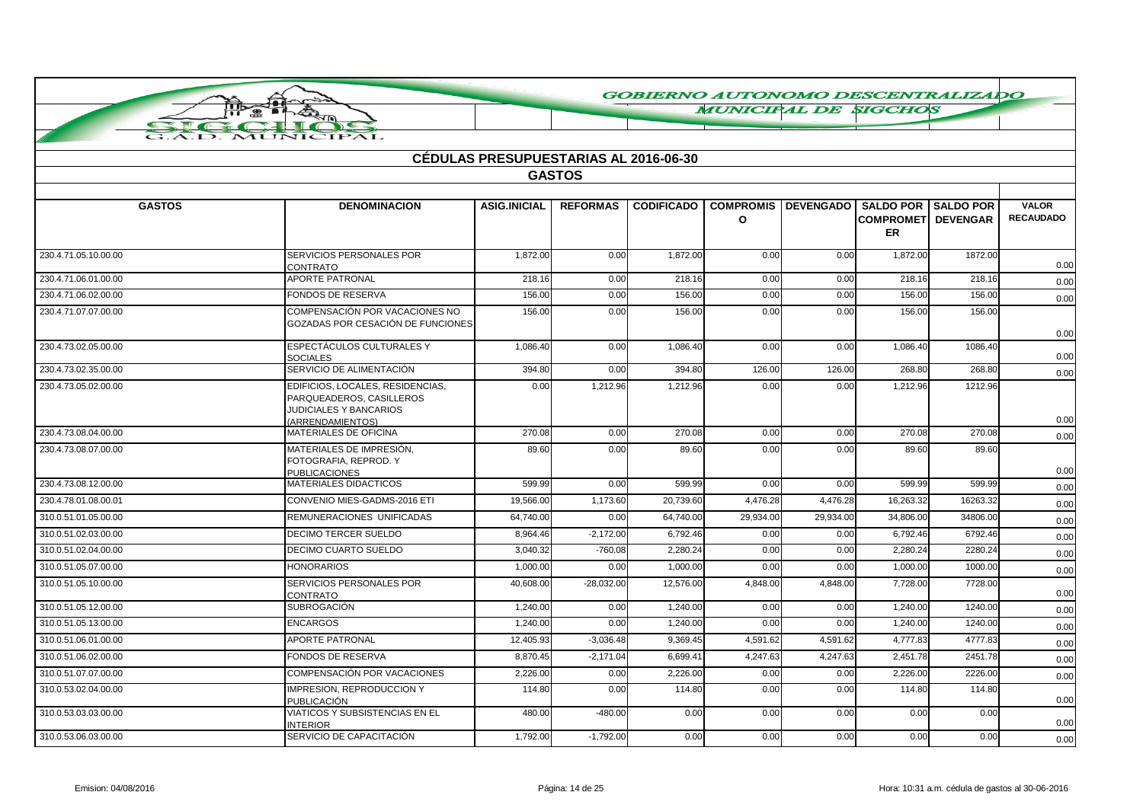**MUNICIPAL DE SIGCHOS** 

|                      | G.A.D. MUNICIPAL                                                                                           |                                              |                 |                   |           |                            |                                                             |                  |                                  |
|----------------------|------------------------------------------------------------------------------------------------------------|----------------------------------------------|-----------------|-------------------|-----------|----------------------------|-------------------------------------------------------------|------------------|----------------------------------|
|                      |                                                                                                            | <b>CÉDULAS PRESUPUESTARIAS AL 2016-06-30</b> |                 |                   |           |                            |                                                             |                  |                                  |
|                      |                                                                                                            |                                              | <b>GASTOS</b>   |                   |           |                            |                                                             |                  |                                  |
|                      |                                                                                                            |                                              |                 |                   |           |                            |                                                             |                  |                                  |
| <b>GASTOS</b>        | <b>DENOMINACION</b>                                                                                        | <b>ASIG.INICIAL</b>                          | <b>REFORMAS</b> | <b>CODIFICADO</b> | $\Omega$  | <b>COMPROMIS DEVENGADO</b> | <b>SALDO POR</b><br><b>COMPROMETI DEVENGAR</b><br><b>ER</b> | <b>SALDO POR</b> | <b>VALOR</b><br><b>RECAUDADO</b> |
| 230.4.71.05.10.00.00 | <b>SERVICIOS PERSONALES POR</b><br><b>CONTRATO</b>                                                         | 1,872.00                                     | 0.00            | 1,872.00          | 0.00      | 0.00                       | 1,872.00                                                    | 1872.00          | 0.00                             |
| 230.4.71.06.01.00.00 | APORTE PATRONAL                                                                                            | 218.16                                       | 0.00            | 218.16            | 0.00      | 0.00                       | 218.16                                                      | 218.16           | 0.00                             |
| 230.4.71.06.02.00.00 | <b>FONDOS DE RESERVA</b>                                                                                   | 156.00                                       | 0.00            | 156.00            | 0.00      | 0.00                       | 156.00                                                      | 156.00           | 0.00                             |
| 230.4.71.07.07.00.00 | COMPENSACIÓN POR VACACIONES NO<br>GOZADAS POR CESACIÓN DE FUNCIONES                                        | 156.00                                       | 0.00            | 156.00            | 0.00      | 0.00                       | 156.00                                                      | 156.00           | 0.00                             |
| 230.4.73.02.05.00.00 | ESPECTÁCULOS CULTURALES Y<br><b>SOCIALES</b>                                                               | 1,086.40                                     | 0.00            | 1,086.40          | 0.00      | 0.00                       | 1,086.40                                                    | 1086.40          | 0.00                             |
| 230.4.73.02.35.00.00 | SERVICIO DE ALIMENTACIÓN                                                                                   | 394.80                                       | 0.00            | 394.80            | 126.00    | 126.00                     | 268.80                                                      | 268.80           | 0.00                             |
| 230.4.73.05.02.00.00 | EDIFICIOS, LOCALES, RESIDENCIAS,<br>PARQUEADEROS, CASILLEROS<br>JUDICIALES Y BANCARIOS<br>(ARRENDAMIENTOS) | 0.00                                         | 1,212.96        | 1,212.96          | 0.00      | 0.00                       | 1,212.96                                                    | 1212.96          | 0.00                             |
| 230.4.73.08.04.00.00 | MATERIALES DE OFICINA                                                                                      | 270.08                                       | 0.00            | 270.08            | 0.00      | 0.00                       | 270.08                                                      | 270.08           | 0.00                             |
| 230.4.73.08.07.00.00 | MATERIALES DE IMPRESIÓN,<br>FOTOGRAFIA, REPROD. Y<br><b>PUBLICACIONES</b>                                  | 89.60                                        | 0.00            | 89.60             | 0.00      | 0.00                       | 89.60                                                       | 89.60            | 0.00                             |
| 230.4.73.08.12.00.00 | <b>MATERIALES DIDACTICOS</b>                                                                               | 599.99                                       | 0.00            | 599.99            | 0.00      | 0.00                       | 599.99                                                      | 599.99           | 0.00                             |
| 230.4.78.01.08.00.01 | CONVENIO MIES-GADMS-2016 ETI                                                                               | 19,566.00                                    | 1,173.60        | 20,739.60         | 4,476.28  | 4,476.28                   | 16,263.32                                                   | 16263.32         | 0.00                             |
| 310.0.51.01.05.00.00 | REMUNERACIONES UNIFICADAS                                                                                  | 64,740.00                                    | 0.00            | 64,740.00         | 29,934.00 | 29,934.00                  | 34,806.00                                                   | 34806.00         | 0.00                             |
| 310.0.51.02.03.00.00 | <b>DECIMO TERCER SUELDO</b>                                                                                | 8.964.46                                     | $-2,172.00$     | 6.792.46          | 0.00      | 0.00                       | 6.792.46                                                    | 6792.46          | 0.00                             |
| 310.0.51.02.04.00.00 | DECIMO CUARTO SUELDO                                                                                       | 3,040.32                                     | $-760.08$       | 2,280.24          | 0.00      | 0.00                       | 2,280.24                                                    | 2280.24          | 0.00                             |
| 310.0.51.05.07.00.00 | <b>HONORARIOS</b>                                                                                          | 1,000.00                                     | 0.00            | 1,000.00          | 0.00      | 0.00                       | 1,000.00                                                    | 1000.00          | 0.00                             |
| 310.0.51.05.10.00.00 | SERVICIOS PERSONALES POR<br><b>CONTRATO</b>                                                                | 40,608.00                                    | $-28,032.00$    | 12.576.00         | 4,848.00  | 4.848.00                   | 7.728.00                                                    | 7728.00          | 0.00                             |
| 310.0.51.05.12.00.00 | <b>SUBROGACIÓN</b>                                                                                         | 1,240.00                                     | 0.00            | 1,240.00          | 0.00      | 0.00                       | 1,240.00                                                    | 1240.00          | 0.00                             |
| 310.0.51.05.13.00.00 | <b>ENCARGOS</b>                                                                                            | 1.240.00                                     | 0.00            | 1.240.00          | 0.00      | 0.00                       | 1.240.00                                                    | 1240.00          | 0.00                             |
| 310.0.51.06.01.00.00 | <b>APORTE PATRONAL</b>                                                                                     | 12,405.93                                    | $-3,036.48$     | 9,369.45          | 4,591.62  | 4,591.62                   | 4,777.83                                                    | 4777.83          | 0.00                             |
| 310.0.51.06.02.00.00 | <b>FONDOS DE RESERVA</b>                                                                                   | 8,870.45                                     | $-2,171.04$     | 6.699.41          | 4,247.63  | 4,247.63                   | 2,451.78                                                    | 2451.78          | 0.00                             |
| 310.0.51.07.07.00.00 | <b>COMPENSACIÓN POR VACACIONES</b>                                                                         | 2,226.00                                     | 0.00            | 2.226.00          | 0.00      | 0.00                       | 2.226.00                                                    | 2226.00          | 0.00                             |
| 310.0.53.02.04.00.00 | <b>IMPRESION, REPRODUCCION Y</b><br><b>PUBLICACIÓN</b>                                                     | 114.80                                       | 0.00            | 114.80            | 0.00      | 0.00                       | 114.80                                                      | 114.80           | 0.00                             |
| 310.0.53.03.03.00.00 | VIATICOS Y SUBSISTENCIAS EN EL<br><b>INTERIOR</b>                                                          | 480.00                                       | $-480.00$       | 0.00              | 0.00      | 0.00                       | 0.00                                                        | 0.00             | 0.00                             |
| 310.0.53.06.03.00.00 | SERVICIO DE CAPACITACIÓN                                                                                   | 1,792.00                                     | $-1,792.00$     | 0.00              | 0.00      | 0.00                       | 0.00                                                        | 0.00             | 0.00                             |

ПЪ  $\bigoplus$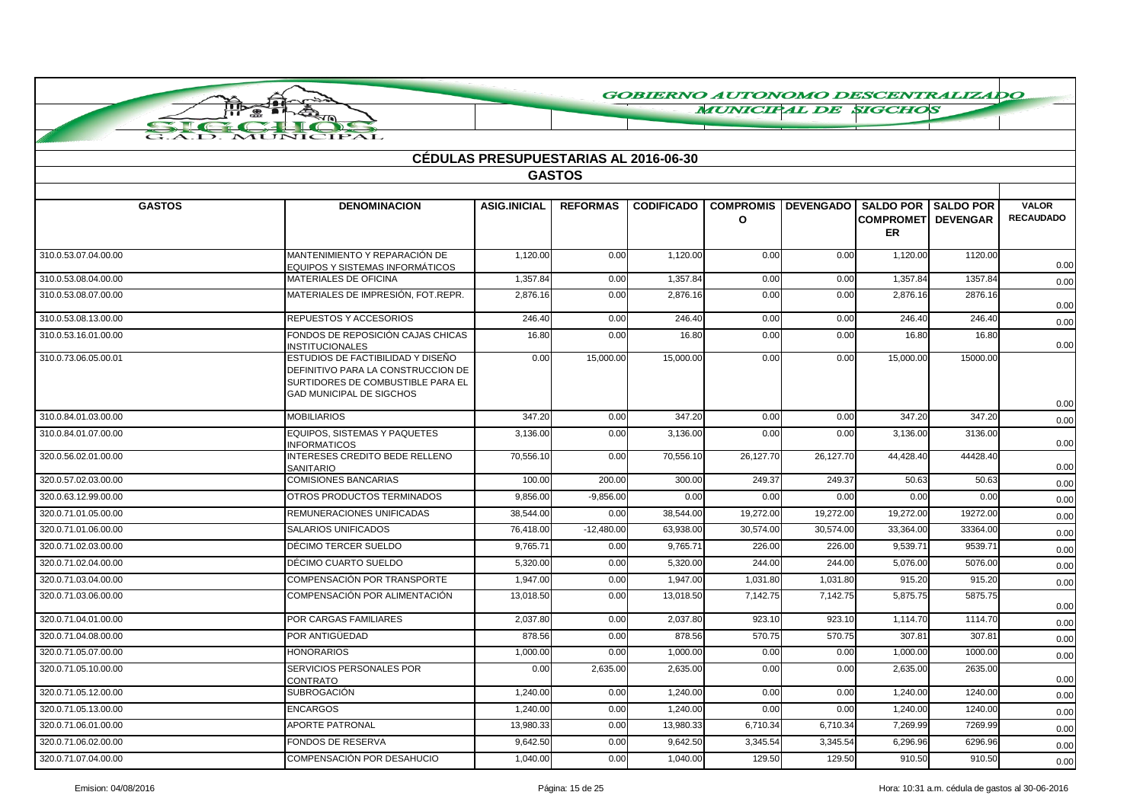**MUNICIPAL DE SIGCHOS** 

|                      |                                                                                                                                                 | <b>CÉDULAS PRESUPUESTARIAS AL 2016-06-30</b> |                 |                   |                              |                  |                                                             |                  |                                  |
|----------------------|-------------------------------------------------------------------------------------------------------------------------------------------------|----------------------------------------------|-----------------|-------------------|------------------------------|------------------|-------------------------------------------------------------|------------------|----------------------------------|
|                      |                                                                                                                                                 |                                              | <b>GASTOS</b>   |                   |                              |                  |                                                             |                  |                                  |
|                      |                                                                                                                                                 |                                              |                 |                   |                              |                  |                                                             |                  |                                  |
| <b>GASTOS</b>        | <b>DENOMINACION</b>                                                                                                                             | <b>ASIG.INICIAL</b>                          | <b>REFORMAS</b> | <b>CODIFICADO</b> | <b>COMPROMIS</b><br>$\Omega$ | <b>DEVENGADO</b> | <b>SALDO POR</b><br><b>COMPROMETI DEVENGAR</b><br><b>ER</b> | <b>SALDO POR</b> | <b>VALOR</b><br><b>RECAUDADO</b> |
| 310.0.53.07.04.00.00 | MANTENIMIENTO Y REPARACIÓN DE<br>EQUIPOS Y SISTEMAS INFORMÁTICOS                                                                                | 1,120.00                                     | 0.00            | 1,120.00          | 0.00                         | 0.00             | 1,120.00                                                    | 1120.00          | 0.00                             |
| 310.0.53.08.04.00.00 | MATERIALES DE OFICINA                                                                                                                           | 1.357.84                                     | 0.00            | 1.357.84          | 0.00                         | 0.00             | 1.357.84                                                    | 1357.84          | 0.00                             |
| 310.0.53.08.07.00.00 | MATERIALES DE IMPRESIÓN, FOT.REPR.                                                                                                              | 2.876.16                                     | 0.00            | 2.876.16          | 0.00                         | 0.00             | 2.876.16                                                    | 2876.16          | 0.00                             |
| 310.0.53.08.13.00.00 | REPUESTOS Y ACCESORIOS                                                                                                                          | 246.40                                       | 0.00            | 246.40            | 0.00                         | 0.00             | 246.40                                                      | 246.40           | 0.00                             |
| 310.0.53.16.01.00.00 | FONDOS DE REPOSICIÓN CAJAS CHICAS<br><b>INSTITUCIONALES</b>                                                                                     | 16.80                                        | 0.00            | 16.80             | 0.00                         | 0.00             | 16.80                                                       | 16.80            | 0.00                             |
| 310.0.73.06.05.00.01 | ESTUDIOS DE FACTIBILIDAD Y DISEÑO<br>DEFINITIVO PARA LA CONSTRUCCION DE<br>SURTIDORES DE COMBUSTIBLE PARA EL<br><b>GAD MUNICIPAL DE SIGCHOS</b> | 0.00                                         | 15,000.00       | 15,000.00         | 0.00                         | 0.00             | 15,000.00                                                   | 15000.00         | 0.00                             |
| 310.0.84.01.03.00.00 | <b>MOBILIARIOS</b>                                                                                                                              | 347.20                                       | 0.00            | 347.20            | 0.00                         | 0.00             | 347.20                                                      | 347.20           | 0.00                             |
| 310.0.84.01.07.00.00 | EQUIPOS. SISTEMAS Y PAQUETES<br><b>INFORMATICOS</b>                                                                                             | 3,136.00                                     | 0.00            | 3,136.00          | 0.00                         | 0.00             | 3,136.00                                                    | 3136.00          | 0.00                             |
| 320.0.56.02.01.00.00 | INTERESES CREDITO BEDE RELLENO<br>SANITARIO                                                                                                     | 70,556.10                                    | 0.00            | 70,556.10         | 26,127.70                    | 26,127.70        | 44,428.40                                                   | 44428.40         | 0.00                             |
| 320.0.57.02.03.00.00 | <b>COMISIONES BANCARIAS</b>                                                                                                                     | 100.00                                       | 200.00          | 300.00            | 249.37                       | 249.37           | 50.63                                                       | 50.63            | 0.00                             |
| 320.0.63.12.99.00.00 | OTROS PRODUCTOS TERMINADOS                                                                                                                      | 9,856.00                                     | $-9,856.00$     | 0.00              | 0.00                         | 0.00             | 0.00                                                        | 0.00             | 0.00                             |
| 320.0.71.01.05.00.00 | REMUNERACIONES UNIFICADAS                                                                                                                       | 38.544.00                                    | 0.00            | 38,544.00         | 19,272.00                    | 19,272.00        | 19,272.0                                                    | 19272.00         | 0.00                             |
| 320.0.71.01.06.00.00 | <b>SALARIOS UNIFICADOS</b>                                                                                                                      | 76,418.00                                    | $-12.480.00$    | 63,938.00         | 30,574.00                    | 30.574.00        | 33,364.00                                                   | 33364.00         | 0.00                             |
| 320.0.71.02.03.00.00 | DÉCIMO TERCER SUELDO                                                                                                                            | 9,765.71                                     | 0.00            | 9,765.71          | 226.00                       | 226.00           | 9,539.7                                                     | 9539.71          | 0.00                             |
| 320.0.71.02.04.00.00 | DÉCIMO CUARTO SUELDO                                                                                                                            | 5,320.00                                     | 0.00            | 5,320.00          | 244.00                       | 244.00           | 5,076.00                                                    | 5076.00          | 0.00                             |
| 320.0.71.03.04.00.00 | <b>COMPENSACIÓN POR TRANSPORTE</b>                                                                                                              | 1,947.00                                     | 0.00            | 1,947.00          | 1,031.80                     | 1,031.80         | 915.20                                                      | 915.20           | 0.00                             |
| 320.0.71.03.06.00.00 | COMPENSACIÓN POR ALIMENTACIÓN                                                                                                                   | 13.018.50                                    | 0.00            | 13.018.50         | 7,142.75                     | 7.142.75         | 5.875.75                                                    | 5875.75          | 0.00                             |
| 320.0.71.04.01.00.00 | POR CARGAS FAMILIARES                                                                                                                           | 2,037.80                                     | 0.00            | 2,037.80          | 923.10                       | 923.10           | 1,114.70                                                    | 1114.70          | 0.00                             |
| 320.0.71.04.08.00.00 | POR ANTIGÜEDAD                                                                                                                                  | 878.56                                       | 0.00            | 878.56            | 570.75                       | 570.75           | 307.81                                                      | 307.81           | 0.00                             |
| 320.0.71.05.07.00.00 | <b>HONORARIOS</b>                                                                                                                               | 1,000.00                                     | 0.00            | 1,000.00          | 0.00                         | 0.00             | 1,000.00                                                    | 1000.00          | 0.00                             |
| 320.0.71.05.10.00.00 | SERVICIOS PERSONALES POR<br>CONTRATO                                                                                                            | 0.00                                         | 2,635.00        | 2,635.00          | 0.00                         | 0.00             | 2.635.00                                                    | 2635.00          | 0.00                             |
| 320.0.71.05.12.00.00 | <b>SUBROGACIÓN</b>                                                                                                                              | 1,240.00                                     | 0.00            | 1,240.00          | 0.00                         | 0.00             | 1,240.00                                                    | 1240.00          | 0.00                             |
| 320.0.71.05.13.00.00 | <b>ENCARGOS</b>                                                                                                                                 | 1,240.00                                     | 0.00            | 1,240.00          | 0.00                         | 0.00             | 1,240.00                                                    | 1240.00          | 0.00                             |
| 320.0.71.06.01.00.00 | <b>APORTE PATRONAL</b>                                                                                                                          | 13,980.33                                    | 0.00            | 13,980.33         | 6,710.34                     | 6,710.34         | 7,269.99                                                    | 7269.99          | 0.00                             |
| 320.0.71.06.02.00.00 | FONDOS DE RESERVA                                                                                                                               | 9,642.50                                     | 0.00            | 9.642.50          | 3,345.54                     | 3,345.54         | 6.296.96                                                    | 6296.96          | 0.00                             |
| 320.0.71.07.04.00.00 | COMPENSACIÓN POR DESAHUCIO                                                                                                                      | 1,040.00                                     | 0.00            | 1,040.00          | 129.50                       | 129.50           | 910.50                                                      | 910.50           | 0.00                             |

πī

 $\overline{1}$ 

**CIPAL**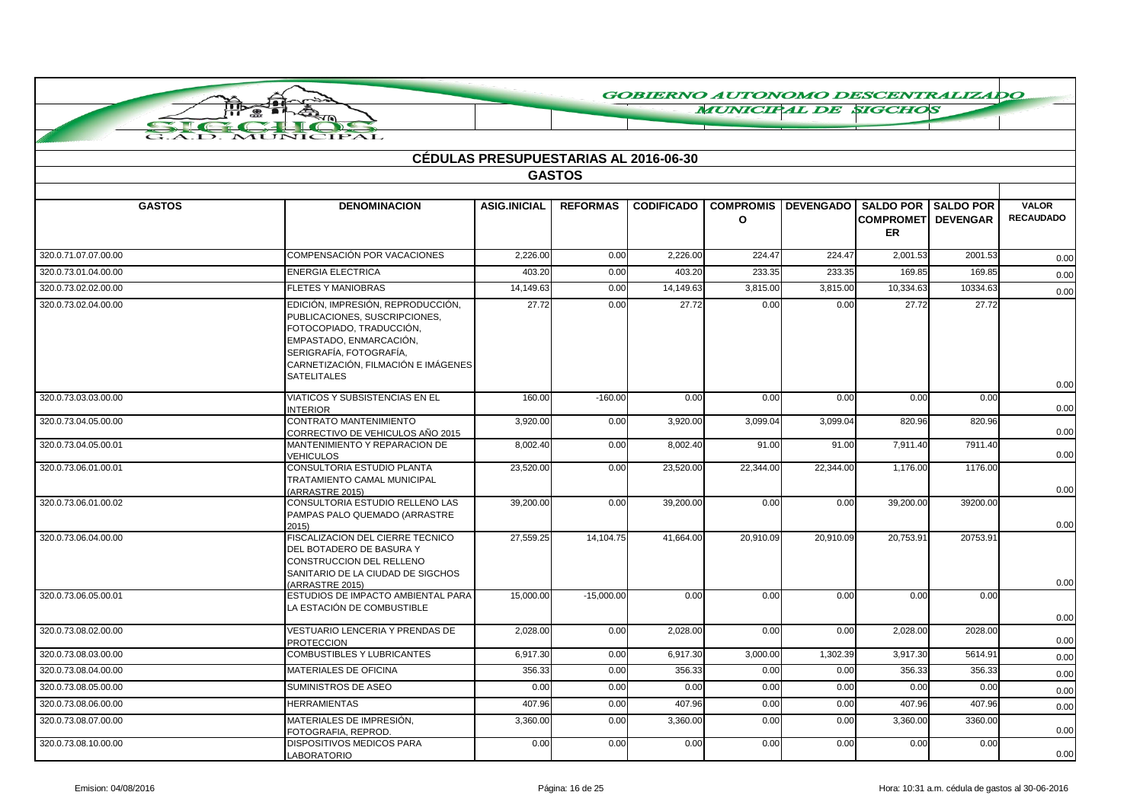**MUNICIPAL DE SIGCHOS** 

|                      |                                                                                                                                                                                                                   | <b>CÉDULAS PRESUPUESTARIAS AL 2016-06-30</b> |                 |                   |                                  |                  |                                                      |                  |                                  |
|----------------------|-------------------------------------------------------------------------------------------------------------------------------------------------------------------------------------------------------------------|----------------------------------------------|-----------------|-------------------|----------------------------------|------------------|------------------------------------------------------|------------------|----------------------------------|
|                      |                                                                                                                                                                                                                   |                                              | <b>GASTOS</b>   |                   |                                  |                  |                                                      |                  |                                  |
| <b>GASTOS</b>        | <b>DENOMINACION</b>                                                                                                                                                                                               | <b>ASIG.INICIAL</b>                          | <b>REFORMAS</b> | <b>CODIFICADO</b> | <b>COMPROMIS</b><br>$\mathbf{o}$ | <b>DEVENGADO</b> | <b>SALDO POR</b><br><b>COMPROMET DEVENGAR</b><br>ER. | <b>SALDO POR</b> | <b>VALOR</b><br><b>RECAUDADO</b> |
| 320.0.71.07.07.00.00 | <b>COMPENSACIÓN POR VACACIONES</b>                                                                                                                                                                                | 2,226.00                                     | 0.00            | 2,226.00          | 224.47                           | 224.47           | 2,001.53                                             | 2001.53          | 0.00                             |
| 320.0.73.01.04.00.00 | <b>ENERGIA ELECTRICA</b>                                                                                                                                                                                          | 403.20                                       | 0.00            | 403.20            | 233.35                           | 233.35           | 169.85                                               | 169.85           | 0.00                             |
| 320.0.73.02.02.00.00 | <b>FLETES Y MANIOBRAS</b>                                                                                                                                                                                         | 14,149.63                                    | 0.00            | 14,149.63         | 3,815.00                         | 3,815.00         | 10,334.63                                            | 10334.63         | 0.00                             |
| 320.0.73.02.04.00.00 | EDICIÓN, IMPRESIÓN, REPRODUCCIÓN,<br>PUBLICACIONES, SUSCRIPCIONES,<br>FOTOCOPIADO, TRADUCCIÓN,<br>EMPASTADO, ENMARCACIÓN,<br>SERIGRAFÍA, FOTOGRAFÍA,<br>CARNETIZACIÓN, FILMACIÓN E IMÁGENES<br><b>SATELITALES</b> | 27.72                                        | 0.00            | 27.72             | 0.00                             | 0.00             | 27.72                                                | 27.72            |                                  |
| 320.0.73.03.03.00.00 | VIATICOS Y SUBSISTENCIAS EN EL<br><b>INTERIOR</b>                                                                                                                                                                 | 160.00                                       | $-160.00$       | 0.00              | 0.00                             | 0.00             | 0.00                                                 | 0.00             | 0.00<br>0.00                     |
| 320.0.73.04.05.00.00 | CONTRATO MANTENIMIENTO<br>CORRECTIVO DE VEHICULOS AÑO 2015                                                                                                                                                        | 3,920.00                                     | 0.00            | 3,920.00          | 3,099.04                         | 3,099.04         | 820.96                                               | 820.96           | 0.00                             |
| 320.0.73.04.05.00.01 | MANTENIMIENTO Y REPARACION DE<br><b>VEHICULOS</b>                                                                                                                                                                 | 8,002.40                                     | 0.00            | 8,002.40          | 91.00                            | 91.00            | 7,911.40                                             | 7911.40          | 0.00                             |
| 320.0.73.06.01.00.01 | CONSULTORIA ESTUDIO PLANTA<br>TRATAMIENTO CAMAL MUNICIPAL<br>(ARRASTRE 2015)                                                                                                                                      | 23,520.00                                    | 0.00            | 23,520.00         | 22,344.00                        | 22,344.00        | 1,176.00                                             | 1176.00          | 0.00                             |
| 320.0.73.06.01.00.02 | CONSULTORIA ESTUDIO RELLENO LAS<br>PAMPAS PALO QUEMADO (ARRASTRE<br>2015                                                                                                                                          | 39,200.00                                    | 0.00            | 39,200.00         | 0.00                             | 0.00             | 39,200.00                                            | 39200.00         | 0.00                             |
| 320.0.73.06.04.00.00 | FISCALIZACION DEL CIERRE TECNICO<br>DEL BOTADERO DE BASURA Y<br>CONSTRUCCION DEL RELLENO<br>SANITARIO DE LA CIUDAD DE SIGCHOS<br>(ARRASTRE 2015)                                                                  | 27.559.25                                    | 14,104.75       | 41.664.00         | 20,910.09                        | 20.910.09        | 20.753.91                                            | 20753.91         | 0.00                             |
| 320.0.73.06.05.00.01 | ESTUDIOS DE IMPACTO AMBIENTAL PARA<br>LA ESTACIÓN DE COMBUSTIBLE                                                                                                                                                  | 15,000.00                                    | $-15,000.00$    | 0.00              | 0.00                             | 0.00             | 0.00                                                 | 0.00             | 0.00                             |
| 320.0.73.08.02.00.00 | VESTUARIO LENCERIA Y PRENDAS DE<br><b>PROTECCION</b>                                                                                                                                                              | 2,028.00                                     | 0.00            | 2,028.00          | 0.00                             | 0.00             | 2,028.00                                             | 2028.00          | 0.00                             |
| 320.0.73.08.03.00.00 | <b>COMBUSTIBLES Y LUBRICANTES</b>                                                                                                                                                                                 | 6,917.30                                     | 0.00            | 6,917.30          | 3,000.00                         | 1,302.39         | 3,917.30                                             | 5614.91          | 0.00                             |
| 320.0.73.08.04.00.00 | <b>MATERIALES DE OFICINA</b>                                                                                                                                                                                      | 356.33                                       | 0.00            | 356.33            | 0.00                             | 0.00             | 356.33                                               | 356.33           | 0.00                             |
| 320.0.73.08.05.00.00 | SUMINISTROS DE ASEO                                                                                                                                                                                               | 0.00                                         | 0.00            | 0.00              | 0.00                             | 0.00             | 0.00                                                 | 0.00             | 0.00                             |
| 320.0.73.08.06.00.00 | <b>HERRAMIENTAS</b>                                                                                                                                                                                               | 407.96                                       | 0.00            | 407.96            | 0.00                             | 0.00             | 407.96                                               | 407.96           | 0.00                             |
| 320.0.73.08.07.00.00 | MATERIALES DE IMPRESIÓN,<br>FOTOGRAFIA, REPROD,                                                                                                                                                                   | 3,360.00                                     | 0.00            | 3,360.00          | 0.00                             | 0.00             | 3,360.00                                             | 3360.00          | 0.00                             |
| 320.0.73.08.10.00.00 | <b>DISPOSITIVOS MEDICOS PARA</b><br>LABORATORIO                                                                                                                                                                   | 0.00                                         | 0.00            | 0.00              | 0.00                             | 0.00             | 0.00                                                 | 0.00             | 0.00                             |

匝

 $\bullet$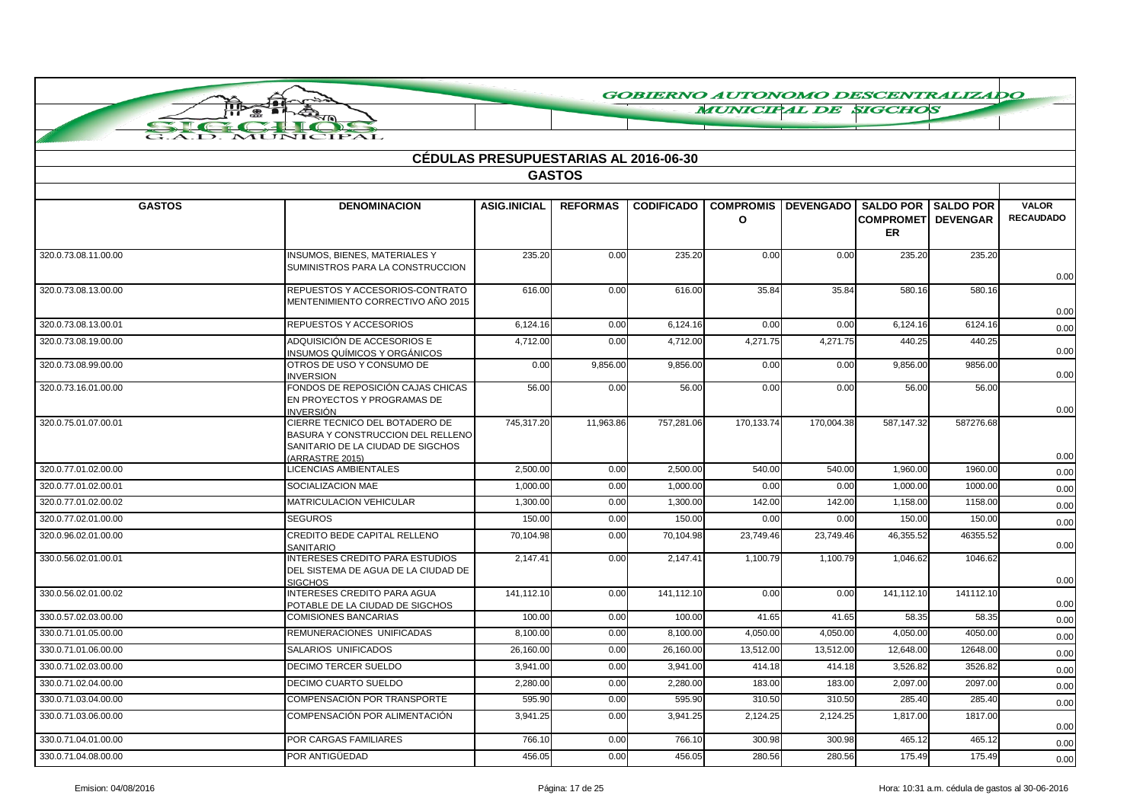**MUNICIPAL DE SIGCHOS** 

|  |  | MUNICIPAL |  |
|--|--|-----------|--|

|                      | <b>CÉDULAS PRESUPUESTARIAS AL 2016-06-30</b>                                                                                |                     |                 |                   |                              |                  |                                                        |                 |                                  |  |
|----------------------|-----------------------------------------------------------------------------------------------------------------------------|---------------------|-----------------|-------------------|------------------------------|------------------|--------------------------------------------------------|-----------------|----------------------------------|--|
|                      |                                                                                                                             |                     | <b>GASTOS</b>   |                   |                              |                  |                                                        |                 |                                  |  |
|                      |                                                                                                                             |                     |                 |                   |                              |                  |                                                        |                 |                                  |  |
| <b>GASTOS</b>        | <b>DENOMINACION</b>                                                                                                         | <b>ASIG.INICIAL</b> | <b>REFORMAS</b> | <b>CODIFICADO</b> | <b>COMPROMIS</b><br>$\Omega$ | <b>DEVENGADO</b> | <b>SALDO POR I SALDO POR</b><br><b>COMPROMET</b><br>ER | <b>DEVENGAR</b> | <b>VALOR</b><br><b>RECAUDADO</b> |  |
| 320.0.73.08.11.00.00 | <b>INSUMOS, BIENES, MATERIALES Y</b><br>SUMINISTROS PARA LA CONSTRUCCION                                                    | 235.20              | 0.00            | 235.20            | 0.00                         | 0.00             | 235.20                                                 | 235.20          | 0.00                             |  |
| 320.0.73.08.13.00.00 | REPUESTOS Y ACCESORIOS-CONTRATO<br>MENTENIMIENTO CORRECTIVO AÑO 2015                                                        | 616.00              | 0.00            | 616.00            | 35.84                        | 35.84            | 580.16                                                 | 580.16          | 0.00                             |  |
| 320.0.73.08.13.00.01 | REPUESTOS Y ACCESORIOS                                                                                                      | 6,124.16            | 0.00            | 6,124.16          | 0.00                         | 0.00             | 6,124.16                                               | 6124.16         | 0.00                             |  |
| 320.0.73.08.19.00.00 | ADQUISICIÓN DE ACCESORIOS E<br><b>INSUMOS QUÍMICOS Y ORGÁNICOS</b>                                                          | 4,712.00            | 0.00            | 4,712.00          | 4,271.75                     | 4,271.75         | 440.25                                                 | 440.25          | 0.00                             |  |
| 320.0.73.08.99.00.00 | OTROS DE USO Y CONSUMO DE<br><b>INVERSION</b>                                                                               | 0.00                | 9,856.00        | 9,856.00          | 0.00                         | 0.00             | 9,856.00                                               | 9856.00         | 0.00                             |  |
| 320.0.73.16.01.00.00 | FONDOS DE REPOSICIÓN CAJAS CHICAS<br>EN PROYECTOS Y PROGRAMAS DE<br><b>INVERSIÓN</b>                                        | 56.00               | 0.00            | 56.00             | 0.00                         | 0.00             | 56.00                                                  | 56.00           | 0.00                             |  |
| 320.0.75.01.07.00.01 | CIERRE TECNICO DEL BOTADERO DE<br>BASURA Y CONSTRUCCION DEL RELLENO<br>SANITARIO DE LA CIUDAD DE SIGCHOS<br>(ARRASTRE 2015) | 745,317.20          | 11,963.86       | 757,281.06        | 170,133.74                   | 170,004.38       | 587,147.32                                             | 587276.68       | 0.00                             |  |
| 320.0.77.01.02.00.00 | <b>LICENCIAS AMBIENTALES</b>                                                                                                | 2,500.00            | 0.00            | 2,500.00          | 540.00                       | 540.00           | 1,960.00                                               | 1960.00         | 0.00                             |  |
| 320.0.77.01.02.00.01 | SOCIALIZACION MAE                                                                                                           | 1,000.00            | 0.00            | 1,000.00          | 0.00                         | 0.00             | 1,000.00                                               | 1000.00         | 0.00                             |  |
| 320.0.77.01.02.00.02 | <b>MATRICULACION VEHICULAR</b>                                                                                              | 1,300.00            | 0.00            | 1,300.00          | 142.00                       | 142.00           | 1,158.00                                               | 1158.00         | 0.00                             |  |
| 320.0.77.02.01.00.00 | <b>SEGUROS</b>                                                                                                              | 150.00              | 0.00            | 150.00            | 0.00                         | 0.00             | 150.00                                                 | 150.00          | 0.00                             |  |
| 320.0.96.02.01.00.00 | CREDITO BEDE CAPITAL RELLENO<br>SANITARIO                                                                                   | 70,104.98           | 0.00            | 70,104.98         | 23,749.46                    | 23,749.46        | 46,355.52                                              | 46355.52        | 0.00                             |  |
| 330.0.56.02.01.00.01 | INTERESES CREDITO PARA ESTUDIOS<br>DEL SISTEMA DE AGUA DE LA CIUDAD DE<br><b>SIGCHOS</b>                                    | 2,147.41            | 0.00            | 2,147.41          | 1,100.79                     | 1,100.79         | 1,046.62                                               | 1046.62         | 0.00                             |  |
| 330.0.56.02.01.00.02 | <b>INTERESES CREDITO PARA AGUA</b><br>POTABLE DE LA CIUDAD DE SIGCHOS                                                       | 141,112.10          | 0.00            | 141,112.10        | 0.00                         | 0.00             | 141,112.10                                             | 141112.10       | 0.00                             |  |
| 330.0.57.02.03.00.00 | <b>COMISIONES BANCARIAS</b>                                                                                                 | 100.00              | 0.00            | 100.00            | 41.65                        | 41.65            | 58.35                                                  | 58.35           | 0.00                             |  |
| 330.0.71.01.05.00.00 | REMUNERACIONES UNIFICADAS                                                                                                   | 8,100.00            | 0.00            | 8.100.00          | 4,050.00                     | 4.050.00         | 4.050.00                                               | 4050.00         | 0.00                             |  |
| 330.0.71.01.06.00.00 | SALARIOS UNIFICADOS                                                                                                         | 26,160.00           | 0.00            | 26,160.00         | 13,512.00                    | 13,512.00        | 12,648.00                                              | 12648.00        | 0.00                             |  |
| 330.0.71.02.03.00.00 | <b>DECIMO TERCER SUELDO</b>                                                                                                 | 3,941.00            | 0.00            | 3.941.00          | 414.18                       | 414.18           | 3,526.82                                               | 3526.82         | 0.00                             |  |
| 330.0.71.02.04.00.00 | <b>DECIMO CUARTO SUELDO</b>                                                                                                 | 2,280.00            | 0.00            | 2,280.00          | 183.00                       | 183.00           | 2,097.00                                               | 2097.00         | 0.00                             |  |
| 330.0.71.03.04.00.00 | <b>COMPENSACIÓN POR TRANSPORTE</b>                                                                                          | 595.90              | 0.00            | 595.90            | 310.50                       | 310.50           | 285.40                                                 | 285.40          | 0.00                             |  |
| 330.0.71.03.06.00.00 | COMPENSACIÓN POR ALIMENTACIÓN                                                                                               | 3,941.25            | 0.00            | 3,941.25          | 2,124.25                     | 2,124.25         | 1,817.00                                               | 1817.00         | 0.00                             |  |
| 330.0.71.04.01.00.00 | POR CARGAS FAMILIARES                                                                                                       | 766.10              | 0.00            | 766.10            | 300.98                       | 300.98           | 465.12                                                 | 465.12          | 0.00                             |  |
| 330.0.71.04.08.00.00 | POR ANTIGÜEDAD                                                                                                              | 456.05              | 0.00            | 456.05            | 280.56                       | 280.56           | 175.49                                                 | 175.49          | 0.00                             |  |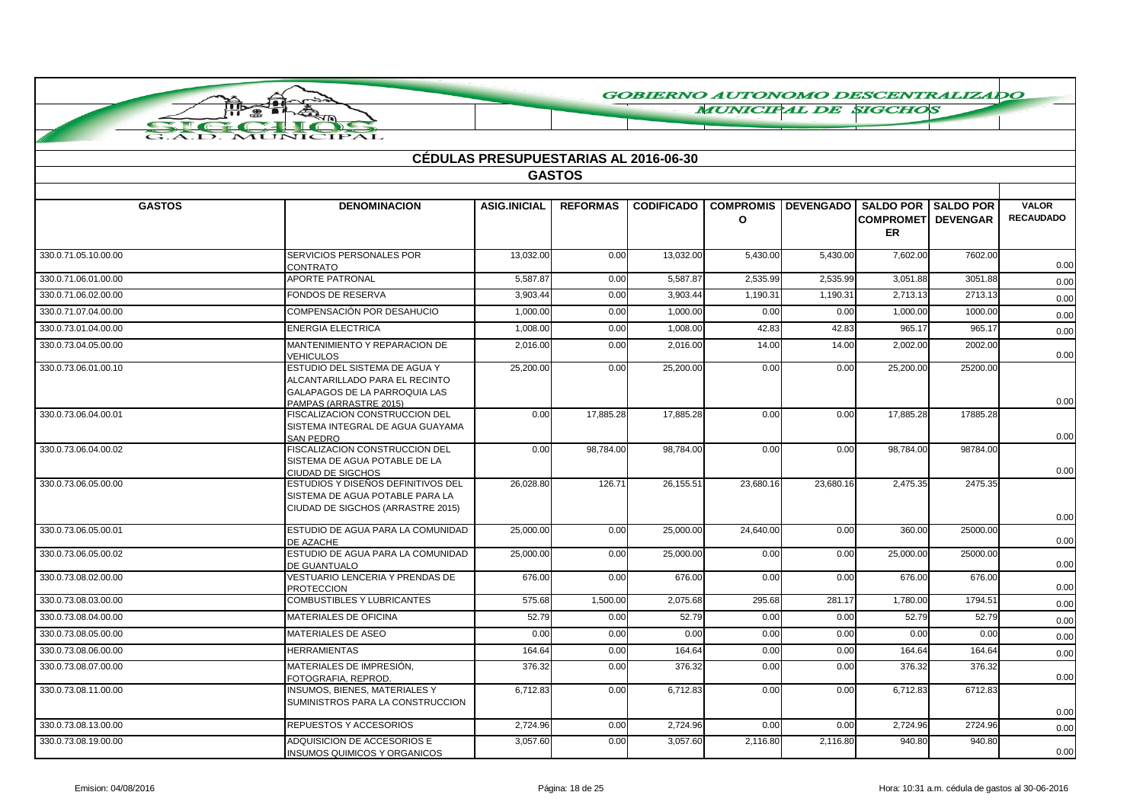**MUNICIPAL DE SIGCHOS** 

|  |  | $\sim$ $\sim$ $\sim$ $\sim$ $\sim$ $\sim$ $\sim$ |  |                |  |
|--|--|--------------------------------------------------|--|----------------|--|
|  |  |                                                  |  |                |  |
|  |  |                                                  |  | A.D. MUNICIPAL |  |

**THE** 

|                      |                                                                                                                            | <b>CEDULAS PRESUPUESTARIAS AL 2016-06-30</b> | <b>GASTOS</b>   |                   |                                  |                  |                                                                |          |                                  |
|----------------------|----------------------------------------------------------------------------------------------------------------------------|----------------------------------------------|-----------------|-------------------|----------------------------------|------------------|----------------------------------------------------------------|----------|----------------------------------|
|                      |                                                                                                                            |                                              |                 |                   |                                  |                  |                                                                |          |                                  |
| <b>GASTOS</b>        | <b>DENOMINACION</b>                                                                                                        | <b>ASIG.INICIAL</b>                          | <b>REFORMAS</b> | <b>CODIFICADO</b> | <b>COMPROMIS</b><br>$\mathbf{o}$ | <b>DEVENGADO</b> | <b>SALDO POR SALDO POR</b><br><b>COMPROMETI DEVENGAR</b><br>ER |          | <b>VALOR</b><br><b>RECAUDADO</b> |
| 330.0.71.05.10.00.00 | SERVICIOS PERSONALES POR<br><b>CONTRATO</b>                                                                                | 13,032.00                                    | 0.00            | 13,032.00         | 5,430.00                         | 5,430.00         | 7,602.00                                                       | 7602.00  | 0.00                             |
| 330.0.71.06.01.00.00 | <b>APORTE PATRONAL</b>                                                                                                     | 5,587.87                                     | 0.00            | 5.587.87          | 2.535.99                         | 2,535.99         | 3,051.88                                                       | 3051.88  | 0.00                             |
| 330.0.71.06.02.00.00 | <b>FONDOS DE RESERVA</b>                                                                                                   | 3,903.44                                     | 0.00            | 3.903.44          | 1,190.31                         | 1,190.31         | 2,713.13                                                       | 2713.13  | 0.00                             |
| 330.0.71.07.04.00.00 | COMPENSACIÓN POR DESAHUCIO                                                                                                 | 1,000.00                                     | 0.00            | 1,000.00          | 0.00                             | 0.00             | 1,000.00                                                       | 1000.00  | 0.00                             |
| 330.0.73.01.04.00.00 | <b>ENERGIA ELECTRICA</b>                                                                                                   | 1,008.00                                     | 0.00            | 1,008.00          | 42.83                            | 42.83            | 965.17                                                         | 965.17   | 0.00                             |
| 330.0.73.04.05.00.00 | MANTENIMIENTO Y REPARACION DE<br><b>VEHICULOS</b>                                                                          | 2,016.00                                     | 0.00            | 2,016.00          | 14.00                            | 14.00            | 2,002.00                                                       | 2002.00  | 0.00                             |
| 330.0.73.06.01.00.10 | ESTUDIO DEL SISTEMA DE AGUA Y<br>ALCANTARILLADO PARA EL RECINTO<br>GALAPAGOS DE LA PARROQUIA LAS<br>PAMPAS (ARRASTRE 2015) | 25,200.00                                    | 0.00            | 25,200.00         | 0.00                             | 0.00             | 25,200.00                                                      | 25200.00 | 0.00                             |
| 330.0.73.06.04.00.01 | FISCALIZACION CONSTRUCCION DEL<br>SISTEMA INTEGRAL DE AGUA GUAYAMA<br><b>SAN PEDRO</b>                                     | 0.00                                         | 17,885.28       | 17,885.28         | 0.00                             | 0.00             | 17.885.28                                                      | 17885.28 | 0.00                             |
| 330.0.73.06.04.00.02 | FISCALIZACION CONSTRUCCION DEL<br>SISTEMA DE AGUA POTABLE DE LA<br>CIUDAD DE SIGCHOS                                       | 0.00                                         | 98,784.00       | 98,784.00         | 0.00                             | 0.00             | 98,784.00                                                      | 98784.00 | 0.00                             |
| 330.0.73.06.05.00.00 | ESTUDIOS Y DISEÑOS DEFINITIVOS DEL<br>SISTEMA DE AGUA POTABLE PARA LA<br>CIUDAD DE SIGCHOS (ARRASTRE 2015)                 | 26,028.80                                    | 126.71          | 26,155.51         | 23,680.16                        | 23,680.16        | 2,475.35                                                       | 2475.35  | 0.00                             |
| 330.0.73.06.05.00.01 | ESTUDIO DE AGUA PARA LA COMUNIDAD<br>DE AZACHE                                                                             | 25,000.00                                    | 0.00            | 25,000.00         | 24,640.00                        | 0.00             | 360.00                                                         | 25000.00 | 0.00                             |
| 330.0.73.06.05.00.02 | ESTUDIO DE AGUA PARA LA COMUNIDAD<br><b>DE GUANTUALO</b>                                                                   | 25,000.00                                    | 0.00            | 25,000.00         | 0.00                             | 0.00             | 25,000.00                                                      | 25000.00 | 0.00                             |
| 330.0.73.08.02.00.00 | VESTUARIO LENCERIA Y PRENDAS DE<br><b>PROTECCION</b>                                                                       | 676.00                                       | 0.00            | 676.00            | 0.00                             | 0.00             | 676.00                                                         | 676.00   | 0.00                             |
| 330.0.73.08.03.00.00 | <b>COMBUSTIBLES Y LUBRICANTES</b>                                                                                          | 575.68                                       | 1,500.00        | 2,075.68          | 295.68                           | 281.17           | 1,780.00                                                       | 1794.51  | 0.00                             |
| 330.0.73.08.04.00.00 | <b>MATERIALES DE OFICINA</b>                                                                                               | 52.79                                        | 0.00            | 52.79             | 0.00                             | 0.00             | 52.79                                                          | 52.79    | 0.00                             |
| 330.0.73.08.05.00.00 | <b>MATERIALES DE ASEO</b>                                                                                                  | 0.00                                         | 0.00            | 0.00              | 0.00                             | 0.00             | 0.00                                                           | 0.00     | 0.00                             |
| 330.0.73.08.06.00.00 | <b>HERRAMIENTAS</b>                                                                                                        | 164.64                                       | 0.00            | 164.64            | 0.00                             | 0.00             | 164.64                                                         | 164.64   | 0.00                             |
| 330.0.73.08.07.00.00 | MATERIALES DE IMPRESIÓN.<br>FOTOGRAFIA, REPROD.                                                                            | 376.32                                       | 0.00            | 376.32            | 0.00                             | 0.00             | 376.32                                                         | 376.32   | 0.00                             |
| 330.0.73.08.11.00.00 | <b>INSUMOS, BIENES, MATERIALES Y</b><br>SUMINISTROS PARA LA CONSTRUCCION                                                   | 6,712.83                                     | 0.00            | 6,712.83          | 0.00                             | 0.00             | 6,712.83                                                       | 6712.83  | 0.00                             |
| 330.0.73.08.13.00.00 | REPUESTOS Y ACCESORIOS                                                                                                     | 2,724.96                                     | 0.00            | 2,724.96          | 0.00                             | 0.00             | 2,724.96                                                       | 2724.96  | 0.00                             |
| 330.0.73.08.19.00.00 | ADQUISICION DE ACCESORIOS E<br><b>INSUMOS QUIMICOS Y ORGANICOS</b>                                                         | 3,057.60                                     | 0.00            | 3,057.60          | 2,116.80                         | 2,116.80         | 940.80                                                         | 940.80   | 0.00                             |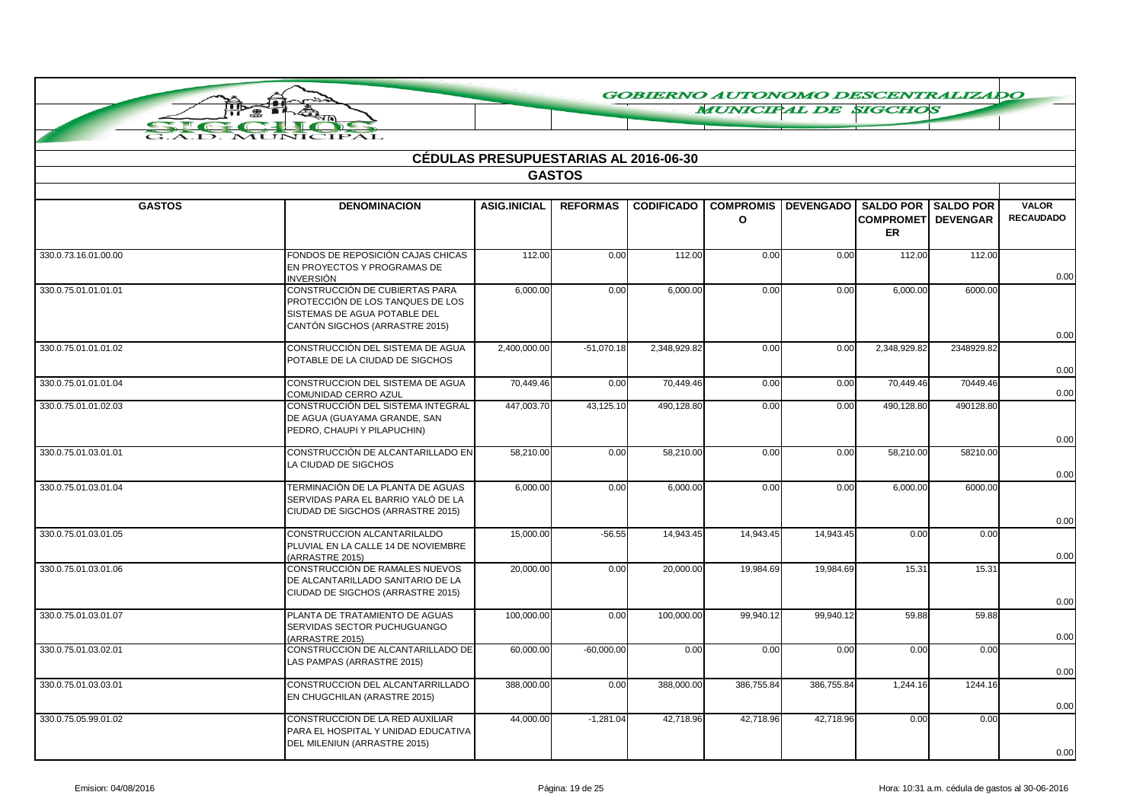**MUNICIPAL DE SIGCHOS** 

|                      |                                                                                                                                      | <b>CÉDULAS PRESUPUESTARIAS AL 2016-06-30</b> |                 |                   |                                  |            |                                                               |                  |                                  |  |
|----------------------|--------------------------------------------------------------------------------------------------------------------------------------|----------------------------------------------|-----------------|-------------------|----------------------------------|------------|---------------------------------------------------------------|------------------|----------------------------------|--|
| <b>GASTOS</b>        |                                                                                                                                      |                                              |                 |                   |                                  |            |                                                               |                  |                                  |  |
| <b>GASTOS</b>        | <b>DENOMINACION</b>                                                                                                                  | <b>ASIG.INICIAL</b>                          | <b>REFORMAS</b> | <b>CODIFICADO</b> | <b>COMPROMIS</b><br>$\mathbf{o}$ |            | <b>DEVENGADO SALDO POR</b><br><b>COMPROMET DEVENGAR</b><br>ER | <b>SALDO POR</b> | <b>VALOR</b><br><b>RECAUDADO</b> |  |
| 330.0.73.16.01.00.00 | FONDOS DE REPOSICIÓN CAJAS CHICAS<br>EN PROYECTOS Y PROGRAMAS DE<br><b>INVERSIÓN</b>                                                 | 112.00                                       | 0.00            | 112.00            | 0.00                             | 0.00       | 112.00                                                        | 112.00           | 0.00                             |  |
| 330.0.75.01.01.01.01 | CONSTRUCCIÓN DE CUBIERTAS PARA<br>PROTECCIÓN DE LOS TANQUES DE LOS<br>SISTEMAS DE AGUA POTABLE DEL<br>CANTÓN SIGCHOS (ARRASTRE 2015) | 6,000.00                                     | 0.00            | 6,000.00          | 0.00                             | 0.00       | 6,000.00                                                      | 6000.00          |                                  |  |
| 330.0.75.01.01.01.02 | CONSTRUCCIÓN DEL SISTEMA DE AGUA<br>POTABLE DE LA CIUDAD DE SIGCHOS                                                                  | 2,400,000.00                                 | $-51,070.18$    | 2,348,929.82      | 0.00                             | 0.00       | 2,348,929.82                                                  | 2348929.82       | 0.00<br>0.00                     |  |
| 330.0.75.01.01.01.04 | CONSTRUCCION DEL SISTEMA DE AGUA<br>COMUNIDAD CERRO AZUL                                                                             | 70,449.46                                    | 0.00            | 70,449.46         | 0.00                             | 0.00       | 70,449.46                                                     | 70449.46         | 0.00                             |  |
| 330.0.75.01.01.02.03 | CONSTRUCCIÓN DEL SISTEMA INTEGRAL<br>DE AGUA (GUAYAMA GRANDE, SAN<br>PEDRO, CHAUPI Y PILAPUCHIN)                                     | 447,003.70                                   | 43,125.10       | 490,128.80        | 0.00                             | 0.00       | 490,128.80                                                    | 490128.80        | 0.00                             |  |
| 330.0.75.01.03.01.01 | CONSTRUCCIÓN DE ALCANTARILLADO EN<br>LA CIUDAD DE SIGCHOS                                                                            | 58,210.00                                    | 0.00            | 58,210.00         | 0.00                             | 0.00       | 58,210.00                                                     | 58210.00         | 0.00                             |  |
| 330.0.75.01.03.01.04 | TERMINACIÓN DE LA PLANTA DE AGUAS<br>SERVIDAS PARA EL BARRIO YALÓ DE LA<br>CIUDAD DE SIGCHOS (ARRASTRE 2015)                         | 6,000.00                                     | 0.00            | 6,000.00          | 0.00                             | 0.00       | 6,000.00                                                      | 6000.00          | 0.00                             |  |
| 330.0.75.01.03.01.05 | CONSTRUCCION ALCANTARILALDO<br>PLUVIAL EN LA CALLE 14 DE NOVIEMBRE<br>(ARRASTRE 2015)                                                | 15,000.00                                    | $-56.55$        | 14,943.45         | 14,943.45                        | 14,943.45  | 0.00                                                          | 0.00             | 0.00                             |  |
| 330.0.75.01.03.01.06 | CONSTRUCCIÓN DE RAMALES NUEVOS<br>DE ALCANTARILLADO SANITARIO DE LA<br>CIUDAD DE SIGCHOS (ARRASTRE 2015)                             | 20,000.00                                    | 0.00            | 20,000.00         | 19,984.69                        | 19,984.69  | 15.31                                                         | 15.31            | 0.00                             |  |
| 330.0.75.01.03.01.07 | PLANTA DE TRATAMIENTO DE AGUAS<br>SERVIDAS SECTOR PUCHUGUANGO<br>(ARRASTRE 2015)                                                     | 100,000.00                                   | 0.00            | 100,000.00        | 99,940.12                        | 99,940.12  | 59.88                                                         | 59.88            | 0.00                             |  |
| 330.0.75.01.03.02.01 | CONSTRUCCION DE ALCANTARILLADO DE<br>LAS PAMPAS (ARRASTRE 2015)                                                                      | 60,000.00                                    | $-60,000.00$    | 0.00              | 0.00                             | 0.00       | 0.00                                                          | 0.00             | 0.00                             |  |
| 330.0.75.01.03.03.01 | CONSTRUCCION DEL ALCANTARRILLADO<br>EN CHUGCHILAN (ARASTRE 2015)                                                                     | 388.000.00                                   | 0.00            | 388,000.00        | 386,755.84                       | 386,755.84 | 1.244.16                                                      | 1244.16          | 0.00                             |  |
| 330.0.75.05.99.01.02 | CONSTRUCCION DE LA RED AUXILIAR<br>PARA EL HOSPITAL Y UNIDAD EDUCATIVA<br>DEL MILENIUN (ARRASTRE 2015)                               | 44,000.00                                    | $-1,281.04$     | 42,718.96         | 42,718.96                        | 42,718.96  | 0.00                                                          | 0.00             | 0.00                             |  |

**Allen** 

a de de la compagnie de la compagnie de la compagnie de la compagnie de la compagnie de la compagnie de la compa<br>De la compagnie de la compagnie de la compagnie de la compagnie de la compagnie de la compagnie de la compagn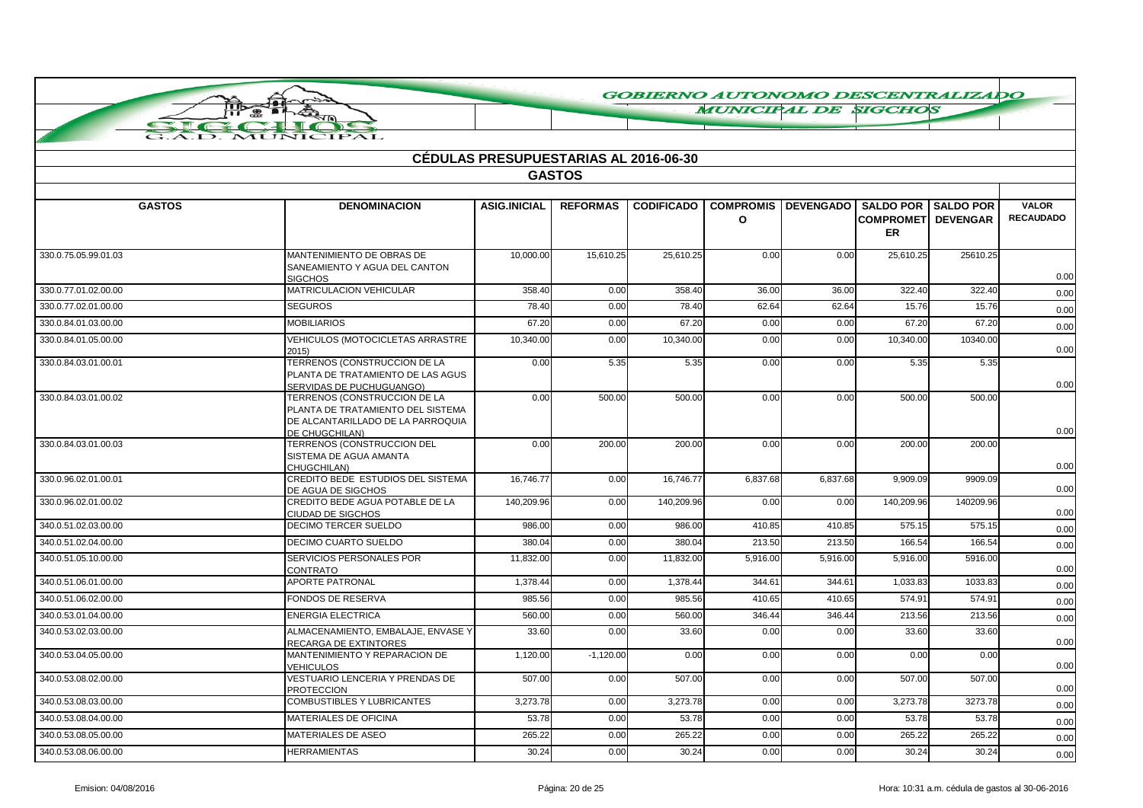**MUNICIPAL DE SIGCHOS** 

|                      |                                                                                                                          | <b>CEDULAS PRESUPUESTARIAS AL 2016-06-30</b> |                 |                   |                       |                  |                                         |                            |                                  |
|----------------------|--------------------------------------------------------------------------------------------------------------------------|----------------------------------------------|-----------------|-------------------|-----------------------|------------------|-----------------------------------------|----------------------------|----------------------------------|
|                      |                                                                                                                          |                                              | <b>GASTOS</b>   |                   |                       |                  |                                         |                            |                                  |
|                      |                                                                                                                          |                                              |                 |                   |                       |                  |                                         |                            |                                  |
| <b>GASTOS</b>        | <b>DENOMINACION</b>                                                                                                      | <b>ASIG.INICIAL</b>                          | <b>REFORMAS</b> | <b>CODIFICADO</b> | <b>COMPROMIS</b><br>O | <b>DEVENGADO</b> | <b>COMPROMETI DEVENGAR</b><br><b>ER</b> | <b>SALDO POR SALDO POR</b> | <b>VALOR</b><br><b>RECAUDADO</b> |
| 330.0.75.05.99.01.03 | MANTENIMIENTO DE OBRAS DE<br>SANEAMIENTO Y AGUA DEL CANTON<br><b>SIGCHOS</b>                                             | 10,000.00                                    | 15,610.25       | 25,610.25         | 0.00                  | 0.00             | 25,610.25                               | 25610.25                   | 0.00                             |
| 330.0.77.01.02.00.00 | MATRICULACION VEHICULAR                                                                                                  | 358.40                                       | 0.00            | 358.40            | 36.00                 | 36.00            | 322.40                                  | 322.40                     | 0.00                             |
| 330.0.77.02.01.00.00 | <b>SEGUROS</b>                                                                                                           | 78.40                                        | 0.00            | 78.40             | 62.64                 | 62.64            | 15.76                                   | 15.76                      | 0.00                             |
| 330.0.84.01.03.00.00 | <b>MOBILIARIOS</b>                                                                                                       | 67.20                                        | 0.00            | 67.20             | 0.00                  | 0.00             | 67.20                                   | 67.20                      | 0.00                             |
| 330.0.84.01.05.00.00 | VEHICULOS (MOTOCICLETAS ARRASTRE<br>2015)                                                                                | 10,340.00                                    | 0.00            | 10,340.00         | 0.00                  | 0.00             | 10,340.00                               | 10340.00                   | 0.00                             |
| 330.0.84.03.01.00.01 | TERRENOS (CONSTRUCCION DE LA<br>PLANTA DE TRATAMIENTO DE LAS AGUS<br>SERVIDAS DE PUCHUGUANGO)                            | 0.00                                         | 5.35            | 5.35              | 0.00                  | 0.00             | 5.35                                    | 5.35                       | 0.00                             |
| 330.0.84.03.01.00.02 | TERRENOS (CONSTRUCCION DE LA<br>PLANTA DE TRATAMIENTO DEL SISTEMA<br>DE ALCANTARILLADO DE LA PARROQUIA<br>DE CHUGCHILAN) | 0.00                                         | 500.00          | 500.00            | 0.00                  | 0.00             | 500.00                                  | 500.00                     | 0.00                             |
| 330.0.84.03.01.00.03 | TERRENOS (CONSTRUCCION DEL<br>SISTEMA DE AGUA AMANTA<br>CHUGCHILAN)                                                      | 0.00                                         | 200.00          | 200.00            | 0.00                  | 0.00             | 200.00                                  | 200.00                     | 0.00                             |
| 330.0.96.02.01.00.01 | CREDITO BEDE ESTUDIOS DEL SISTEMA<br>DE AGUA DE SIGCHOS                                                                  | 16.746.77                                    | 0.00            | 16,746.77         | 6,837.68              | 6,837.68         | 9.909.09                                | 9909.09                    | 0.00                             |
| 330.0.96.02.01.00.02 | CREDITO BEDE AGUA POTABLE DE LA<br>CIUDAD DE SIGCHOS                                                                     | 140,209.96                                   | 0.00            | 140,209.96        | 0.00                  | 0.00             | 140,209.96                              | 140209.96                  | 0.00                             |
| 340.0.51.02.03.00.00 | DECIMO TERCER SUELDO                                                                                                     | 986.00                                       | 0.00            | 986.00            | 410.85                | 410.85           | 575.15                                  | 575.15                     | 0.00                             |
| 340.0.51.02.04.00.00 | <b>DECIMO CUARTO SUELDO</b>                                                                                              | 380.04                                       | 0.00            | 380.04            | 213.50                | 213.50           | 166.54                                  | 166.54                     | 0.00                             |
| 340.0.51.05.10.00.00 | SERVICIOS PERSONALES POR<br><b>CONTRATO</b>                                                                              | 11,832.00                                    | 0.00            | 11,832.00         | 5,916.00              | 5,916.00         | 5,916.00                                | 5916.00                    | 0.00                             |
| 340.0.51.06.01.00.00 | <b>APORTE PATRONAL</b>                                                                                                   | 1.378.44                                     | 0.00            | 1,378.44          | 344.61                | 344.61           | 1,033.83                                | 1033.83                    | 0.00                             |
| 340.0.51.06.02.00.00 | FONDOS DE RESERVA                                                                                                        | 985.56                                       | 0.00            | 985.56            | 410.65                | 410.65           | 574.91                                  | 574.91                     | 0.00                             |
| 340.0.53.01.04.00.00 | <b>ENERGIA ELECTRICA</b>                                                                                                 | 560.00                                       | 0.00            | 560.00            | 346.44                | 346.44           | 213.56                                  | 213.56                     | 0.00                             |
| 340.0.53.02.03.00.00 | ALMACENAMIENTO, EMBALAJE, ENVASE Y<br>RECARGA DE EXTINTORES                                                              | 33.60                                        | 0.00            | 33.60             | 0.00                  | 0.00             | 33.60                                   | 33.60                      | 0.00                             |
| 340.0.53.04.05.00.00 | MANTENIMIENTO Y REPARACION DE<br>VEHICULOS                                                                               | 1,120.00                                     | $-1,120.00$     | 0.00              | 0.00                  | 0.00             | 0.00                                    | 0.00                       | 0.00                             |
| 340.0.53.08.02.00.00 | VESTUARIO LENCERIA Y PRENDAS DE<br><b>PROTECCION</b>                                                                     | 507.00                                       | 0.00            | 507.00            | 0.00                  | 0.00             | 507.00                                  | 507.00                     | 0.00                             |
| 340.0.53.08.03.00.00 | COMBUSTIBLES Y LUBRICANTES                                                                                               | 3,273.78                                     | 0.00            | 3,273.78          | 0.00                  | 0.00             | 3,273.78                                | 3273.78                    | 0.00                             |
| 340.0.53.08.04.00.00 | <b>MATERIALES DE OFICINA</b>                                                                                             | 53.78                                        | 0.00            | 53.78             | 0.00                  | 0.00             | 53.78                                   | 53.78                      | 0.00                             |
| 340.0.53.08.05.00.00 | MATERIALES DE ASEO                                                                                                       | 265.22                                       | 0.00            | 265.22            | 0.00                  | 0.00             | 265.22                                  | 265.22                     | 0.00                             |

**AR** 

Ŧ

G.A.D. MUNICIPAL

A

 $\blacksquare$ 

340.0.53.08.06.00.00 HERRAMIENTAS 30.24 0.00 30.24 0.00 0.00 30.24 30.24 0.00

0.00

0.00

0.00

0.00

0.00

0.00

0.00

0.00

0.00

0.00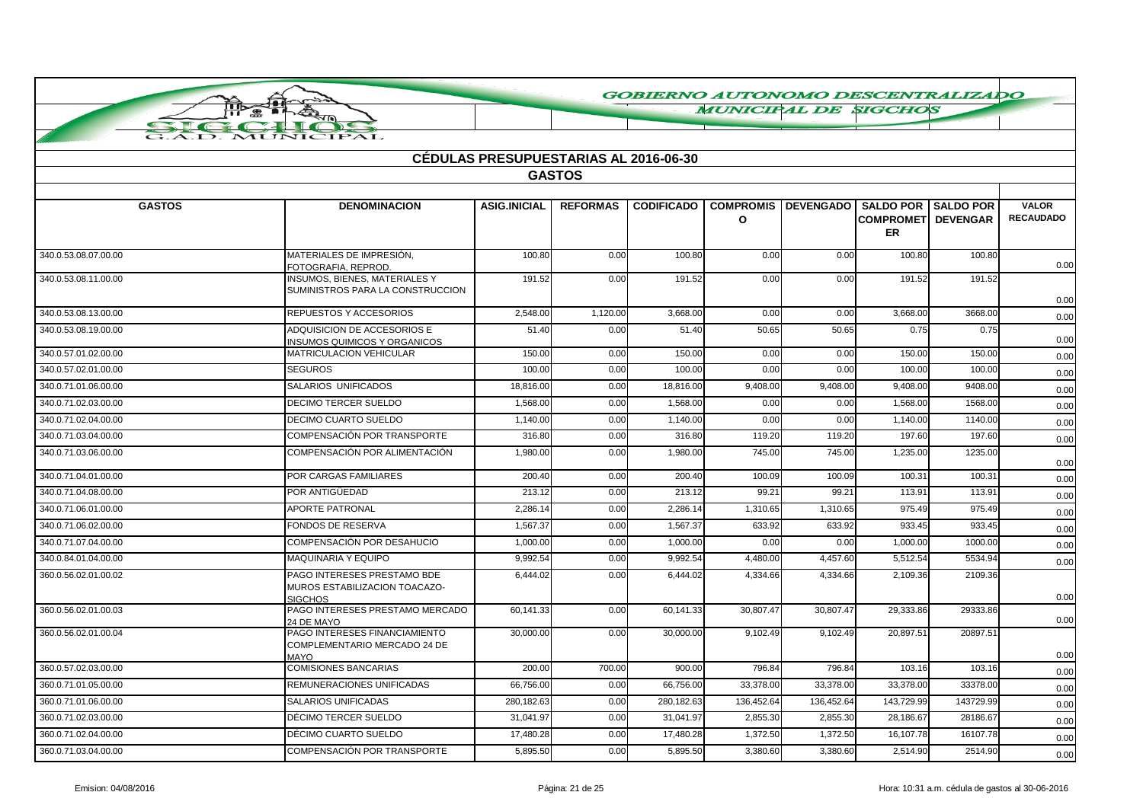**MUNICIPAL DE SIGCHOS** 

|                      |                                                                                | CÉDULAS PRESUPUESTARIAS AL 2016-06-30 |                 |                   |                              |                                   |                                        |           |                                  |
|----------------------|--------------------------------------------------------------------------------|---------------------------------------|-----------------|-------------------|------------------------------|-----------------------------------|----------------------------------------|-----------|----------------------------------|
|                      |                                                                                |                                       | <b>GASTOS</b>   |                   |                              |                                   |                                        |           |                                  |
| <b>GASTOS</b>        | <b>DENOMINACION</b>                                                            | <b>ASIG.INICIAL</b>                   | <b>REFORMAS</b> | <b>CODIFICADO</b> | <b>COMPROMIS</b><br>$\Omega$ | DEVENGADO   SALDO POR   SALDO POR | <b>COMPROMET DEVENGAR</b><br><b>ER</b> |           | <b>VALOR</b><br><b>RECAUDADO</b> |
| 340.0.53.08.07.00.00 | MATERIALES DE IMPRESIÓN.<br>FOTOGRAFIA, REPROD.                                | 100.80                                | 0.00            | 100.80            | 0.00                         | 0.00                              | 100.80                                 | 100.80    | 0.00                             |
| 340.0.53.08.11.00.00 | INSUMOS, BIENES, MATERIALES Y<br>SUMINISTROS PARA LA CONSTRUCCION              | 191.52                                | 0.00            | 191.52            | 0.00                         | 0.00                              | 191.52                                 | 191.52    | 0.00                             |
| 340.0.53.08.13.00.00 | REPUESTOS Y ACCESORIOS                                                         | 2,548.00                              | 1,120.00        | 3,668.00          | 0.00                         | 0.00                              | 3,668.00                               | 3668.00   | 0.00                             |
| 340.0.53.08.19.00.00 | ADQUISICION DE ACCESORIOS E<br><b>INSUMOS QUIMICOS Y ORGANICOS</b>             | 51.40                                 | 0.00            | 51.40             | 50.65                        | 50.65                             | 0.75                                   | 0.75      | 0.00                             |
| 340.0.57.01.02.00.00 | <b>MATRICULACION VEHICULAR</b>                                                 | 150.00                                | 0.00            | 150.00            | 0.00                         | 0.00                              | 150.00                                 | 150.00    | 0.00                             |
| 340.0.57.02.01.00.00 | <b>SEGUROS</b>                                                                 | 100.00                                | 0.00            | 100.00            | 0.00                         | 0.00                              | 100.00                                 | 100.00    | 0.00                             |
| 340.0.71.01.06.00.00 | SALARIOS UNIFICADOS                                                            | 18,816.00                             | 0.00            | 18,816.00         | 9,408.00                     | 9,408.00                          | 9,408.00                               | 9408.00   | 0.00                             |
| 340.0.71.02.03.00.00 | <b>DECIMO TERCER SUELDO</b>                                                    | 1,568.00                              | 0.00            | 1,568.00          | 0.00                         | 0.00                              | 1,568.00                               | 1568.00   | 0.00                             |
| 340.0.71.02.04.00.00 | DECIMO CUARTO SUELDO                                                           | 1,140.00                              | 0.00            | 1.140.00          | 0.00                         | 0.00                              | 1.140.00                               | 1140.00   | 0.00                             |
| 340.0.71.03.04.00.00 | COMPENSACIÓN POR TRANSPORTE                                                    | 316.80                                | 0.00            | 316.80            | 119.20                       | 119.20                            | 197.60                                 | 197.60    | 0.00                             |
| 340.0.71.03.06.00.00 | COMPENSACIÓN POR ALIMENTACIÓN                                                  | 1,980.00                              | 0.00            | 1,980.00          | 745.00                       | 745.00                            | 1,235.00                               | 1235.00   | 0.00                             |
| 340.0.71.04.01.00.00 | POR CARGAS FAMILIARES                                                          | 200.40                                | 0.00            | 200.40            | 100.09                       | 100.09                            | 100.31                                 | 100.31    | 0.00                             |
| 340.0.71.04.08.00.00 | POR ANTIGÜEDAD                                                                 | 213.12                                | 0.00            | 213.12            | 99.21                        | 99.21                             | 113.91                                 | 113.91    | 0.00                             |
| 340.0.71.06.01.00.00 | <b>APORTE PATRONAL</b>                                                         | 2,286.14                              | 0.00            | 2,286.14          | 1,310.65                     | 1,310.65                          | 975.49                                 | 975.49    | 0.00                             |
| 340.0.71.06.02.00.00 | <b>FONDOS DE RESERVA</b>                                                       | 1,567.37                              | 0.00            | 1,567.37          | 633.92                       | 633.92                            | 933.45                                 | 933.45    | 0.00                             |
| 340.0.71.07.04.00.00 | COMPENSACIÓN POR DESAHUCIO                                                     | 1,000.00                              | 0.00            | 1,000.00          | 0.00                         | 0.00                              | 1,000.00                               | 1000.00   | 0.00                             |
| 340.0.84.01.04.00.00 | MAQUINARIA Y EQUIPO                                                            | 9,992.54                              | 0.00            | 9,992.54          | 4,480.00                     | 4,457.60                          | 5,512.54                               | 5534.94   | 0.00                             |
| 360.0.56.02.01.00.02 | PAGO INTERESES PRESTAMO BDE<br>MUROS ESTABILIZACION TOACAZO-<br><b>SIGCHOS</b> | 6.444.02                              | 0.00            | 6.444.02          | 4.334.66                     | 4.334.66                          | 2.109.36                               | 2109.36   | 0.00                             |
| 360.0.56.02.01.00.03 | PAGO INTERESES PRESTAMO MERCADO<br>24 DE MAYO                                  | 60,141.33                             | 0.00            | 60,141.33         | 30,807.47                    | 30,807.47                         | 29,333.86                              | 29333.86  | 0.00                             |
| 360.0.56.02.01.00.04 | PAGO INTERESES FINANCIAMIENTO<br>COMPLEMENTARIO MERCADO 24 DE<br>MAYO          | 30,000.00                             | 0.00            | 30,000.00         | 9,102.49                     | 9,102.49                          | 20,897.51                              | 20897.51  | 0.00                             |
| 360.0.57.02.03.00.00 | <b>COMISIONES BANCARIAS</b>                                                    | 200.00                                | 700.00          | 900.00            | 796.84                       | 796.84                            | 103.16                                 | 103.16    | 0.00                             |
| 360.0.71.01.05.00.00 | REMUNERACIONES UNIFICADAS                                                      | 66,756.00                             | 0.00            | 66,756.00         | 33,378.00                    | 33,378.00                         | 33,378.00                              | 33378.00  | 0.00                             |
| 360.0.71.01.06.00.00 | <b>SALARIOS UNIFICADAS</b>                                                     | 280,182.63                            | 0.00            | 280,182.63        | 136,452.64                   | 136,452.64                        | 143,729.99                             | 143729.99 | 0.00                             |
| 360.0.71.02.03.00.00 | DÉCIMO TERCER SUELDO                                                           | 31,041.97                             | 0.00            | 31,041.97         | 2,855.30                     | 2,855.30                          | 28,186.67                              | 28186.67  | 0.00                             |
| 360.0.71.02.04.00.00 | DÉCIMO CUARTO SUELDO                                                           | 17,480.28                             | 0.00            | 17,480.28         | 1,372.50                     | 1,372.50                          | 16,107.78                              | 16107.78  | 0.00                             |
| 360.0.71.03.04.00.00 | COMPENSACIÓN POR TRANSPORTE                                                    | 5,895.50                              | 0.00            | 5,895.50          | 3,380.60                     | 3,380.60                          | 2,514.90                               | 2514.90   | 0.00                             |

 $\overline{\mathsf{nb}}$ ☎

**AUNIC** 

**CIPAL** 

Ŧ

ੋ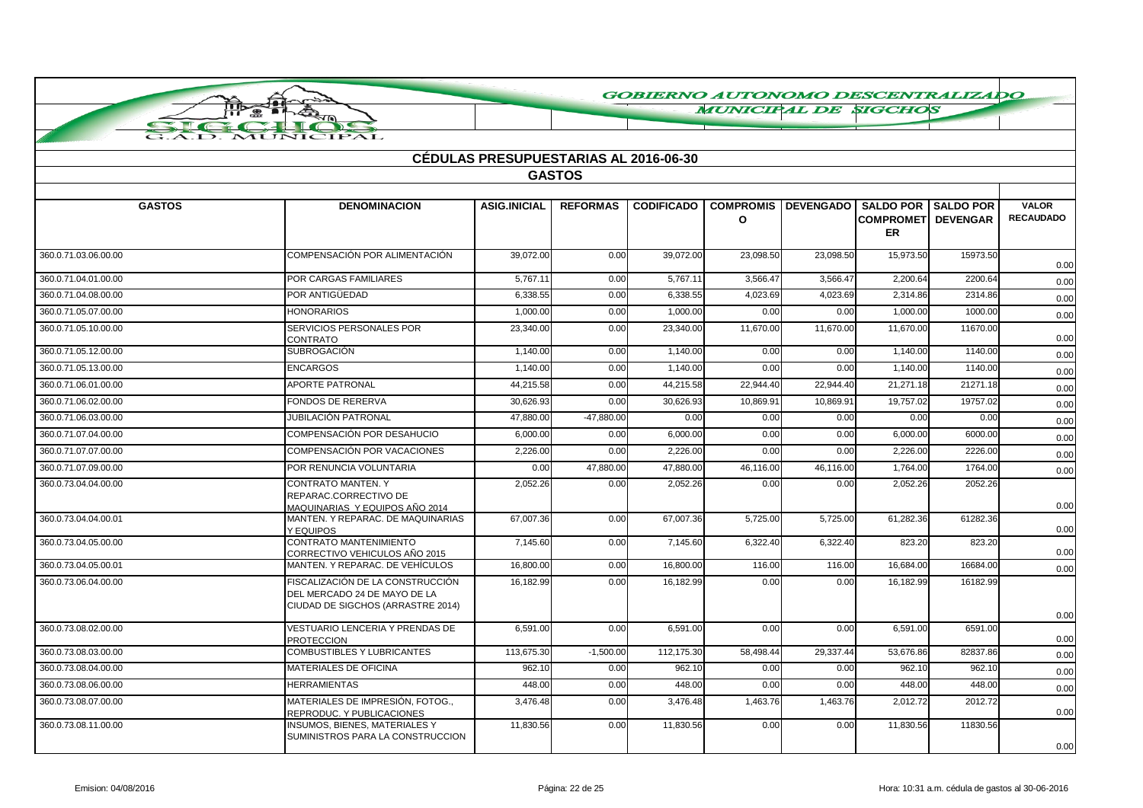**MUNICIPAL DE SIGCHOS** 

| <b>CÉDULAS PRESUPUESTARIAS AL 2016-06-30</b> |                                                                                                       |                     |                 |                   |           |                                                |                                        |          |                                  |
|----------------------------------------------|-------------------------------------------------------------------------------------------------------|---------------------|-----------------|-------------------|-----------|------------------------------------------------|----------------------------------------|----------|----------------------------------|
| <b>GASTOS</b>                                |                                                                                                       |                     |                 |                   |           |                                                |                                        |          |                                  |
| <b>GASTOS</b>                                | <b>DENOMINACION</b>                                                                                   | <b>ASIG.INICIAL</b> | <b>REFORMAS</b> | <b>CODIFICADO</b> | $\Omega$  | <b>COMPROMIS DEVENGADO SALDO POR SALDO POR</b> | <b>COMPROMET DEVENGAR</b><br><b>ER</b> |          | <b>VALOR</b><br><b>RECAUDADO</b> |
| 360.0.71.03.06.00.00                         | COMPENSACIÓN POR ALIMENTACIÓN                                                                         | 39,072.00           | 0.00            | 39,072.00         | 23,098.50 | 23,098.50                                      | 15,973.50                              | 15973.50 | 0.00                             |
| 360.0.71.04.01.00.00                         | <b>POR CARGAS FAMILIARES</b>                                                                          | 5.767.11            | 0.00            | 5.767.11          | 3.566.47  | 3.566.47                                       | 2.200.64                               | 2200.64  | 0.00                             |
| 360.0.71.04.08.00.00                         | POR ANTIGÜEDAD                                                                                        | 6,338.55            | 0.00            | 6,338.55          | 4,023.69  | 4,023.69                                       | 2,314.86                               | 2314.86  | 0.00                             |
| 360.0.71.05.07.00.00                         | <b>HONORARIOS</b>                                                                                     | 1,000.00            | 0.00            | 1,000.00          | 0.00      | 0.00                                           | 1,000.00                               | 1000.00  | 0.00                             |
| 360.0.71.05.10.00.00                         | SERVICIOS PERSONALES POR<br><b>CONTRATO</b>                                                           | 23,340.00           | 0.00            | 23,340.00         | 11,670.00 | 11,670.00                                      | 11,670.00                              | 11670.00 | 0.00                             |
| 360.0.71.05.12.00.00                         | <b>SUBROGACIÓN</b>                                                                                    | 1.140.00            | 0.00            | 1.140.00          | 0.00      | 0.00                                           | 1.140.00                               | 1140.00  | 0.00                             |
| 360.0.71.05.13.00.00                         | <b>ENCARGOS</b>                                                                                       | 1.140.00            | 0.00            | 1.140.00          | 0.00      | 0.00                                           | 1.140.00                               | 1140.00  | 0.00                             |
| 360.0.71.06.01.00.00                         | APORTE PATRONAL                                                                                       | 44,215.58           | 0.00            | 44.215.58         | 22,944.40 | 22.944.40                                      | 21,271.18                              | 21271.18 | 0.00                             |
| 360.0.71.06.02.00.00                         | <b>FONDOS DE RERERVA</b>                                                                              | 30,626.93           | 0.00            | 30,626.93         | 10,869.91 | 10,869.91                                      | 19,757.02                              | 19757.02 | 0.00                             |
| 360.0.71.06.03.00.00                         | JUBILACIÓN PATRONAL                                                                                   | 47,880.00           | $-47,880.00$    | 0.00              | 0.00      | 0.00                                           | 0.00                                   | 0.00     | 0.00                             |
| 360.0.71.07.04.00.00                         | <b>COMPENSACIÓN POR DESAHUCIO</b>                                                                     | 6,000.00            | 0.00            | 6,000.00          | 0.00      | 0.00                                           | 6,000.00                               | 6000.00  | 0.00                             |
| 360.0.71.07.07.00.00                         | <b>COMPENSACIÓN POR VACACIONES</b>                                                                    | 2,226.00            | 0.00            | 2,226.00          | 0.00      | 0.00                                           | 2,226.00                               | 2226.00  | 0.00                             |
| 360.0.71.07.09.00.00                         | POR RENUNCIA VOLUNTARIA                                                                               | 0.00                | 47,880.00       | 47,880.00         | 46,116.00 | 46,116.00                                      | 1,764.00                               | 1764.00  | 0.00                             |
| 360.0.73.04.04.00.00                         | <b>CONTRATO MANTEN, Y</b><br>REPARAC.CORRECTIVO DE<br>MAQUINARIAS Y EQUIPOS AÑO 2014                  | 2,052.26            | 0.00            | 2,052.26          | 0.00      | 0.00                                           | 2,052.26                               | 2052.26  | 0.00                             |
| 360.0.73.04.04.00.01                         | MANTEN, Y REPARAC, DE MAQUINARIAS<br>Y EQUIPOS                                                        | 67,007.36           | 0.00            | 67,007.36         | 5,725.00  | 5,725.00                                       | 61,282.36                              | 61282.36 | 0.00                             |
| 360.0.73.04.05.00.00                         | CONTRATO MANTENIMIENTO<br>CORRECTIVO VEHICULOS AÑO 2015                                               | 7,145.60            | 0.00            | 7,145.60          | 6,322.40  | 6,322.40                                       | 823.20                                 | 823.20   | 0.00                             |
| 360.0.73.04.05.00.01                         | MANTEN. Y REPARAC. DE VEHÍCULOS                                                                       | 16,800.00           | 0.00            | 16,800.00         | 116.00    | 116.00                                         | 16,684.00                              | 16684.00 | 0.00                             |
| 360.0.73.06.04.00.00                         | FISCALIZACIÓN DE LA CONSTRUCCIÓN<br>DEL MERCADO 24 DE MAYO DE LA<br>CIUDAD DE SIGCHOS (ARRASTRE 2014) | 16,182.99           | 0.00            | 16,182.99         | 0.00      | 0.00                                           | 16,182.99                              | 16182.99 | 0.00                             |
| 360.0.73.08.02.00.00                         | <b>VESTUARIO LENCERIA Y PRENDAS DE</b><br><b>PROTECCION</b>                                           | 6,591.00            | 0.00            | 6,591.00          | 0.00      | 0.00                                           | 6,591.00                               | 6591.00  | 0.00                             |
| 360.0.73.08.03.00.00                         | <b>COMBUSTIBLES Y LUBRICANTES</b>                                                                     | 113,675.30          | $-1.500.00$     | 112.175.30        | 58,498.44 | 29.337.44                                      | 53.676.86                              | 82837.86 | 0.00                             |
| 360.0.73.08.04.00.00                         | <b>MATERIALES DE OFICINA</b>                                                                          | 962.10              | 0.00            | 962.10            | 0.00      | 0.00                                           | 962.10                                 | 962.10   | 0.00                             |
| 360.0.73.08.06.00.00                         | <b>HERRAMIENTAS</b>                                                                                   | 448.00              | 0.00            | 448.00            | 0.00      | 0.00                                           | 448.00                                 | 448.00   | 0.00                             |
| 360.0.73.08.07.00.00                         | MATERIALES DE IMPRESIÓN, FOTOG.,<br>REPRODUC. Y PUBLICACIONES                                         | 3,476.48            | 0.00            | 3,476.48          | 1,463.76  | 1,463.76                                       | 2,012.72                               | 2012.72  | 0.00                             |
| 360.0.73.08.11.00.00                         | <b>INSUMOS, BIENES, MATERIALES Y</b><br>SUMINISTROS PARA LA CONSTRUCCION                              | 11,830.56           | 0.00            | 11,830.56         | 0.00      | 0.00                                           | 11,830.56                              | 11830.56 | 0.00                             |

 $\overline{\mathsf{nb}}$ ☎

**AUNIC**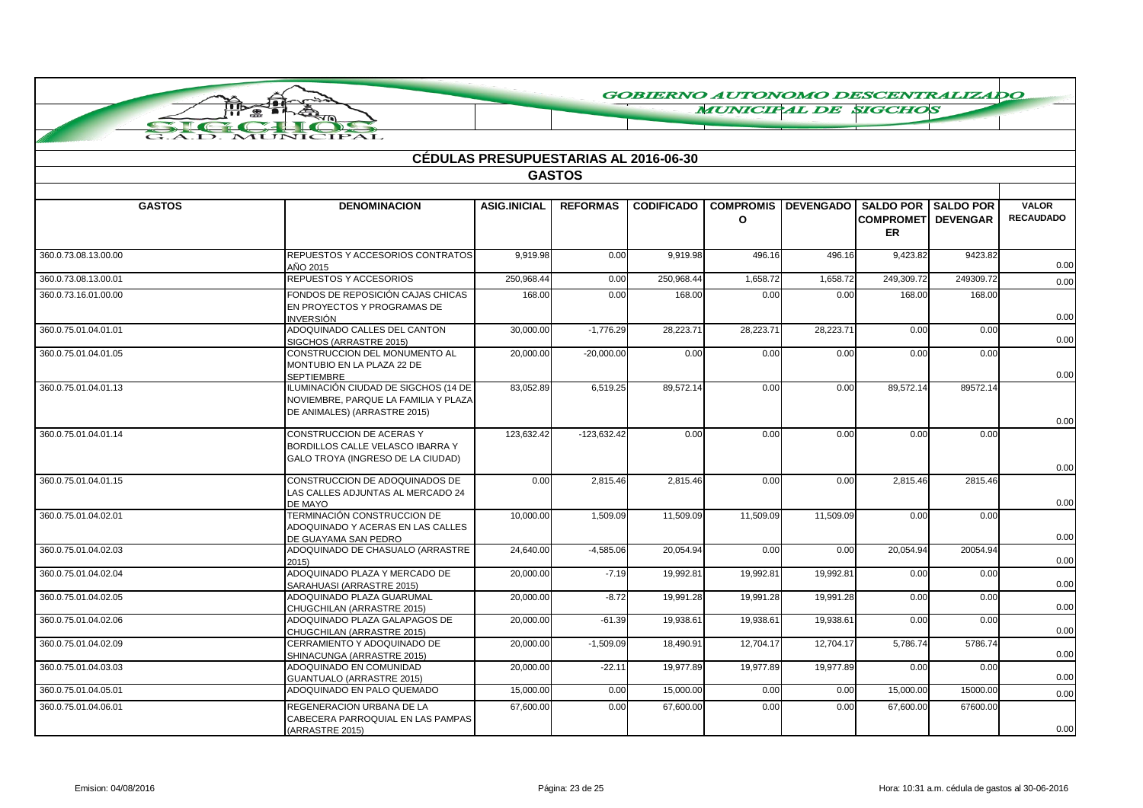**MUNICIPAL DE SIGCHOS** 

|                      |                                                                                                              | <b>CEDULAS PRESUPUESTARIAS AL 2016-06-30</b> |                 |                   |                             |                  |                                                                   |           |                                  |  |
|----------------------|--------------------------------------------------------------------------------------------------------------|----------------------------------------------|-----------------|-------------------|-----------------------------|------------------|-------------------------------------------------------------------|-----------|----------------------------------|--|
| <b>GASTOS</b>        |                                                                                                              |                                              |                 |                   |                             |                  |                                                                   |           |                                  |  |
| <b>GASTOS</b>        | <b>DENOMINACION</b>                                                                                          | <b>ASIG.INICIAL</b>                          | <b>REFORMAS</b> | <b>CODIFICADO</b> | <b>COMPROMIS</b><br>$\circ$ | <b>DEVENGADO</b> | <b>SALDO POR I SALDO POR</b><br><b>COMPROMETI DEVENGAR</b><br>ER. |           | <b>VALOR</b><br><b>RECAUDADO</b> |  |
| 360.0.73.08.13.00.00 | REPUESTOS Y ACCESORIOS CONTRATOS<br>AÑO 2015                                                                 | 9,919.98                                     | 0.00            | 9,919.98          | 496.16                      | 496.16           | 9,423.82                                                          | 9423.82   | 0.00                             |  |
| 360.0.73.08.13.00.01 | REPUESTOS Y ACCESORIOS                                                                                       | 250,968.44                                   | 0.00            | 250,968.44        | 1,658.72                    | 1,658.72         | 249,309.72                                                        | 249309.72 | 0.00                             |  |
| 360.0.73.16.01.00.00 | FONDOS DE REPOSICIÓN CAJAS CHICAS<br>EN PROYECTOS Y PROGRAMAS DE<br>INVERSIÓN                                | 168.00                                       | 0.00            | 168.00            | 0.00                        | 0.00             | 168.00                                                            | 168.00    | 0.00                             |  |
| 360.0.75.01.04.01.01 | ADOQUINADO CALLES DEL CANTON<br>SIGCHOS (ARRASTRE 2015)                                                      | 30,000.00                                    | $-1.776.29$     | 28.223.71         | 28.223.71                   | 28.223.71        | 0.00                                                              | 0.00      | 0.00                             |  |
| 360.0.75.01.04.01.05 | CONSTRUCCION DEL MONUMENTO AL<br>MONTUBIO EN LA PLAZA 22 DE<br><b>SEPTIEMBRE</b>                             | 20,000.00                                    | $-20,000.00$    | 0.00              | 0.00                        | 0.00             | 0.00                                                              | 0.00      | 0.00                             |  |
| 360.0.75.01.04.01.13 | ILUMINACIÓN CIUDAD DE SIGCHOS (14 DE<br>NOVIEMBRE, PARQUE LA FAMILIA Y PLAZA<br>DE ANIMALES) (ARRASTRE 2015) | 83.052.89                                    | 6,519.25        | 89,572.14         | 0.00                        | 0.00             | 89,572.14                                                         | 89572.14  | 0.00                             |  |
| 360.0.75.01.04.01.14 | <b>CONSTRUCCION DE ACERAS Y</b><br>BORDILLOS CALLE VELASCO IBARRA Y<br>GALO TROYA (INGRESO DE LA CIUDAD)     | 123.632.42                                   | $-123,632.42$   | 0.00              | 0.00                        | 0.00             | 0.00                                                              | 0.00      | 0.00                             |  |
| 360.0.75.01.04.01.15 | CONSTRUCCION DE ADOQUINADOS DE<br>LAS CALLES ADJUNTAS AL MERCADO 24<br>DE MAYO                               | 0.00                                         | 2,815.46        | 2,815.46          | 0.00                        | 0.00             | 2.815.46                                                          | 2815.46   | 0.00                             |  |
| 360.0.75.01.04.02.01 | TERMINACIÓN CONSTRUCCION DE<br>ADOQUINADO Y ACERAS EN LAS CALLES<br>DE GUAYAMA SAN PEDRO                     | 10,000.00                                    | 1,509.09        | 11,509.09         | 11,509.09                   | 11,509.09        | 0.00                                                              | 0.00      | 0.00                             |  |
| 360.0.75.01.04.02.03 | ADOQUINADO DE CHASUALO (ARRASTRE<br>2015)                                                                    | 24,640.00                                    | $-4,585.06$     | 20.054.94         | 0.00                        | 0.00             | 20.054.94                                                         | 20054.94  | 0.00                             |  |
| 360.0.75.01.04.02.04 | ADOQUINADO PLAZA Y MERCADO DE<br>SARAHUASI (ARRASTRE 2015)                                                   | 20,000.00                                    | $-7.19$         | 19,992.81         | 19,992.81                   | 19,992.81        | 0.00                                                              | 0.00      | 0.00                             |  |
| 360.0.75.01.04.02.05 | ADOQUINADO PLAZA GUARUMAL<br>CHUGCHILAN (ARRASTRE 2015)                                                      | 20,000.00                                    | $-8.72$         | 19,991.28         | 19,991.28                   | 19,991.28        | 0.00                                                              | 0.00      | 0.00                             |  |
| 360.0.75.01.04.02.06 | ADOQUINADO PLAZA GALAPAGOS DE<br>CHUGCHILAN (ARRASTRE 2015)                                                  | 20,000.00                                    | $-61.39$        | 19,938.61         | 19,938.61                   | 19,938.61        | 0.00                                                              | 0.00      | 0.00                             |  |
| 360.0.75.01.04.02.09 | CERRAMIENTO Y ADOQUINADO DE<br>SHINACUNGA (ARRASTRE 2015)                                                    | 20,000.00                                    | $-1,509.09$     | 18,490.91         | 12,704.17                   | 12,704.17        | 5,786.74                                                          | 5786.74   | 0.00                             |  |
| 360.0.75.01.04.03.03 | ADOQUINADO EN COMUNIDAD<br><b>GUANTUALO (ARRASTRE 2015)</b>                                                  | 20,000.00                                    | $-22.11$        | 19,977.89         | 19,977.89                   | 19,977.89        | 0.00                                                              | 0.00      | 0.00                             |  |
| 360.0.75.01.04.05.01 | ADOQUINADO EN PALO QUEMADO                                                                                   | 15,000.00                                    | 0.00            | 15,000.00         | 0.00                        | 0.00             | 15,000.00                                                         | 15000.00  | 0.00                             |  |
| 360.0.75.01.04.06.01 | REGENERACION URBANA DE LA<br>CABECERA PARROQUIAL EN LAS PAMPAS<br>(ARRASTRE 2015)                            | 67,600.00                                    | 0.00            | 67,600.00         | 0.00                        | 0.00             | 67,600.00                                                         | 67600.00  | 0.00                             |  |

**The** 

F

YÊ)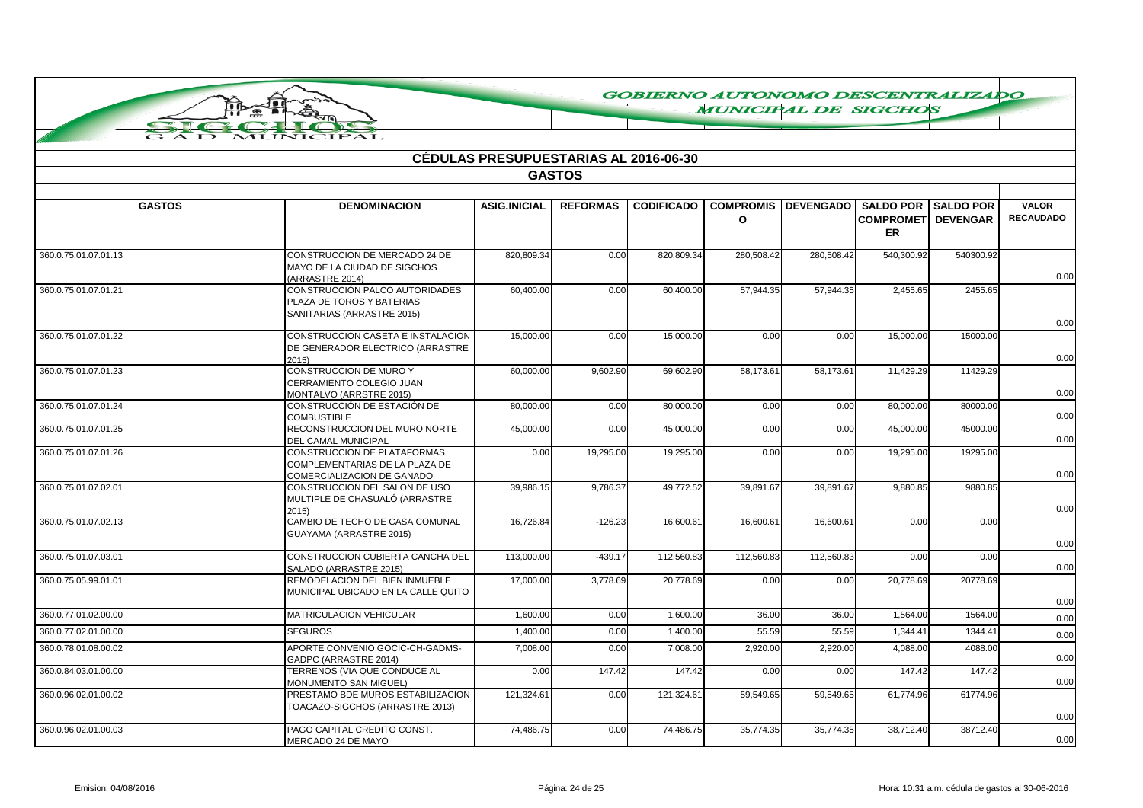**MUNICIPAL DE SIGCHOS** 

|                      |                                                                                             | <b>CÉDULAS PRESUPUESTARIAS AL 2016-06-30</b> |                 |                   |                                  |            |                                                                          |           |                                  |
|----------------------|---------------------------------------------------------------------------------------------|----------------------------------------------|-----------------|-------------------|----------------------------------|------------|--------------------------------------------------------------------------|-----------|----------------------------------|
|                      |                                                                                             |                                              | <b>GASTOS</b>   |                   |                                  |            |                                                                          |           |                                  |
| <b>GASTOS</b>        | <b>DENOMINACION</b>                                                                         | <b>ASIG.INICIAL</b>                          | <b>REFORMAS</b> | <b>CODIFICADO</b> | <b>COMPROMIS</b><br>$\mathbf{o}$ |            | DEVENGADO SALDO POR SALDO POR<br><b>COMPROMETI DEVENGAR</b><br><b>ER</b> |           | <b>VALOR</b><br><b>RECAUDADO</b> |
| 360.0.75.01.07.01.13 | CONSTRUCCION DE MERCADO 24 DE<br>MAYO DE LA CIUDAD DE SIGCHOS<br>(ARRASTRE 2014)            | 820,809.34                                   | 0.00            | 820,809.34        | 280,508.42                       | 280,508.42 | 540,300.92                                                               | 540300.92 | 0.00                             |
| 360.0.75.01.07.01.21 | CONSTRUCCIÓN PALCO AUTORIDADES<br>PLAZA DE TOROS Y BATERIAS<br>SANITARIAS (ARRASTRE 2015)   | 60,400.00                                    | 0.00            | 60,400.00         | 57,944.35                        | 57,944.35  | 2,455.65                                                                 | 2455.65   | 0.00                             |
| 360.0.75.01.07.01.22 | CONSTRUCCION CASETA E INSTALACION<br>DE GENERADOR ELECTRICO (ARRASTRE<br>2015)              | 15,000.00                                    | 0.00            | 15,000.00         | 0.00                             | 0.00       | 15,000.00                                                                | 15000.00  | 0.00                             |
| 360.0.75.01.07.01.23 | <b>CONSTRUCCION DE MURO Y</b><br>CERRAMIENTO COLEGIO JUAN<br>MONTALVO (ARRSTRE 2015)        | 60,000.00                                    | 9,602.90        | 69,602.90         | 58,173.61                        | 58,173.61  | 11,429.29                                                                | 11429.29  | 0.00                             |
| 360.0.75.01.07.01.24 | CONSTRUCCIÓN DE ESTACIÓN DE<br><b>COMBUSTIBLE</b>                                           | 80,000.00                                    | 0.00            | 80,000.00         | 0.00                             | 0.00       | 80,000.00                                                                | 80000.00  | 0.00                             |
| 360.0.75.01.07.01.25 | RECONSTRUCCION DEL MURO NORTE<br><b>DEL CAMAL MUNICIPAL</b>                                 | 45,000.00                                    | 0.00            | 45,000.00         | 0.00                             | 0.00       | 45,000.00                                                                | 45000.00  | 0.00                             |
| 360.0.75.01.07.01.26 | CONSTRUCCION DE PLATAFORMAS<br>COMPLEMENTARIAS DE LA PLAZA DE<br>COMERCIALIZACION DE GANADO | 0.00                                         | 19,295.00       | 19,295.00         | 0.00                             | 0.00       | 19,295.00                                                                | 19295.00  | 0.00                             |
| 360.0.75.01.07.02.01 | CONSTRUCCION DEL SALON DE USO<br>MULTIPLE DE CHASUALÓ (ARRASTRE<br>2015)                    | 39,986.15                                    | 9,786.37        | 49,772.52         | 39,891.67                        | 39,891.67  | 9,880.85                                                                 | 9880.85   | 0.00                             |
| 360.0.75.01.07.02.13 | CAMBIO DE TECHO DE CASA COMUNAL<br>GUAYAMA (ARRASTRE 2015)                                  | 16,726.84                                    | $-126.23$       | 16,600.61         | 16,600.61                        | 16,600.61  | 0.00                                                                     | 0.00      | 0.00                             |
| 360.0.75.01.07.03.01 | CONSTRUCCION CUBIERTA CANCHA DEL<br>SALADO (ARRASTRE 2015)                                  | 113,000.00                                   | $-439.17$       | 112,560.83        | 112,560.83                       | 112,560.83 | 0.00                                                                     | 0.00      | 0.00                             |
| 360.0.75.05.99.01.01 | REMODELACION DEL BIEN INMUEBLE<br>MUNICIPAL UBICADO EN LA CALLE QUITO                       | 17,000.00                                    | 3,778.69        | 20,778.69         | 0.00                             | 0.00       | 20,778.69                                                                | 20778.69  | 0.00                             |
| 360.0.77.01.02.00.00 | MATRICULACION VEHICULAR                                                                     | 1.600.00                                     | 0.00            | 1.600.00          | 36.00                            | 36.00      | 1,564.00                                                                 | 1564.00   | 0.00                             |
| 360.0.77.02.01.00.00 | <b>SEGUROS</b>                                                                              | 1.400.00                                     | 0.00            | 1.400.00          | 55.59                            | 55.59      | 1.344.41                                                                 | 1344.41   | 0.00                             |
| 360.0.78.01.08.00.02 | APORTE CONVENIO GOCIC-CH-GADMS-<br>GADPC (ARRASTRE 2014)                                    | 7,008.00                                     | 0.00            | 7,008.00          | 2,920.00                         | 2,920.00   | 4,088.00                                                                 | 4088.00   | 0.00                             |
| 360.0.84.03.01.00.00 | TERRENOS (VIA QUE CONDUCE AL<br>MONUMENTO SAN MIGUEL)                                       | 0.00                                         | 147.42          | 147.42            | 0.00                             | 0.00       | 147.42                                                                   | 147.42    | 0.00                             |
| 360.0.96.02.01.00.02 | PRESTAMO BDE MUROS ESTABILIZACION<br>TOACAZO-SIGCHOS (ARRASTRE 2013)                        | 121,324.61                                   | 0.00            | 121,324.61        | 59,549.65                        | 59,549.65  | 61,774.96                                                                | 61774.96  | 0.00                             |
| 360.0.96.02.01.00.03 | PAGO CAPITAL CREDITO CONST.<br>MERCADO 24 DE MAYO                                           | 74,486.75                                    | 0.00            | 74,486.75         | 35,774.35                        | 35,774.35  | 38,712.40                                                                | 38712.40  | 0.00                             |

ПЪ  $\bullet$ 

> $\overline{A}$  $\tau$  $\sqrt{10}$

Ŧ

 $\overline{\mathbf{C}}$ 

TPAT